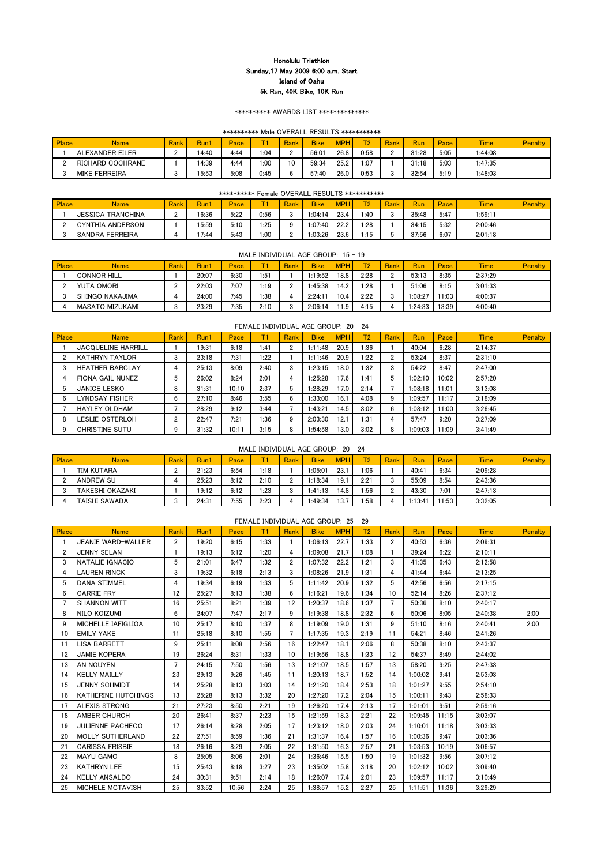| Place | <b>Name</b>              | <b>Rank</b> | Run.  | Pace |      | Rank | <b>Bike</b> | MDH <sub>1</sub> | $\overline{\mathbf{u}}$ | <b>Rank</b> | Run   | Pace | <b>Time</b> | Penalty |
|-------|--------------------------|-------------|-------|------|------|------|-------------|------------------|-------------------------|-------------|-------|------|-------------|---------|
|       | <b>JALEXANDER EILER</b>  | ı           | 14:40 | 4:44 | 1:04 |      | 56:01       | 26.8             | 0:58                    | ◠           | 31:28 | 5:05 | 1:44:08     |         |
|       | <b>IRICHARD COCHRANE</b> |             | 14:39 | 4:44 | 1:00 | 10   | 59:34       | 25.2             | 1:07                    |             | 31:18 | 5:03 | 1:47:35     |         |
|       | <b>MIKE FERREIRA</b>     |             | 15:53 | 5:08 | 0:45 |      | 57:40       | 26.0             | 0:53                    |             | 32:54 | 5:19 | 1:48:03     |         |

| Place | <b>Name</b>               | <b>Rank</b> | Run <sup>:</sup> | Pace | --   | Rank | <b>Bike</b> | <b>MPH</b> | $\blacksquare$ | <b>Rank</b>  | Run   | Pace | <b>Time</b> | <b>Penalty</b> |
|-------|---------------------------|-------------|------------------|------|------|------|-------------|------------|----------------|--------------|-------|------|-------------|----------------|
|       | <b>IJESSICA TRANCHINA</b> |             | 16:36            | 5:22 | 0:56 |      | 1:04:14     | 23.4       | 40: ا          | <sup>o</sup> | 35:48 | 5:47 | 1:59:11     |                |
|       | ICYNTHIA ANDERSON         |             | 15:59            | 5:10 | 1:25 |      | 1:07:40     | 22.2       | $\cdot 28$     |              | 34:15 | 5:32 | 2:00:46     |                |
|       | <b>ISANDRA FERREIRA</b>   |             | 1.44             | 5:43 | 1:00 |      | 1:03:26     | 23.6       | l:15           |              | 37:56 | 6:07 | 2:01:18     |                |

## Place Name Rank Run1 Pace T1 Rank Bike MPH T2 Rank Run Pace Time Penalty 1 |JEANIE WARD-WALLER | 2 | 19:20 | 6:15 | 1:33 | 1 | 1:06:13 | 22.7 | 1:33 | 2 | 40:53 | 6:36 | 2:09:31 2 |JENNY SELAN | 1 | 19:13 | 6:12 | 1:20 | 4 | 1:09:08 | 21.7 | 1:08 | 1 | 39:24 | 6:22 | 2:10:11 NATALIE IGNACIO 5 21:01 6:47 1:32 2 1:07:32 22.2 1:21 3 41:35 6:43 2:12:58 4 LAUREN RINCK | 3 | 19:32 | 6:18 | 2:13 | 3 | 1:08:26 | 21.9 | 1:31 | 4 | 41:44 | 6:44 | 2:13:25 5 DANA STIMMEL 4 | 19:34 | 6:19 | 1:33 | 5 | 1:11:42 | 20.9 | 1:32 | 5 | 42:56 | 6:56 | 2:17:15 6 CARRIE FRY 12 | 25:27 | 8:13 | 1:38 | 6 | 1:16:21 | 19.6 | 1:34 | 10 | 52:14 | 8:26 | 2:37:12 SHANNON WITT 16 25:51 8:21 1:39 12 1:20:37 18.6 1:37 7 50:36 8:10 2:40:17

8 NILO KOIZUMI | 6 | 24:07 | 7:47 | 2:17 | 9 | 1:19:38 | 18.8 | 2:32 | 6 | 50:06 | 8:05 | 2:40:38 | 2:00 9 MICHELLE IAFIGLIOA | 10 | 25:17 | 8:10 | 1:37 | 8 | 1:19:09 | 19.0 | 1:31 | 9 | 51:10 | 8:16 | 2:40:41 | 2:00

10 EMILY YAKE | 11 | 25:18 | 8:10 | 1:55 | 7 | 1:17:35 | 19.3 | 2:19 | 11 | 54:21 | 8:46 | 2:41:26

#### FEMALE INDIVIDUAL AGE GROUP: 25 - 29

| <b>Place</b> | <b>Name</b>          | Rank | Run1  | Pace |      | <b>Rank</b>  | <b>Bike</b> | <b>MPH</b> | T2   | Rank | Run         | Pace | <b>Time</b> | <b>Penalty</b> |
|--------------|----------------------|------|-------|------|------|--------------|-------------|------------|------|------|-------------|------|-------------|----------------|
|              | <b>TIM KUTARA</b>    |      | 21:23 | 6:54 | 1:18 |              | :05:01      | 23.1       | 1:06 |      | 40:4        | 6:34 | 2:09:28     |                |
|              | <b>ANDREW SU</b>     |      | 25:23 | 8:12 | 2:10 | <sup>o</sup> | :18:34      | 19.1       | 2:21 |      | 55:09       | 8:54 | 2:43:36     |                |
|              | ITAKESHI OKAZAKI     |      | 19:12 | 6:12 | 1:23 | c            | :41:13      | 14.8       | 1:56 |      | 43:30       | 7:01 | 2:47:13     |                |
|              | <b>TAISHI SAWADA</b> |      | 24:31 | 7:55 | 2:23 |              | 1.49.34     | 13.7       | 1:58 |      | $\pm 13.41$ | 1:53 | 3:32:05     |                |

|              |                                                                                                                                         |  |       |      |      |  | MALE INDIVIDUAL AGE GROUP: $15 - 19$ |      |      |  |         |       |         |  |
|--------------|-----------------------------------------------------------------------------------------------------------------------------------------|--|-------|------|------|--|--------------------------------------|------|------|--|---------|-------|---------|--|
| <b>Place</b> | <b>MPH</b><br><b>T21</b><br>Rank<br>Pace<br><b>Bike</b><br><b>Time</b><br>Rank<br>Run1<br>Rank<br>Run<br><b>Penalty</b><br>Name<br>Pace |  |       |      |      |  |                                      |      |      |  |         |       |         |  |
|              | ICONNOR HILL                                                                                                                            |  | 20:07 | 6:30 | 1:51 |  | 1:19:52                              | 18.8 | 2:28 |  | 53:13   | 8:35  | 2:37:29 |  |
|              | YUTA OMORI                                                                                                                              |  | 22:03 | 7:07 | 1:19 |  | 1:45:38                              | 14.2 | 1:28 |  | 51:06   | 8:15  | 3:01:33 |  |
|              | ISHINGO NAKAJIMA                                                                                                                        |  | 24:00 | 7:45 | 1:38 |  | 2:24:11                              | 10.4 | 2:22 |  | 1:08:27 | 1:03  | 4:00:37 |  |
|              | IMASATO MIZUKAMI                                                                                                                        |  | 23:29 | 7:35 | 2:10 |  | 2:06:14                              | 1.9  | 4:15 |  | 1:24:33 | 13:39 | 4:00:40 |  |

|              |                           |             |       |       |       |                      | FEMALE INDIVIDUAL AGE GROUP: 20 - 24 |            |                |             |         |       |             |                |
|--------------|---------------------------|-------------|-------|-------|-------|----------------------|--------------------------------------|------------|----------------|-------------|---------|-------|-------------|----------------|
| <b>Place</b> | <b>Name</b>               | <b>Rank</b> | Run1  | Pace  | Т1    | Rank                 | <b>Bike</b>                          | <b>MPH</b> | T <sub>2</sub> | <b>Rank</b> | Run     | Pace  | <b>Time</b> | <b>Penalty</b> |
|              | <b>JACQUELINE HARRILL</b> |             | 19:31 | 6:18  | 41: ا | $\mathbf{2}^{\circ}$ | 1:11:48                              | 20.9       | 1:36           |             | 40:04   | 6:28  | 2:14:37     |                |
|              | <b>IKATHRYN TAYLOR</b>    | 3           | 23:18 | 7:31  | 1:22  |                      | 1:11:46                              | 20.9       | 1:22           | n           | 53:24   | 8:37  | 2:31:10     |                |
| -3           | <b>HEATHER BARCLAY</b>    | 4           | 25:13 | 8:09  | 2:40  | 3                    | 1:23:15                              | 18.0       | 1:32           | 3           | 54:22   | 8:47  | 2:47:00     |                |
|              | FIONA GAIL NUNEZ          | 5           | 26:02 | 8:24  | 2:01  | 4                    | 1:25:28                              | 17.6       | 1:41           | 5           | 1:02:10 | 10:02 | 2:57:20     |                |
| 5            | <b>JANICE LESKO</b>       | 8           | 31:31 | 10:10 | 2:37  | 5                    | 1:28:29                              | 17.0       | 2:14           |             | 1:08:18 | 11:01 | 3:13:08     |                |
| -6           | <b>LYNDSAY FISHER</b>     | 6           | 27:10 | 8:46  | 3:55  | 6                    | 1:33:00                              | 16.1       | 4:08           | 9           | 1:09:57 | 11:17 | 3:18:09     |                |
|              | <b>HAYLEY OLDHAM</b>      |             | 28:29 | 9:12  | 3:44  |                      | 1:43:21                              | 14.5       | 3:02           | 6.          | 1:08:12 | 1:00  | 3:26:45     |                |
| 8            | LESLIE OSTERLOH           | 2           | 22:47 | 7:21  | 1:36  | 9                    | 2:03:30                              | 12.1       | 1:31           |             | 57:47   | 9:20  | 3:27:09     |                |
| 9            | <b>CHRISTINE SUTU</b>     | 9           | 31:32 | 10:11 | 3:15  | 8                    | 1:54:58                              | 13.0       | 3:02           | 8           | 1:09:03 | 1:09  | 3:41:49     |                |

#### MALE INDIVIDUAL AGE GROUP: 20 - 24

|                 | <b>LISA BARRETT</b>     | 9  | 25:11 | 8:08  | 2:56 | 16 | 1:22:47 | 18.1 | 2:06 | 8  | 50:38   | 8:10  | 2:43:37 |  |
|-----------------|-------------------------|----|-------|-------|------|----|---------|------|------|----|---------|-------|---------|--|
| 12 <sup>2</sup> | <b>JAMIE KOPERA</b>     | 19 | 26:24 | 8:31  | 1:33 | 10 | 1:19:56 | 18.8 | 1:33 | 12 | 54:37   | 8:49  | 2:44:02 |  |
| 13              | <b>AN NGUYEN</b>        | 7  | 24:15 | 7:50  | 1:56 | 13 | 1:21:07 | 18.5 | 1:57 | 13 | 58:20   | 9:25  | 2:47:33 |  |
| 14              | <b>KELLY MAILLY</b>     | 23 | 29:13 | 9:26  | 1:45 | 11 | 1:20:13 | 18.7 | 1:52 | 14 | 1:00:02 | 9:41  | 2:53:03 |  |
| 15              | <b>JENNY SCHMIDT</b>    | 14 | 25:28 | 8:13  | 3:03 | 14 | 1:21:20 | 18.4 | 2:53 | 18 | 1:01:27 | 9:55  | 2:54:10 |  |
| 16              | KATHERINE HUTCHINGS     | 13 | 25:28 | 8:13  | 3:32 | 20 | 1:27:20 | 17.2 | 2:04 | 15 | 1:00:11 | 9:43  | 2:58:33 |  |
| 17              | <b>ALEXIS STRONG</b>    | 21 | 27:23 | 8:50  | 2:21 | 19 | 1:26:20 | 17.4 | 2:13 | 17 | 1:01:01 | 9:51  | 2:59:16 |  |
| 18              | <b>IAMBER CHURCH</b>    | 20 | 26:41 | 8:37  | 2:23 | 15 | 1:21:59 | 18.3 | 2:21 | 22 | 1:09:45 | 11:15 | 3:03:07 |  |
| 19              | <b>JULIENNE PACHECO</b> | 17 | 26:14 | 8:28  | 2:05 | 17 | 1:23:12 | 18.0 | 2:03 | 24 | 1:10:01 | 11:18 | 3:03:33 |  |
| 20              | <b>MOLLY SUTHERLAND</b> | 22 | 27:51 | 8:59  | 1:36 | 21 | 1:31:37 | 16.4 | 1:57 | 16 | 1:00:36 | 9:47  | 3:03:36 |  |
| 21              | <b>CARISSA FRISBIE</b>  | 18 | 26:16 | 8:29  | 2:05 | 22 | 1:31:50 | 16.3 | 2:57 | 21 | 1:03:53 | 10:19 | 3:06:57 |  |
| 22              | <b>MAYU GAMO</b>        | 8  | 25:05 | 8:06  | 2:01 | 24 | 1:36:46 | 15.5 | 1:50 | 19 | 1:01:32 | 9:56  | 3:07:12 |  |
| 23              | <b>IKATHRYN LEE</b>     | 15 | 25:43 | 8:18  | 3:27 | 23 | 1:35:02 | 15.8 | 3:18 | 20 | 1:02:12 | 10:02 | 3:09:40 |  |
| 24              | <b>KELLY ANSALDO</b>    | 24 | 30:31 | 9:51  | 2:14 | 18 | 1:26:07 | 17.4 | 2:01 | 23 | 1:09:57 | 11:17 | 3:10:49 |  |
| 25              | <b>MICHELE MCTAVISH</b> | 25 | 33:52 | 10:56 | 2:24 | 25 | 1:38:57 | 15.2 | 2:27 | 25 | 1:11:51 | 11:36 | 3:29:29 |  |

## Honolulu Triathlon Sunday,17 May 2009 6:00 a.m. Start Island of Oahu 5k Run, 40K Bike, 10K Run

#### \*\*\*\*\*\*\*\*\*\* AWARDS LIST \*\*\*\*\*\*\*\*\*\*\*\*\*\*

#### \*\*\*\*\*\*\*\*\*\* Male OVERALL RESULTS \*\*\*\*\*\*\*\*\*\*\*

#### \*\*\*\*\*\*\*\*\*\* Female OVERALL RESULTS \*\*\*\*\*\*\*\*\*\*\*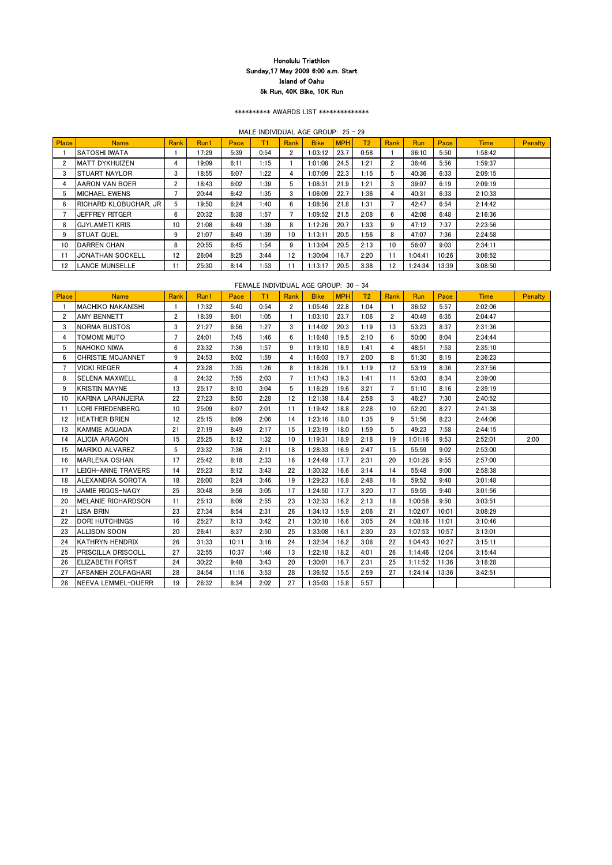\*\*\*\*\*\*\*\*\*\* AWARDS LIST \*\*\*\*\*\*\*\*\*\*\*\*\*\*

MALE INDIVIDUAL AGE GROUP: 25 - 29

| Place          | <b>Name</b>                  | Rank | Run1  | Pace | T1   | Rank           | <b>Bike</b> | <b>MPH</b> | T <sub>2</sub> | Rank                 | <b>Run</b> | Pace  | <b>Time</b> | <b>Penalty</b> |
|----------------|------------------------------|------|-------|------|------|----------------|-------------|------------|----------------|----------------------|------------|-------|-------------|----------------|
|                | ISATOSHI IWATA               |      | 17:29 | 5:39 | 0:54 | $\mathbf{2}^-$ | 1:03:12     | 23.7       | 0:58           |                      | 36:10      | 5:50  | 1:58:42     |                |
| $\overline{2}$ | <b>IMATT DYKHUIZEN</b>       | 4    | 19:09 | 6:11 | 1:15 |                | 1:01:08     | 24.5       | 1:21           | $\mathbf{2}^{\circ}$ | 36:46      | 5:56  | 1:59:37     |                |
| 3              | <b>STUART NAYLOR</b>         | 3    | 18:55 | 6:07 | 1:22 | 4              | 1:07:09     | 22.3       | 1:15           | 5.                   | 40:36      | 6:33  | 2:09:15     |                |
| 4              | <b>AARON VAN BOER</b>        | 2    | 18:43 | 6:02 | 1:39 | 5              | 1:08:31     | 21.9       | 1:21           | $\mathcal{S}$        | 39:07      | 6:19  | 2:09:19     |                |
| 5              | <b>MICHAEL EWENS</b>         |      | 20:44 | 6:42 | 1:35 | 3              | 1:06:09     | 22.7       | 1:36           | 4                    | 40:31      | 6:33  | 2:10:33     |                |
| -6             | <b>RICHARD KLOBUCHAR, JR</b> | 5    | 19:50 | 6:24 | 1:40 | 6              | 1:08:56     | 21.8       | 1:31           |                      | 42:47      | 6:54  | 2:14:42     |                |
|                | <b>JEFFREY RITGER</b>        | 6    | 20:32 | 6:38 | 1:57 |                | 1:09:52     | 21.5       | 2:08           | 6                    | 42:08      | 6:48  | 2:16:36     |                |
| 8              | <b>GJYLAMETI KRIS</b>        | 10   | 21:08 | 6:49 | 1:39 | 8              | 1:12:26     | 20.7       | 1:33           | 9                    | 47:12      | 7:37  | 2:23:56     |                |
| 9              | <b>STUAT QUEL</b>            | 9    | 21:07 | 6:49 | 1:39 | 10             | 1:13:11     | 20.5       | 1:56           | 8                    | 47:07      | 7:36  | 2:24:58     |                |
| 10             | <b>IDARREN CHAN</b>          | 8    | 20:55 | 6:45 | 1:54 | 9              | 1:13:04     | 20.5       | 2:13           | 10                   | 56:07      | 9:03  | 2:34:11     |                |
| 11             | <b>JONATHAN SOCKELL</b>      | 12   | 26:04 | 8:25 | 3:44 | 12             | 1:30:04     | 16.7       | 2:20           | 11                   | 1:04:41    | 10:26 | 3:06:52     |                |
| 12             | <b>LANCE MUNSELLE</b>        | 11   | 25:30 | 8:14 | 1:53 | 11             | 1:13:17     | 20.5       | 3:38           | 12 <sup>2</sup>      | 1:24:34    | 13:39 | 3:08:50     |                |

#### FEMALE INDIVIDUAL AGE GROUP: 30 - 34

| Place          | <b>Name</b>                | Rank           | Run1  | Pace  | T1   | Rank                 | <b>Bike</b> | <b>MPH</b> | T <sub>2</sub> | Rank           | <b>Run</b> | Pace  | <b>Time</b> | <b>Penalty</b> |
|----------------|----------------------------|----------------|-------|-------|------|----------------------|-------------|------------|----------------|----------------|------------|-------|-------------|----------------|
|                | IMACHIKO NAKANISHI         | $\mathbf{1}$   | 17:32 | 5:40  | 0:54 | $\mathbf{2}^{\circ}$ | 1:05:46     | 22.8       | 1:04           |                | 36:52      | 5:57  | 2:02:06     |                |
| $\overline{2}$ | AMY BENNETT                | $\overline{2}$ | 18:39 | 6:01  | 1:05 |                      | 1:03:10     | 23.7       | 1:06           | $\overline{2}$ | 40:49      | 6:35  | 2:04:47     |                |
| 3              | <b>NORMA BUSTOS</b>        | 3              | 21:27 | 6:56  | 1:27 | 3                    | 1:14:02     | 20.3       | 1:19           | 13             | 53:23      | 8:37  | 2:31:36     |                |
| 4              | <b>TOMOMI MUTO</b>         | $\overline{7}$ | 24:01 | 7:45  | 1:46 | 6                    | 1:16:48     | 19.5       | 2:10           | 6              | 50:00      | 8:04  | 2:34:44     |                |
| 5              | <b>NAHOKO NIWA</b>         | 6              | 23:32 | 7:36  | 1:57 | 9                    | 1:19:10     | 18.9       | 1:41           | 4              | 48:51      | 7:53  | 2:35:10     |                |
| 6              | CHRISTIE MCJANNET          | 9              | 24:53 | 8:02  | 1:59 | 4                    | 1:16:03     | 19.7       | 2:00           | 8              | 51:30      | 8:19  | 2:36:23     |                |
| 7              | <b>VICKI RIEGER</b>        | 4              | 23:28 | 7:35  | 1:26 | 8                    | 1:18:26     | 19.1       | 1:19           | 12             | 53:19      | 8:36  | 2:37:56     |                |
| 8              | <b>SELENA MAXWELL</b>      | 8              | 24:32 | 7:55  | 2:03 | 7                    | 1:17:43     | 19.3       | 1:41           | 11             | 53:03      | 8:34  | 2:39:00     |                |
| 9              | <b>KRISTIN MAYNE</b>       | 13             | 25:17 | 8:10  | 3:04 | 5                    | 1:16:29     | 19.6       | 3:21           | $\overline{7}$ | 51:10      | 8:16  | 2:39:19     |                |
| 10             | <b>KARINA LARANJEIRA</b>   | 22             | 27:23 | 8:50  | 2:28 | 12                   | 1:21:38     | 18.4       | 2:58           | 3              | 46:27      | 7:30  | 2:40:52     |                |
| 11             | LORI FRIEDENBERG           | 10             | 25:09 | 8:07  | 2:01 | 11                   | 1:19:42     | 18.8       | 2:28           | 10             | 52:20      | 8:27  | 2:41:38     |                |
| 12             | <b>HEATHER BRIEN</b>       | 12             | 25:15 | 8:09  | 2:06 | 14                   | 1:23:16     | 18.0       | 1:35           | 9              | 51:56      | 8:23  | 2:44:06     |                |
| 13             | <b>KAMMIE AGUADA</b>       | 21             | 27:19 | 8:49  | 2:17 | 15                   | 1:23:19     | 18.0       | 1:59           | 5              | 49:23      | 7:58  | 2:44:15     |                |
| 14             | <b>ALICIA ARAGON</b>       | 15             | 25:25 | 8:12  | 1:32 | 10                   | 1:19:31     | 18.9       | 2:18           | 19             | 1:01:16    | 9:53  | 2:52:01     | 2:00           |
| 15             | <b>MARIKO ALVAREZ</b>      | 5              | 23:32 | 7:36  | 2:11 | 18                   | 1:28:33     | 16.9       | 2:47           | 15             | 55:59      | 9:02  | 2:53:00     |                |
| 16             | <b>MARLENA OSHAN</b>       | 17             | 25:42 | 8:18  | 2:33 | 16                   | 1:24:49     | 17.7       | 2:31           | 20             | 1:01:26    | 9:55  | 2:57:00     |                |
| 17             | LEIGH-ANNE TRAVERS         | 14             | 25:23 | 8:12  | 3:43 | 22                   | 1:30:32     | 16.6       | 3:14           | 14             | 55:48      | 9:00  | 2:58:38     |                |
| 18             | <b>ALEXANDRA SOROTA</b>    | 18             | 26:00 | 8:24  | 3:46 | 19                   | 1:29:23     | 16.8       | 2:48           | 16             | 59:52      | 9:40  | 3:01:48     |                |
| 19             | <b>JAMIE RIGGS-NAGY</b>    | 25             | 30:48 | 9:56  | 3:05 | 17                   | 1:24:50     | 17.7       | 3:20           | 17             | 59:55      | 9:40  | 3:01:56     |                |
| 20             | <b>MELANIE RICHARDSON</b>  | 11             | 25:13 | 8:09  | 2:55 | 23                   | 1:32:33     | 16.2       | 2:13           | 18             | 1:00:58    | 9:50  | 3:03:51     |                |
| 21             | LISA BRIN                  | 23             | 27:34 | 8:54  | 2:31 | 26                   | 1:34:13     | 15.9       | 2:06           | 21             | 1:02:07    | 10:01 | 3:08:29     |                |
| 22             | <b>DORI HUTCHINGS</b>      | 16             | 25:27 | 8:13  | 3:42 | 21                   | 1:30:18     | 16.6       | 3:05           | 24             | 1:08:16    | 11:01 | 3:10:46     |                |
| 23             | <b>ALLISON SOON</b>        | 20             | 26:41 | 8:37  | 2:50 | 25                   | 1:33:08     | 16.1       | 2:30           | 23             | 1:07:53    | 10:57 | 3:13:01     |                |
| 24             | KATHRYN HENDRIX            | 26             | 31:33 | 10:11 | 3:16 | 24                   | 1:32:34     | 16.2       | 3:06           | 22             | 1:04:43    | 10:27 | 3:15:11     |                |
| 25             | <b>PRISCILLA DRISCOLL</b>  | 27             | 32:55 | 10:37 | 1:46 | 13                   | 1:22:18     | 18.2       | 4:01           | 26             | 1:14:46    | 12:04 | 3:15:44     |                |
| 26             | <b>ELIZABETH FORST</b>     | 24             | 30:22 | 9:48  | 3:43 | 20                   | 1:30:01     | 16.7       | 2:31           | 25             | 1:11:52    | 11:36 | 3:18:28     |                |
| 27             | AFSANEH ZOLFAGHARI         | 28             | 34:54 | 11:16 | 3:53 | 28                   | 1:36:52     | 15.5       | 2:59           | 27             | 1:24:14    | 13:36 | 3:42:51     |                |
| 28             | <b>INEEVA LEMMEL-DUERR</b> | 19             | 26:32 | 8:34  | 2:02 | 27                   | 1:35:03     | 15.8       | 5:57           |                |            |       |             |                |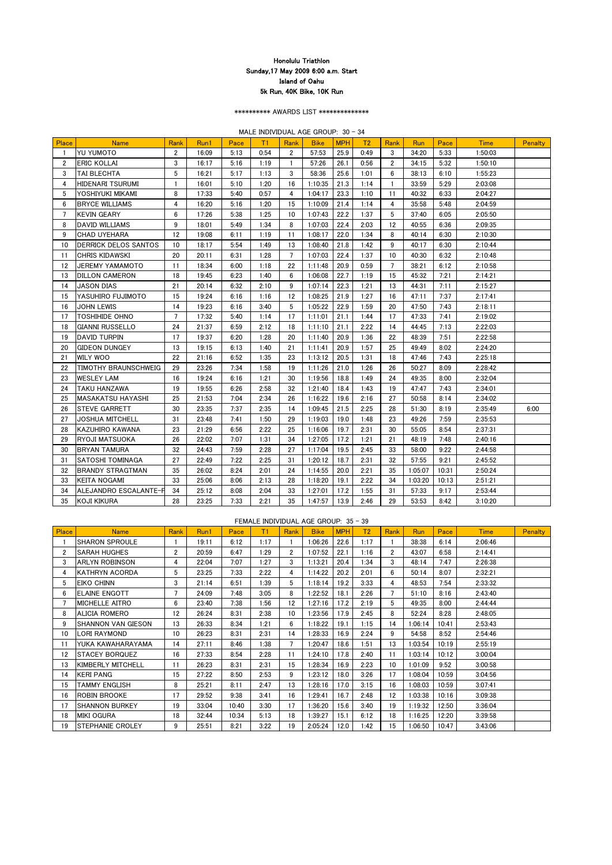\*\*\*\*\*\*\*\*\*\* AWARDS LIST \*\*\*\*\*\*\*\*\*\*\*\*\*\*

MALE INDIVIDUAL AGE GROUP: 30 - 34

| <b>Place</b>   | <b>Name</b>                 | Rank            | Run1  | Pace | T1   | Rank           | <b>Bike</b> | <b>MPH</b> | T <sub>2</sub> | Rank           | Run     | Pace  | <b>Time</b> | <b>Penalty</b> |
|----------------|-----------------------------|-----------------|-------|------|------|----------------|-------------|------------|----------------|----------------|---------|-------|-------------|----------------|
| $\mathbf{1}$   | <b>YU YUMOTO</b>            | $\overline{2}$  | 16:09 | 5:13 | 0:54 | $\overline{2}$ | 57:53       | 25.9       | 0:49           | 3              | 34:20   | 5:33  | 1:50:03     |                |
| $\overline{2}$ | <b>ERIC KOLLAI</b>          | 3               | 16:17 | 5:16 | 1:19 | $\mathbf{1}$   | 57:26       | 26.1       | 0:56           | $\overline{2}$ | 34:15   | 5:32  | 1:50:10     |                |
| 3              | TAI BLECHTA                 | 5               | 16:21 | 5:17 | 1:13 | 3              | 58:36       | 25.6       | 1:01           | 6              | 38:13   | 6:10  | 1:55:23     |                |
| 4              | HIDENARI TSURUMI            | $\mathbf{1}$    | 16:01 | 5:10 | 1:20 | 16             | 1:10:35     | 21.3       | 1:14           | $\mathbf{1}$   | 33:59   | 5:29  | 2:03:08     |                |
| 5              | YOSHIYUKI MIKAMI            | 8               | 17:33 | 5:40 | 0:57 | 4              | 1:04:17     | 23.3       | 1:10           | 11             | 40:32   | 6:33  | 2:04:27     |                |
| 6              | <b>BRYCE WILLIAMS</b>       | 4               | 16:20 | 5:16 | 1:20 | 15             | 1:10:09     | 21.4       | 1:14           | $\overline{4}$ | 35:58   | 5:48  | 2:04:59     |                |
| 7              | <b>KEVIN GEARY</b>          | $6\phantom{.}6$ | 17:26 | 5:38 | 1:25 | 10             | 1:07:43     | 22.2       | 1:37           | 5              | 37:40   | 6:05  | 2:05:50     |                |
| 8              | DAVID WILLIAMS              | 9               | 18:01 | 5:49 | 1:34 | 8              | 1:07:03     | 22.4       | 2:03           | 12             | 40:55   | 6:36  | 2:09:35     |                |
| 9              | <b>CHAD UYEHARA</b>         | 12              | 19:08 | 6:11 | 1:19 | 11             | 1:08:17     | 22.0       | 1:34           | 8              | 40:14   | 6:30  | 2:10:30     |                |
| 10             | DERRICK DELOS SANTOS        | 10              | 18:17 | 5:54 | 1:49 | 13             | 1:08:40     | 21.8       | 1:42           | 9              | 40:17   | 6:30  | 2:10:44     |                |
| 11             | <b>CHRIS KIDAWSKI</b>       | 20              | 20:11 | 6:31 | 1:28 | $\overline{7}$ | 1:07:03     | 22.4       | 1:37           | 10             | 40:30   | 6:32  | 2:10:48     |                |
| 12             | <b>JEREMY YAMAMOTO</b>      | 11              | 18:34 | 6:00 | 1:18 | 22             | 1:11:48     | 20.9       | 0:59           | $\overline{7}$ | 38:21   | 6:12  | 2:10:58     |                |
| 13             | <b>DILLON CAMERON</b>       | 18              | 19:45 | 6:23 | 1:40 | 6              | 1:06:08     | 22.7       | 1:19           | 15             | 45:32   | 7:21  | 2:14:21     |                |
| 14             | <b>JASON DIAS</b>           | 21              | 20:14 | 6:32 | 2:10 | 9              | 1:07:14     | 22.3       | 1:21           | 13             | 44:31   | 7:11  | 2:15:27     |                |
| 15             | YASUHIRO FUJIMOTO           | 15              | 19:24 | 6:16 | 1:16 | 12             | 1:08:25     | 21.9       | 1:27           | 16             | 47:11   | 7:37  | 2:17:41     |                |
| 16             | <b>JOHN LEWIS</b>           | 14              | 19:23 | 6:16 | 3:40 | $5\,$          | 1:05:22     | 22.9       | 1:59           | 20             | 47:50   | 7:43  | 2:18:11     |                |
| 17             | <b>TOSHIHIDE OHNO</b>       | $\overline{7}$  | 17:32 | 5:40 | 1:14 | 17             | 1:11:01     | 21.1       | 1:44           | 17             | 47:33   | 7:41  | 2:19:02     |                |
| 18             | <b>GIANNI RUSSELLO</b>      | 24              | 21:37 | 6:59 | 2:12 | 18             | 1:11:10     | 21.1       | 2:22           | 14             | 44:45   | 7:13  | 2:22:03     |                |
| 19             | <b>DAVID TURPIN</b>         | 17              | 19:37 | 6:20 | 1:28 | 20             | 1:11:40     | 20.9       | 1:36           | 22             | 48:39   | 7:51  | 2:22:58     |                |
| 20             | <b>GIDEON DUNGEY</b>        | 13              | 19:15 | 6:13 | 1:40 | 21             | 1:11:41     | 20.9       | 1:57           | 25             | 49:49   | 8:02  | 2:24:20     |                |
| 21             | <b>WILY WOO</b>             | 22              | 21:16 | 6:52 | 1:35 | 23             | 1:13:12     | 20.5       | 1:31           | 18             | 47:46   | 7:43  | 2:25:18     |                |
| 22             | <b>TIMOTHY BRAUNSCHWEIG</b> | 29              | 23:26 | 7:34 | 1:58 | 19             | 1:11:26     | 21.0       | 1:26           | 26             | 50:27   | 8:09  | 2:28:42     |                |
| 23             | <b>WESLEY LAM</b>           | 16              | 19:24 | 6:16 | 1:21 | 30             | 1:19:56     | 18.8       | 1:49           | 24             | 49:35   | 8:00  | 2:32:04     |                |
| 24             | <b>TAKU HANZAWA</b>         | 19              | 19:55 | 6:26 | 2:58 | 32             | 1:21:40     | 18.4       | 1:43           | 19             | 47:47   | 7:43  | 2:34:01     |                |
| 25             | <b>MASAKATSU HAYASHI</b>    | 25              | 21:53 | 7:04 | 2:34 | 26             | 1:16:22     | 19.6       | 2:16           | 27             | 50:58   | 8:14  | 2:34:02     |                |
| 26             | <b>STEVE GARRETT</b>        | 30              | 23:35 | 7:37 | 2:35 | 14             | 1:09:45     | 21.5       | 2:25           | 28             | 51:30   | 8:19  | 2:35:49     | 6:00           |
| 27             | <b>JOSHUA MITCHELL</b>      | 31              | 23:48 | 7:41 | 1:50 | 29             | 1:19:03     | 19.0       | 1:48           | 23             | 49:26   | 7:59  | 2:35:53     |                |
| 28             | KAZUHIRO KAWANA             | 23              | 21:29 | 6:56 | 2:22 | 25             | 1:16:06     | 19.7       | 2:31           | 30             | 55:05   | 8:54  | 2:37:31     |                |
| 29             | <b>RYOJI MATSUOKA</b>       | 26              | 22:02 | 7:07 | 1:31 | 34             | 1:27:05     | 17.2       | 1:21           | 21             | 48:19   | 7:48  | 2:40:16     |                |
| 30             | <b>BRYAN TAMURA</b>         | 32              | 24:43 | 7:59 | 2:28 | 27             | 1:17:04     | 19.5       | 2:45           | 33             | 58:00   | 9:22  | 2:44:58     |                |
| 31             | SATOSHI TOMINAGA            | 27              | 22:49 | 7:22 | 2:25 | 31             | 1:20:12     | 18.7       | 2:31           | 32             | 57:55   | 9:21  | 2:45:52     |                |
| 32             | <b>BRANDY STRAGTMAN</b>     | 35              | 26:02 | 8:24 | 2:01 | 24             | 1:14:55     | 20.0       | 2:21           | 35             | 1:05:07 | 10:31 | 2:50:24     |                |
| 33             | <b>KEITA NOGAMI</b>         | 33              | 25:06 | 8:06 | 2:13 | 28             | 1:18:20     | 19.1       | 2:22           | 34             | 1:03:20 | 10:13 | 2:51:21     |                |
| 34             | ALEJANDRO ESCALANTE-F       | 34              | 25:12 | 8:08 | 2:04 | 33             | 1:27:01     | 17.2       | 1:55           | 31             | 57:33   | 9:17  | 2:53:44     |                |
| 35             | KOJI KIKURA                 | 28              | 23:25 | 7:33 | 2:21 | 35             | 1:47:57     | 13.9       | 2:46           | 29             | 53:53   | 8:42  | 3:10:20     |                |

## FEMALE INDIVIDUAL AGE GROUP: 35 - 39

| <b>Place</b>   | <b>Name</b>               | Rank             | Run1  | Pace  | T1   | Rank             | <b>Bike</b> | <b>MPH</b> | T2   | <b>Rank</b>    | <b>Run</b> | Pace  | <b>Time</b> | <b>Penalty</b> |
|----------------|---------------------------|------------------|-------|-------|------|------------------|-------------|------------|------|----------------|------------|-------|-------------|----------------|
|                | <b>SHARON SPROULE</b>     |                  | 19:11 | 6:12  | 1:17 |                  | 1:06:26     | 22.6       | 1:17 |                | 38:38      | 6:14  | 2:06:46     |                |
| $\overline{2}$ | <b>ISARAH HUGHES</b>      | $\overline{2}$   | 20:59 | 6:47  | 1:29 | $\overline{2}$   | 1:07:52     | 22.1       | 1:16 | $\overline{2}$ | 43:07      | 6:58  | 2:14:41     |                |
| 3              | <b>ARLYN ROBINSON</b>     | 4                | 22:04 | 7:07  | 1:27 | 3                | 1:13:21     | 20.4       | 1:34 | 3              | 48:14      | 7:47  | 2:26:38     |                |
| 4              | <b>KATHRYN ACORDA</b>     | 5                | 23:25 | 7:33  | 2:22 | 4                | 1:14:22     | 20.2       | 2:01 | 6              | 50:14      | 8:07  | 2:32:21     |                |
| 5              | EIKO CHINN                | 3                | 21:14 | 6:51  | 1:39 | 5                | 1:18:14     | 19.2       | 3:33 | 4              | 48:53      | 7:54  | 2:33:32     |                |
| 6              | <b>ELAINE ENGOTT</b>      | 7                | 24:09 | 7:48  | 3:05 | 8                | 1:22:52     | 18.1       | 2:26 | $\overline{7}$ | 51:10      | 8:16  | 2:43:40     |                |
|                | <b>MICHELLE AITRO</b>     | 6                | 23:40 | 7:38  | 1:56 | 12               | 1:27:16     | 17.2       | 2:19 | 5              | 49:35      | 8:00  | 2:44:44     |                |
| 8              | <b>ALICIA ROMERO</b>      | 12               | 26:24 | 8:31  | 2:38 | 10 <sup>10</sup> | 1:23:56     | 17.9       | 2:45 | 8              | 52:24      | 8:28  | 2:48:05     |                |
| 9              | <b>SHANNON VAN GIESON</b> | 13               | 26:33 | 8:34  | 1:21 | 6                | 1:18:22     | 19.1       | 1:15 | 14             | 1:06:14    | 10:41 | 2:53:43     |                |
| 10             | LORI RAYMOND              | 10 <sup>10</sup> | 26:23 | 8:31  | 2:31 | 14               | 1:28:33     | 16.9       | 2:24 | 9              | 54:58      | 8:52  | 2:54:46     |                |
| 11             | YUKA KAWAHARAYAMA         | 14               | 27:11 | 8:46  | 1:38 | $\overline{7}$   | 1:20:47     | 18.6       | 1:51 | 13             | 1:03:54    | 10:19 | 2:55:19     |                |
| 12             | <b>STACEY BORQUEZ</b>     | 16               | 27:33 | 8:54  | 2:28 | 11               | 1:24:10     | 17.8       | 2:40 | 11             | 1:03:14    | 10:12 | 3:00:04     |                |
| 13             | <b>KIMBERLY MITCHELL</b>  | 11               | 26:23 | 8:31  | 2:31 | 15               | 1:28:34     | 16.9       | 2:23 | 10             | 1:01:09    | 9:52  | 3:00:58     |                |
| 14             | <b>KERI PANG</b>          | 15               | 27:22 | 8:50  | 2:53 | 9                | 1:23:12     | 18.0       | 3:26 | 17             | 1:08:04    | 10:59 | 3:04:56     |                |
| 15             | TAMMY ENGLISH             | 8                | 25:21 | 8:11  | 2:47 | 13               | 1:28:16     | 17.0       | 3:15 | 16             | 1:08:03    | 10:59 | 3:07:41     |                |
| 16             | <b>ROBIN BROOKE</b>       | 17               | 29:52 | 9:38  | 3:41 | 16               | 1:29:41     | 16.7       | 2:48 | 12             | 1:03:38    | 10:16 | 3:09:38     |                |
| 17             | <b>SHANNON BURKEY</b>     | 19               | 33:04 | 10:40 | 3:30 | 17               | 1:36:20     | 15.6       | 3:40 | 19             | 1:19:32    | 12:50 | 3:36:04     |                |
| 18             | <b>MIKI OGURA</b>         | 18               | 32:44 | 10:34 | 5:13 | 18               | 1:39:27     | 15.1       | 6:12 | 18             | 1:16:25    | 12:20 | 3:39:58     |                |
| 19             | <b>STEPHANIE CROLEY</b>   | 9                | 25:51 | 8:21  | 3:22 | 19               | 2:05:24     | 12.0       | 1:42 | 15             | 1:06:50    | 10:47 | 3:43:06     |                |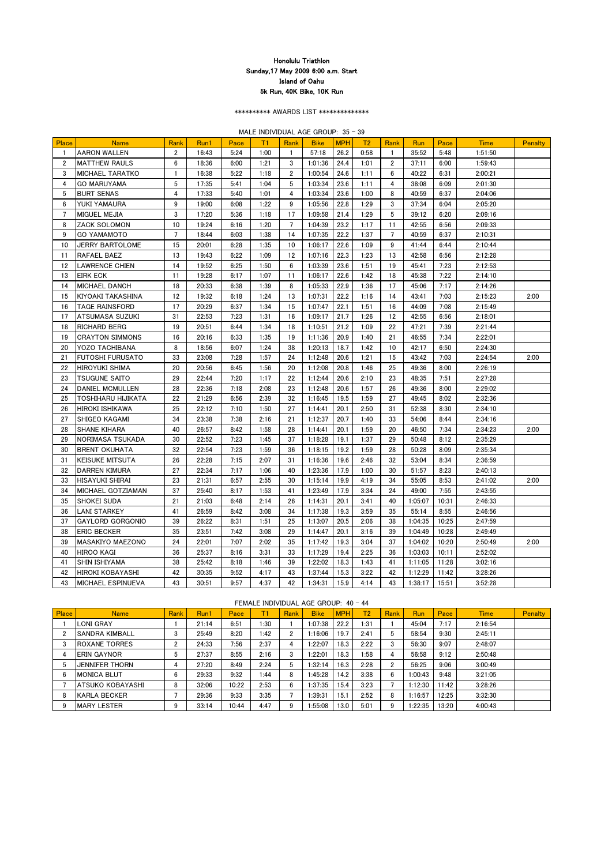\*\*\*\*\*\*\*\*\*\* AWARDS LIST \*\*\*\*\*\*\*\*\*\*\*\*\*\*

MALE INDIVIDUAL AGE GROUP: 35 - 39

| Place | <b>Name</b>               | Rank            | Run1  | Pace | T1   | Rank           | <b>Bike</b> | <b>MPH</b> | T <sub>2</sub> | Rank           | Run     | Pace  | <b>Time</b> | <b>Penalty</b> |
|-------|---------------------------|-----------------|-------|------|------|----------------|-------------|------------|----------------|----------------|---------|-------|-------------|----------------|
|       | <b>AARON WALLEN</b>       | $\mathbf{2}$    | 16:43 | 5:24 | 1:00 |                | 57:18       | 26.2       | 0:58           |                | 35:52   | 5:48  | 1:51:50     |                |
| 2     | <b>MATTHEW RAULS</b>      | 6               | 18:36 | 6:00 | 1:21 | 3              | 1:01:36     | 24.4       | 1:01           | $\mathbf{2}$   | 37:11   | 6:00  | 1:59:43     |                |
| 3     | <b>MICHAEL TARATKO</b>    | -1              | 16:38 | 5:22 | 1:18 | $\mathbf{2}$   | 1:00:54     | 24.6       | 1:11           | 6              | 40:22   | 6:31  | 2:00:21     |                |
| 4     | <b>GO MARUYAMA</b>        | $5\phantom{.0}$ | 17:35 | 5:41 | 1:04 | 5              | 1:03:34     | 23.6       | 1:11           | 4              | 38:08   | 6:09  | 2:01:30     |                |
| 5     | <b>BURT SENAS</b>         | 4               | 17:33 | 5:40 | 1:01 | 4              | 1:03:34     | 23.6       | 1:00           | 8              | 40:59   | 6:37  | 2:04:06     |                |
| 6     | YUKI YAMAURA              | 9               | 19:00 | 6:08 | 1:22 | 9              | 1:05:56     | 22.8       | 1:29           | 3              | 37:34   | 6:04  | 2:05:20     |                |
| 7     | <b>MIGUEL MEJIA</b>       | 3               | 17:20 | 5:36 | 1:18 | 17             | 1:09:58     | 21.4       | 1:29           | 5              | 39:12   | 6:20  | 2:09:16     |                |
| 8     | <b>ZACK SOLOMON</b>       | 10              | 19:24 | 6:16 | 1:20 | $\overline{7}$ | 1:04:39     | 23.2       | 1:17           | 11             | 42:55   | 6:56  | 2:09:33     |                |
| 9     | <b>GO YAMAMOTO</b>        | $\overline{7}$  | 18:44 | 6:03 | 1:38 | 14             | 1:07:35     | 22.2       | 1:37           | $\overline{7}$ | 40:59   | 6:37  | 2:10:31     |                |
| 10    | <b>JERRY BARTOLOME</b>    | 15              | 20:01 | 6:28 | 1:35 | 10             | 1:06:17     | 22.6       | 1:09           | 9              | 41:44   | 6:44  | 2:10:44     |                |
| 11    | RAFAEL BAEZ               | 13              | 19:43 | 6:22 | 1:09 | 12             | 1:07:16     | 22.3       | 1:23           | 13             | 42:58   | 6:56  | 2:12:28     |                |
| 12    | <b>LAWRENCE CHIEN</b>     | 14              | 19:52 | 6:25 | 1:50 | 6              | 1:03:39     | 23.6       | 1:51           | 19             | 45:41   | 7:23  | 2:12:53     |                |
| 13    | <b>EIRK ECK</b>           | 11              | 19:28 | 6:17 | 1:07 | 11             | 1:06:17     | 22.6       | 1:42           | 18             | 45:38   | 7:22  | 2:14:10     |                |
| 14    | <b>MICHAEL DANCH</b>      | 18              | 20:33 | 6:38 | 1:39 | 8              | 1:05:33     | 22.9       | 1:36           | 17             | 45:06   | 7:17  | 2:14:26     |                |
| 15    | <b>KIYOAKI TAKASHINA</b>  | 12              | 19:32 | 6:18 | 1:24 | 13             | 1:07:31     | 22.2       | 1:16           | 14             | 43:41   | 7:03  | 2:15:23     | 2:00           |
| 16    | <b>TAGE RAINSFORD</b>     | 17              | 20:29 | 6:37 | 1:34 | 15             | 1:07:47     | 22.1       | 1:51           | 16             | 44:09   | 7:08  | 2:15:49     |                |
| 17    | <b>ATSUMASA SUZUKI</b>    | 31              | 22:53 | 7:23 | 1:31 | 16             | 1:09:17     | 21.7       | 1:26           | 12             | 42:55   | 6:56  | 2:18:01     |                |
| 18    | <b>RICHARD BERG</b>       | 19              | 20:51 | 6:44 | 1:34 | 18             | 1:10:51     | 21.2       | 1:09           | 22             | 47:21   | 7:39  | 2:21:44     |                |
| 19    | <b>CRAYTON SIMMONS</b>    | 16              | 20:16 | 6:33 | 1:35 | 19             | 1:11:36     | 20.9       | 1:40           | 21             | 46:55   | 7:34  | 2:22:01     |                |
| 20    | <b>YOZO TACHIBANA</b>     | 8               | 18:56 | 6:07 | 1:24 | 38             | 1:20:13     | 18.7       | 1:42           | 10             | 42:17   | 6:50  | 2:24:30     |                |
| 21    | <b>FUTOSHI FURUSATO</b>   | 33              | 23:08 | 7:28 | 1:57 | 24             | 1:12:48     | 20.6       | 1:21           | 15             | 43:42   | 7:03  | 2:24:54     | 2:00           |
| 22    | <b>HIROYUKI SHIMA</b>     | 20              | 20:56 | 6:45 | 1:56 | 20             | 1:12:08     | 20.8       | 1:46           | 25             | 49:36   | 8:00  | 2:26:19     |                |
| 23    | <b>TSUGUNE SAITO</b>      | 29              | 22:44 | 7:20 | 1:17 | 22             | 1:12:44     | 20.6       | 2:10           | 23             | 48:35   | 7:51  | 2:27:28     |                |
| 24    | <b>DANIEL MCMULLEN</b>    | 28              | 22:36 | 7:18 | 2:08 | 23             | 1:12:48     | 20.6       | 1:57           | 26             | 49:36   | 8:00  | 2:29:02     |                |
| 25    | <b>TOSHIHARU HIJIKATA</b> | 22              | 21:29 | 6:56 | 2:39 | 32             | 1:16:45     | 19.5       | 1:59           | 27             | 49:45   | 8:02  | 2:32:36     |                |
| 26    | <b>HIROKI ISHIKAWA</b>    | 25              | 22:12 | 7:10 | 1:50 | 27             | 1:14:41     | 20.1       | 2:50           | 31             | 52:38   | 8:30  | 2:34:10     |                |
| 27    | SHIGEO KAGAMI             | 34              | 23:38 | 7:38 | 2:16 | 21             | 1:12:37     | 20.7       | 1:40           | 33             | 54:06   | 8:44  | 2:34:16     |                |
| 28    | <b>SHANE KIHARA</b>       | 40              | 26:57 | 8:42 | 1:58 | 28             | 1:14:41     | 20.1       | 1:59           | 20             | 46:50   | 7:34  | 2:34:23     | 2:00           |
| 29    | NORIMASA TSUKADA          | 30              | 22:52 | 7:23 | 1:45 | 37             | 1:18:28     | 19.1       | 1:37           | 29             | 50:48   | 8:12  | 2:35:29     |                |
| 30    | <b>BRENT OKUHATA</b>      | 32              | 22:54 | 7:23 | 1:59 | 36             | 1:18:15     | 19.2       | 1:59           | 28             | 50:28   | 8:09  | 2:35:34     |                |
| 31    | <b>KEISUKE MITSUTA</b>    | 26              | 22:28 | 7:15 | 2:07 | 31             | 1:16:36     | 19.6       | 2:46           | 32             | 53:04   | 8:34  | 2:36:59     |                |
| 32    | <b>DARREN KIMURA</b>      | 27              | 22:34 | 7:17 | 1:06 | 40             | 1:23:36     | 17.9       | 1:00           | 30             | 51:57   | 8:23  | 2:40:13     |                |
| 33    | <b>HISAYUKI SHIRAI</b>    | 23              | 21:31 | 6:57 | 2:55 | 30             | 1:15:14     | 19.9       | 4:19           | 34             | 55:05   | 8:53  | 2:41:02     | 2:00           |
| 34    | MICHAEL GOTZIAMAN         | 37              | 25:40 | 8:17 | 1:53 | 41             | 1:23:49     | 17.9       | 3:34           | 24             | 49:00   | 7:55  | 2:43:55     |                |
| 35    | <b>SHOKEI SUDA</b>        | 21              | 21:03 | 6:48 | 2:14 | 26             | 1:14:31     | 20.1       | 3:41           | 40             | 1:05:07 | 10:31 | 2:46:33     |                |
| 36    | <b>LANI STARKEY</b>       | 41              | 26:59 | 8:42 | 3:08 | 34             | 1:17:38     | 19.3       | 3:59           | 35             | 55:14   | 8:55  | 2:46:56     |                |
| 37    | <b>GAYLORD GORGONIO</b>   | 39              | 26:22 | 8:31 | 1:51 | 25             | 1:13:07     | 20.5       | 2:06           | 38             | 1:04:35 | 10:25 | 2:47:59     |                |
| 38    | <b>ERIC BECKER</b>        | 35              | 23:51 | 7:42 | 3:08 | 29             | 1:14:47     | 20.1       | 3:16           | 39             | 1:04:49 | 10:28 | 2:49:49     |                |
| 39    | <b>MASAKIYO MAEZONO</b>   | 24              | 22:01 | 7:07 | 2:02 | 35             | 1:17:42     | 19.3       | 3:04           | 37             | 1:04:02 | 10:20 | 2:50:49     | 2:00           |
| 40    | <b>HIROO KAGI</b>         | 36              | 25:37 | 8:16 | 3:31 | 33             | 1:17:29     | 19.4       | 2:25           | 36             | 1:03:03 | 10:11 | 2:52:02     |                |
| 41    | <b>SHIN ISHIYAMA</b>      | 38              | 25:42 | 8:18 | 1:46 | 39             | 1:22:02     | 18.3       | 1:43           | 41             | 1:11:05 | 11:28 | 3:02:16     |                |
| 42    | <b>HIROKI KOBAYASHI</b>   | 42              | 30:35 | 9:52 | 4:17 | 43             | 1:37:44     | 15.3       | 3:22           | 42             | 1:12:29 | 11:42 | 3:28:26     |                |
| 43    | MICHAEL ESPINUEVA         | 43              | 30:51 | 9:57 | 4:37 | 42             | 1:34:31     | 15.9       | 4:14           | 43             | 1:38:17 | 15:51 | 3:52:28     |                |

## FEMALE INDIVIDUAL AGE GROUP: 40 - 44

| Place | <b>Name</b>           | Rank | Run1  | Pace  |                 | Rank           | <b>Bike</b> | <b>MPH</b> | T2    | Rank | Run     | Pace  | <b>Time</b> | <b>Penalty</b> |
|-------|-----------------------|------|-------|-------|-----------------|----------------|-------------|------------|-------|------|---------|-------|-------------|----------------|
|       | <b>LONI GRAY</b>      |      | 21:14 | 6:51  | ⊡30             |                | 1:07:38     | 22.2       | 31: ا |      | 45:04   | 7:17  | 2:16:54     |                |
|       | <b>SANDRA KIMBALL</b> | 3    | 25:49 | 8:20  | $\mathbf{1:42}$ | $\overline{2}$ | 1:16:06     | 19.7       | 2:41  | 5    | 58:54   | 9:30  | 2:45:11     |                |
| ◠     | IROXANE TORRES        |      | 24:33 | 7:56  | 2:37            | 4              | 1:22:07     | 18.3       | 2:22  | n    | 56:30   | 9:07  | 2:48:07     |                |
|       | <b>IERIN GAYNOR</b>   | ა    | 27:37 | 8:55  | 2:16            | 3              | 1:22:01     | 18.3       | 1:58  |      | 56:58   | 9:12  | 2:50:48     |                |
|       | <b>JENNIFER THORN</b> |      | 27:20 | 8:49  | 2:24            | 5              | 1:32:14     | 16.3       | 2:28  | n    | 56:25   | 9:06  | 3:00:49     |                |
| 6     | IMONICA BLUT          | 6    | 29:33 | 9:32  | 44: ا           | 8              | 1:45:28     | 14.2       | 3:38  | 6    | 1:00:43 | 9:48  | 3:21:05     |                |
|       | IATSUKO KOBAYASHI     | 8    | 32:06 | 10:22 | 2:53            | 6              | 1:37:35     | 15.4       | 3:23  |      | 1:12:30 | 1:42  | 3:28:26     |                |
| 8     | <b>KARLA BECKER</b>   |      | 29:36 | 9:33  | 3:35            |                | 1:39:31     | 15.1       | 2:52  | 8    | 1:16:57 | 12:25 | 3:32:30     |                |
| 9     | <b>IMARY LESTER</b>   | 9    | 33:14 | 10:44 | 4:47            | 9              | 1:55:08     | 13.0       | 5:01  | 9    | 1:22:35 | 13:20 | 4:00:43     |                |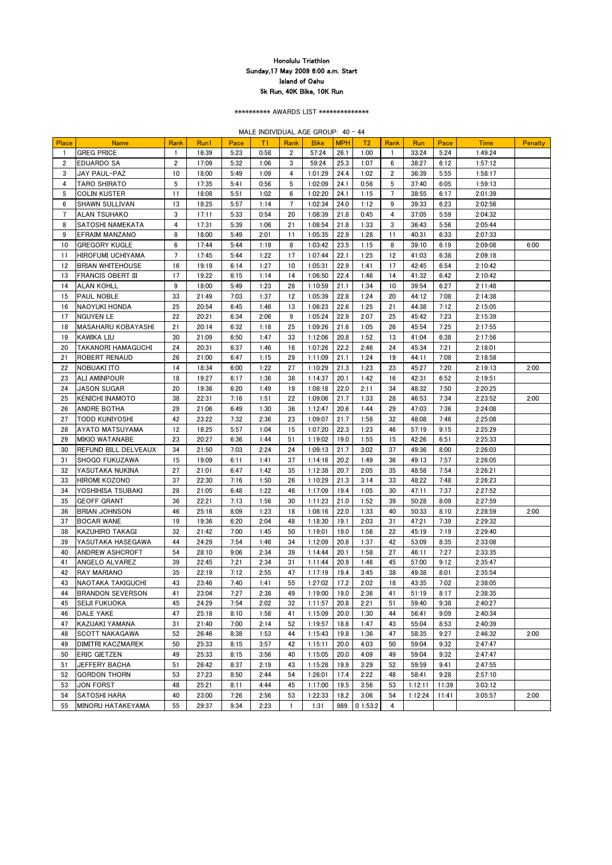\*\*\*\*\*\*\*\*\*\* AWARDS LIST \*\*\*\*\*\*\*\*\*\*\*\*\*\*

MALE INDIVIDUAL AGE GROUP: 40 - 44

| Place        | <b>Name</b>                 | Rank             | Run1  | Pace | T1   | Rank                  | <b>Bike</b> | <b>MPH</b> | T <sub>2</sub> | Rank           | Run     | Pace  | <b>Time</b> | <b>Penalty</b> |
|--------------|-----------------------------|------------------|-------|------|------|-----------------------|-------------|------------|----------------|----------------|---------|-------|-------------|----------------|
|              | <b>GREG PRICE</b>           | -1               | 16:39 | 5:23 | 0:58 | $\mathbf{2}^{\prime}$ | 57:24       | 26.1       | 1:00           | $\mathbf{1}$   | 33:24   | 5:24  | 1:49:24     |                |
| $\mathbf{2}$ | <b>EDUARDO SA</b>           | $\boldsymbol{2}$ | 17:09 | 5:32 | 1:06 | 3                     | 59:24       | 25.3       | 1:07           | 6              | 38:27   | 6:12  | 1:57:12     |                |
| 3            | JAY PAUL-PAZ                | 10               | 18:00 | 5:49 | 1:09 | 4                     | 1:01:29     | 24.4       | 1:02           | $\mathbf{2}$   | 36:39   | 5:55  | 1:58:17     |                |
| 4            | <b>TARO SHIRATO</b>         | 5                | 17:35 | 5:41 | 0:56 | 5                     | 1:02:09     | 24.1       | 0:56           | 5              | 37:40   | 6:05  | 1:59:13     |                |
| 5            | <b>COLIN KUSTER</b>         | 11               | 18:08 | 5:51 | 1:02 | 6                     | 1:02:20     | 24.1       | 1:15           | $\overline{7}$ | 38:55   | 6:17  | 2:01:39     |                |
| 6            | <b>SHAWN SULLIVAN</b>       | 13               | 18:25 | 5:57 | 1:14 | $\overline{7}$        | 1:02:34     | 24.0       | 1:12           | 9              | 39:33   | 6:23  | 2:02:56     |                |
|              | <b>ALAN TSUHAKO</b>         | 3                | 17:11 | 5:33 | 0:54 | 20                    | 1:08:39     | 21.8       | 0:45           | 4              | 37:05   | 5:59  | 2:04:32     |                |
| 8            | ISATOSHI NAMEKATA           | 4                | 17:31 | 5:39 | 1:06 | 21                    | 1:08:54     | 21.8       | 1:33           | 3              | 36:43   | 5:56  | 2:05:44     |                |
| 9            | <b>EFRAIM MANZANO</b>       | 8                | 18:00 | 5:49 | 2:01 | 11                    | 1:05:35     | 22.9       | 1:28           | 11             | 40:31   | 6:33  | 2:07:33     |                |
| 10           | <b>GREGORY KUGLE</b>        | 6                | 17:44 | 5:44 | 1:19 | 8                     | 1:03:42     | 23.5       | 1:15           | 8              | 39:10   | 6:19  | 2:09:08     | 6:00           |
| 11           | <b>HIROFUMI UCHIYAMA</b>    | $\overline{7}$   | 17:45 | 5:44 | 1:22 | 17                    | 1:07:44     | 22.1       | 1:25           | 12             | 41:03   | 6:38  | 2:09:18     |                |
| 12           | <b>BRIAN WHITEHOUSE</b>     | 16               | 19:19 | 6:14 | 1:27 | 10                    | 1:05:31     | 22.9       | 1:41           | 17             | 42:45   | 6:54  | 2:10:42     |                |
| 13           | <b>FRANCIS OBERT III</b>    | 17               | 19:22 | 6:15 | 1:14 | 14                    | 1:06:50     | 22.4       | 1:46           | 14             | 41:32   | 6:42  | 2:10:42     |                |
| 14           | <b>ALAN KOHLL</b>           | 9                | 18:00 | 5:49 | 1:23 | 28                    | 1:10:59     | 21.1       | 1:34           | 10             | 39:54   | 6:27  | 2:11:48     |                |
| 15           | <b>PAUL NOBLE</b>           | 33               | 21:49 | 7:03 | 1:37 | 12                    | 1:05:39     | 22.8       | 1:24           | 20             | 44:12   | 7:08  | 2:14:38     |                |
| 16           | <b>NAOYUKI HONDA</b>        | 25               | 20:54 | 6:45 | 1:46 | 13                    | 1:06:23     | 22.6       | 1:25           | 21             | 44:38   | 7:12  | 2:15:05     |                |
| 17           | <b>NGUYEN LE</b>            | 22               | 20:21 | 6:34 | 2:06 | 9                     | 1:05:24     | 22.9       | 2:07           | 25             | 45:42   | 7:23  | 2:15:39     |                |
| 18           | <b>MASAHARU KOBAYASHI</b>   | 21               | 20:14 | 6:32 | 1:18 | 25                    | 1:09:26     | 21.6       | 1:05           | 26             | 45:54   | 7:25  | 2:17:55     |                |
| 19           | <b>KAWIKA LIU</b>           | 30               | 21:09 | 6:50 | 1:47 | 33                    | 1:12:06     | 20.8       | 1:52           | 13             | 41:04   | 6:38  | 2:17:56     |                |
| 20           | <b>TAKANORI HAMAGUCHI</b>   | 24               | 20:31 | 6:37 | 1:46 | 16                    | 1:07:26     | 22.2       | 2:46           | 24             | 45:34   | 7:21  | 2:18:01     |                |
| 21           | ROBERT RENAUD               | 26               | 21:00 | 6:47 | 1:15 | 29                    | 1:11:09     | 21.1       | 1:24           | 19             | 44:11   | 7:08  | 2:18:58     |                |
| 22           | <b>NOBUAKI ITO</b>          | 14               | 18:34 | 6:00 | 1:22 | 27                    | 1:10:29     | 21.3       | 1:23           | 23             | 45:27   | 7:20  | 2:19:13     | 2:00           |
| 23           | <b>ALI AMINPOUR</b>         | 18               | 19:27 | 6:17 | 1:36 | 38                    | 1:14:37     | 20.1       | 1:42           | 16             | 42:31   | 6:52  | 2:19:51     |                |
| 24           | <b>JASON SUGAR</b>          | 20               | 19:36 | 6:20 | 1:49 | 19                    | 1:08:18     | 22.0       | 2:11           | 34             | 48:32   | 7:50  | 2:20:25     |                |
| 25           | <b>KENICHI INAMOTO</b>      | 38               | 22:31 | 7:16 | 1:51 | 22                    | 1:09:06     | 21.7       | 1:33           | 28             | 46:53   | 7:34  | 2:23:52     | 2:00           |
| 26           | <b>ANDRE BOTHA</b>          | 29               | 21:06 | 6:49 | 1:30 | 36                    | 1:12:47     | 20.6       | 1:44           | 29             | 47:03   | 7:36  | 2:24:08     |                |
| 27           | <b>TODD KUNIYOSHI</b>       | 42               | 23:22 | 7:32 | 2:36 | 23                    | 1:09:07     | 21.7       | 1:58           | 32             | 48:08   | 7:46  | 2:25:08     |                |
| 28           | <b>AYATO MATSUYAMA</b>      | 12               | 18:25 | 5:57 | 1:04 | 15                    | 1:07:20     | 22.3       | 1:23           | 46             | 57:19   | 9:15  | 2:25:29     |                |
| 29           | <b>MIKIO WATANABE</b>       | 23               | 20:27 | 6:36 | 1:44 | 51                    | 1:19:02     | 19.0       | 1:55           | 15             | 42:26   | 6:51  | 2:25:33     |                |
| 30           | <b>REFUND BILL DELVEAUX</b> | 34               | 21:50 | 7:03 | 2:24 | 24                    | 1:09:13     | 21.7       | 3:02           | 37             | 49:36   | 8:00  | 2:26:03     |                |
| 31           | SHOGO FUKUZAWA              | 15               | 19:09 | 6:11 | 1:41 | 37                    | 1:14:16     | 20.2       | 1:49           | 36             | 49:13   | 7:57  | 2:26:05     |                |
| 32           | YASUTAKA NUKINA             | 27               | 21:01 | 6:47 | 1:42 | 35                    | 1:12:38     | 20.7       | 2:05           | 35             | 48:58   | 7:54  | 2:26:21     |                |
| 33           | <b>HIROMI KOZONO</b>        | 37               | 22:30 | 7:16 | 1:50 | 26                    | 1:10:29     | 21.3       | 3:14           | 33             | 48:22   | 7:48  | 2:26:23     |                |
| 34           |                             | 28               |       | 6:48 | 1:22 | 46                    | 1:17:09     | 19.4       | 1:05           | 30             | 47:11   | 7:37  |             |                |
|              | YOSHIHISA TSUBAKI           |                  | 21:05 |      |      |                       |             |            |                |                |         |       | 2:27:52     |                |
| 35           | <b>GEOFF GRANT</b>          | 36               | 22:21 | 7:13 | 1:56 | 30                    | 1:11:23     | 21.0       | 1:52           | 39             | 50:28   | 8:09  | 2:27:59     |                |
| 36           | <b>BRIAN JOHNSON</b>        | 46               | 25:16 | 8:09 | 1:23 | 18                    | 1:08:16     | 22.0       | 1:33           | 40             | 50:33   | 8:10  | 2:28:59     | 2:00           |
| 37           | <b>BOCAR WANE</b>           | 19               | 19:36 | 6:20 | 2:04 | 48                    | 1:18:30     | 19.1       | 2:03           | 31             | 47:21   | 7:39  | 2:29:32     |                |
| 38           | <b>KAZUHIRO TAKAGI</b>      | 32               | 21:42 | 7:00 | 1:45 | 50                    | 1:19:01     | 19.0       | 1:56           | 22             | 45:19   | 7:19  | 2:29:40     |                |
| 39           | YASUTAKA HASEGAWA           | 44               | 24:29 | 7:54 | 1:46 | 34                    | 1:12:09     | 20.8       | 1:37           | 42             | 53:09   | 8:35  | 2:33:08     |                |
| 40           | <b>ANDREW ASHCROFT</b>      | 54               | 28:10 | 9:06 | 2:34 | 39                    | 1:14:44     | 20.1       | 1:58           | 27             | 46:11   | 7:27  | 2:33:35     |                |
| 41           | ANGELO ALVAREZ              | 39               | 22:45 | 7:21 | 2:34 | 31                    | 1:11:44     | 20.9       | 1:46           | 45             | 57:00   | 9:12  | 2:35:47     |                |
| 42           | <b>RAY MARIANO</b>          | 35               | 22:19 | 7:12 | 2:55 | 47                    | 1:17:19     | 19.4       | 3:45           | 38             | 49:38   | 8:01  | 2:35:54     |                |
| 43           | NAOTAKA TAKIGUCHI           | 43               | 23:46 | 7:40 | 1:41 | 55                    | 1:27:02     | 17.2       | 2:02           | 18             | 43:35   | 7:02  | 2:38:05     |                |
| 44           | <b>BRANDON SEVERSON</b>     | 41               | 23:04 | 7:27 | 2:38 | 49                    | 1:19:00     | 19.0       | 2:36           | 41             | 51:19   | 8:17  | 2:38:35     |                |
| 45           | <b>SEIJI FUKUOKA</b>        | 45               | 24:29 | 7:54 | 2:02 | 32                    | 1:11:57     | 20.8       | 2:21           | 51             | 59:40   | 9:38  | 2:40:27     |                |
| 46           | <b>DALE YAKE</b>            | 47               | 25:18 | 8:10 | 1:58 | 41                    | 1:15:09     | 20.0       | 1:30           | 44             | 56:41   | 9:09  | 2:40:34     |                |
| 47           | KAZUAKI YAMANA              | 31               | 21:40 | 7:00 | 2:14 | 52                    | 1:19:57     | 18.8       | 1:47           | 43             | 55:04   | 8:53  | 2:40:39     |                |
| 48           | <b>SCOTT NAKAGAWA</b>       | 52               | 26:46 | 8:38 | 1:53 | 44                    | 1:15:43     | 19.8       | 1:36           | 47             | 58:35   | 9:27  | 2:46:32     | 2:00           |
| 49           | <b>DIMITRI KACZMAREK</b>    | 50               | 25:33 | 8:15 | 3:57 | 42                    | 1:15:11     | 20.0       | 4:03           | 50             | 59:04   | 9:32  | 2:47:47     |                |
| 50           | <b>ERIC GIETZEN</b>         | 49               | 25:33 | 8:15 | 3:56 | 40                    | 1:15:05     | 20.0       | 4:09           | 49             | 59:04   | 9:32  | 2:47:47     |                |
| 51           | <b>JEFFERY BACHA</b>        | 51               | 26:42 | 8:37 | 2:19 | 43                    | 1:15:28     | 19.9       | 3:29           | 52             | 59:59   | 9:41  | 2:47:55     |                |
| 52           | <b>GORDON THORN</b>         | 53               | 27:23 | 8:50 | 2:44 | 54                    | 1:26:01     | 17.4       | 2:22           | 48             | 58:41   | 9:28  | 2:57:10     |                |
| 53           | <b>JON FORST</b>            | 48               | 25:21 | 8:11 | 4:44 | 45                    | 1:17:00     | 19.5       | 3:56           | 53             | 1:12:11 | 11:39 | 3:03:12     |                |
| 54           | <b>SATOSHI HARA</b>         | 40               | 23:00 | 7:26 | 2:56 | 53                    | 1:22:33     | 18.2       | 3:06           | 54             | 1:12:24 | 11:41 | 3:05:57     | 2:00           |
| 55           | MINORU HATAKEYAMA           | 55               | 29:37 | 9:34 | 2:23 |                       | 1:31        | 989.       | 01:53:2        | 4              |         |       |             |                |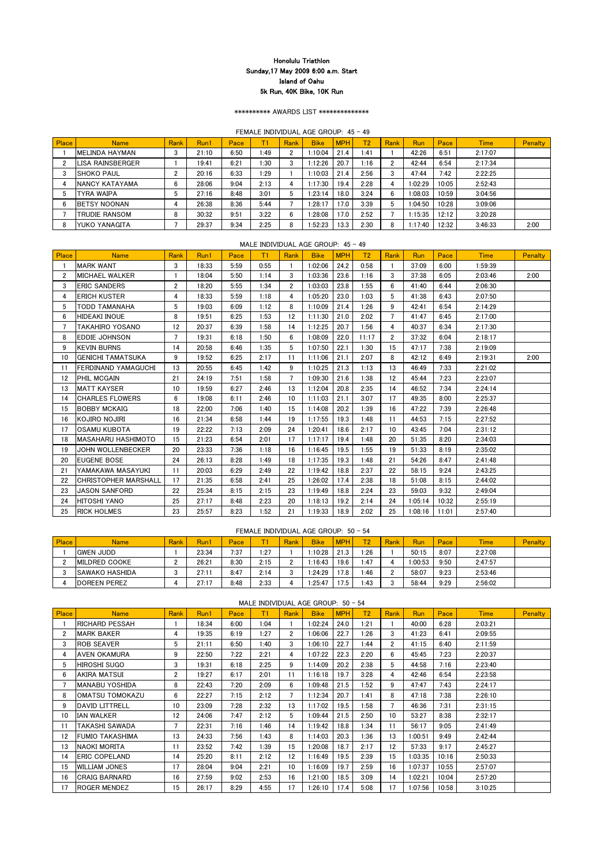\*\*\*\*\*\*\*\*\*\* AWARDS LIST \*\*\*\*\*\*\*\*\*\*\*\*\*\*

FEMALE INDIVIDUAL AGE GROUP: 45 - 49

| <b>Place</b> | <b>Name</b>          | <b>Rank</b> | Run1  | Pace |      | Rank        | <b>Bike</b> | <b>MPH</b> | T2   | Rank | Run     | Pace  | <b>Time</b> | <b>Penalty</b> |
|--------------|----------------------|-------------|-------|------|------|-------------|-------------|------------|------|------|---------|-------|-------------|----------------|
|              | IMELINDA HAYMAN      | 3           | 21:10 | 6:50 | 1:49 | 2           | 10:04       | 21.4       | 1:41 |      | 42:26   | 6:51  | 2:17:07     |                |
|              | LISA RAINSBERGER     |             | 19:41 | 6:21 | 1:30 | 3           | :12:26      | 20.7       | 1:16 |      | 42:44   | 6:54  | 2:17:34     |                |
|              | <b>ISHOKO PAUL</b>   | c<br>ے      | 20:16 | 6:33 | l:29 |             | 1:10:03     | 21.4       | 2:56 |      | 47:44   | 7:42  | 2:22:25     |                |
|              | INANCY KATAYAMA      | 6           | 28:06 | 9:04 | 2:13 | 4           | :17:30      | 19.4       | 2:28 |      | 1:02:29 | 10:05 | 2:52:43     |                |
| 5            | <b>TYRA WAIPA</b>    | 5           | 27:16 | 8:48 | 3:01 | $\mathbf b$ | 1:23:14     | 18.0       | 3:24 |      | 1:08:03 | 10:59 | 3:04:56     |                |
| -6           | <b>IBETSY NOONAN</b> |             | 26:38 | 8:36 | 5:44 |             | l:28:17     | 17.0       | 3:39 |      | 1:04:50 | 10:28 | 3:09:06     |                |
|              | <b>TRUDIE RANSOM</b> | 8           | 30:32 | 9:51 | 3:22 | 6           | :28:08      | 17.0       | 2:52 |      | 1:15:35 | 12:12 | 3:20:28     |                |
|              | YUKO YANAGITA        |             | 29:37 | 9:34 | 2:25 | 8           | :52:23      | 13.3       | 2:30 |      | 1:17:40 | 12:32 | 3:46:33     | 2:00           |

MALE INDIVIDUAL AGE GROUP: 45 - 49

| Place          | <b>Name</b>                 | Rank           | Run1  | Pace | T1   | Rank           | <b>Bike</b> | <b>MPH</b> | T <sub>2</sub> | Rank           | <b>Run</b> | Pace  | <b>Time</b> | <b>Penalty</b> |
|----------------|-----------------------------|----------------|-------|------|------|----------------|-------------|------------|----------------|----------------|------------|-------|-------------|----------------|
|                | <b>MARK WANT</b>            | 3              | 18:33 | 5:59 | 0:55 |                | 1:02:06     | 24.2       | 0:58           |                | 37:09      | 6:00  | 1:59:39     |                |
| $\overline{2}$ | <b>MICHAEL WALKER</b>       |                | 18:04 | 5:50 | 1:14 | 3              | 1:03:36     | 23.6       | 1:16           | 3              | 37:38      | 6:05  | 2:03:46     | 2:00           |
| 3              | <b>ERIC SANDERS</b>         | $\mathbf{2}$   | 18:20 | 5:55 | 1:34 | $\overline{2}$ | 1:03:03     | 23.8       | 1:55           | 6              | 41:40      | 6:44  | 2:06:30     |                |
| 4              | <b>ERICH KUSTER</b>         | 4              | 18:33 | 5:59 | 1:18 | 4              | 1:05:20     | 23.0       | 1:03           | 5              | 41:38      | 6:43  | 2:07:50     |                |
| 5              | <b>TODD TAMANAHA</b>        | 5              | 19:03 | 6:09 | 1:12 | 8              | 1:10:09     | 21.4       | 1:26           | 9              | 42:41      | 6:54  | 2:14:29     |                |
| 6              | HIDEAKI INOUE               | 8              | 19:51 | 6:25 | 1:53 | 12             | 1:11:30     | 21.0       | 2:02           | $\overline{7}$ | 41:47      | 6:45  | 2:17:00     |                |
|                | <b>TAKAHIRO YOSANO</b>      | 12             | 20:37 | 6:39 | 1:58 | 14             | 1:12:25     | 20.7       | 1:56           | 4              | 40:37      | 6:34  | 2:17:30     |                |
| 8              | <b>EDDIE JOHNSON</b>        | $\overline{7}$ | 19:31 | 6:18 | 1:50 | 6              | 1:08:09     | 22.0       | 11:17          | $\overline{2}$ | 37:32      | 6:04  | 2:18:17     |                |
| 9              | <b>KEVIN BURNS</b>          | 14             | 20:58 | 6:46 | 1:35 | 5              | 1:07:50     | 22.1       | 1:30           | 15             | 47:17      | 7:38  | 2:19:09     |                |
| 10             | <b>GENICHI TAMATSUKA</b>    | 9              | 19:52 | 6:25 | 2:17 | 11             | 1:11:06     | 21.1       | 2:07           | 8              | 42:12      | 6:49  | 2:19:31     | 2:00           |
| 11             | <b>FERDINAND YAMAGUCHI</b>  | 13             | 20:55 | 6:45 | 1:42 | 9              | 1:10:25     | 21.3       | 1:13           | 13             | 46:49      | 7:33  | 2:21:02     |                |
| 12             | <b>PHIL MCGAIN</b>          | 21             | 24:19 | 7:51 | 1:58 | $\overline{7}$ | 1:09:30     | 21.6       | 1:38           | 12             | 45:44      | 7:23  | 2:23:07     |                |
| 13             | IMATT KAYSER                | 10             | 19:59 | 6:27 | 2:46 | 13             | 1:12:04     | 20.8       | 2:35           | 14             | 46:52      | 7:34  | 2:24:14     |                |
| 14             | <b>CHARLES FLOWERS</b>      | 6              | 19:08 | 6:11 | 2:46 | 10             | 1:11:03     | 21.1       | 3:07           | 17             | 49:35      | 8:00  | 2:25:37     |                |
| 15             | <b>IBOBBY MCKAIG</b>        | 18             | 22:00 | 7:06 | 1:40 | 15             | 1:14:08     | 20.2       | 1:39           | 16             | 47:22      | 7:39  | 2:26:48     |                |
| 16             | <b>KOJIRO NOJIRI</b>        | 16             | 21:34 | 6:58 | 1:44 | 19             | 1:17:55     | 19.3       | 1:48           | 11             | 44:53      | 7:15  | 2:27:52     |                |
| 17             | IOSAMU KUBOTA               | 19             | 22:22 | 7:13 | 2:09 | 24             | 1:20:41     | 18.6       | 2:17           | 10             | 43:45      | 7:04  | 2:31:12     |                |
| 18             | IMASAHARU HASHIMOTO         | 15             | 21:23 | 6:54 | 2:01 | 17             | 1:17:17     | 19.4       | 1:48           | 20             | 51:35      | 8:20  | 2:34:03     |                |
| 19             | <b>JOHN WOLLENBECKER</b>    | 20             | 23:33 | 7:36 | 1:18 | 16             | 1:16:45     | 19.5       | 1:55           | 19             | 51:33      | 8:19  | 2:35:02     |                |
| 20             | <b>EUGENE BOSE</b>          | 24             | 26:13 | 8:28 | 1:49 | 18             | 1:17:35     | 19.3       | 1:48           | 21             | 54:26      | 8:47  | 2:41:48     |                |
| 21             | YAMAKAWA MASAYUKI           | 11             | 20:03 | 6:29 | 2:49 | 22             | 1:19:42     | 18.8       | 2:37           | 22             | 58:15      | 9:24  | 2:43:25     |                |
| 22             | <b>CHRISTOPHER MARSHALL</b> | 17             | 21:35 | 6:58 | 2:41 | 25             | 1:26:02     | 17.4       | 2:38           | 18             | 51:08      | 8:15  | 2:44:02     |                |
| 23             | <b>JASON SANFORD</b>        | 22             | 25:34 | 8:15 | 2:15 | 23             | 1:19:49     | 18.8       | 2:24           | 23             | 59:03      | 9:32  | 2:49:04     |                |
| 24             | <b>HITOSHI YANO</b>         | 25             | 27:17 | 8:48 | 2:23 | 20             | 1:18:13     | 19.2       | 2:14           | 24             | 1:05:14    | 10:32 | 2:55:19     |                |
| 25             | <b>RICK HOLMES</b>          | 23             | 25:57 | 8:23 | 1:52 | 21             | 1:19:33     | 18.9       | 2:02           | 25             | 1:08:16    | 11:01 | 2:57:40     |                |

### FEMALE INDIVIDUAL AGE GROUP: 50 - 54

| Place | <b>Name</b>           | Rank | Run1  | Pace | T.   | Rank | <b>Bike</b> | <b>MPH</b> | T2    | <b>Rank</b> | Run     | Pace | <b>Time</b> | Penalty |
|-------|-----------------------|------|-------|------|------|------|-------------|------------|-------|-------------|---------|------|-------------|---------|
|       | <b>GWEN JUDD</b>      |      | 23:34 | 7:37 | :27  |      | 1:10:28     | 21.3       | 1:26  |             | 50:15   | 8:07 | 2:27:08     |         |
|       | <b>IMILDRED COOKE</b> |      | 26:21 | 8:30 | 2:15 |      | 1:16:43     | 19.6       | 1:47  |             | 1:00:53 | 9:50 | 2:47:57     |         |
|       | <b>SAWAKO HASHIDA</b> |      | 27:11 | 8:47 | 2:14 | n    | 1:24:29     | 17.8       | 1:46  |             | 58:07   | 9:23 | 2:53:46     |         |
|       | <b>IDOREEN PEREZ</b>  |      | 27:17 | 8:48 | 2:33 |      | 1:25:47     | 17.5       | 43: ا |             | 58:44   | 9:29 | 2:56:02     |         |

## MALE INDIVIDUAL AGE GROUP: 50 - 54

| <b>Place</b>   | <b>Name</b>            | <b>Rank</b>           | Run1  | Pace | T1   | Rank                 | <b>Bike</b> | <b>MPH</b> | T <sub>2</sub> | Rank                 | <b>Run</b> | Pace  | <b>Time</b> | <b>Penalty</b> |
|----------------|------------------------|-----------------------|-------|------|------|----------------------|-------------|------------|----------------|----------------------|------------|-------|-------------|----------------|
|                | <b>RICHARD PESSAH</b>  |                       | 18:34 | 6:00 | 1:04 |                      | 1:02:24     | 24.0       | 1:21           |                      | 40:00      | 6:28  | 2:03:21     |                |
| $\overline{2}$ | <b>MARK BAKER</b>      | 4                     | 19:35 | 6:19 | 1:27 | $\mathbf{2}^{\circ}$ | 1:06:06     | 22.7       | 1:26           | 3                    | 41:23      | 6:41  | 2:09:55     |                |
| 3              | <b>ROB SEAVER</b>      | 5                     | 21:11 | 6:50 | 1:40 | 3                    | 1:06:10     | 22.7       | 1:44           | $\mathbf{2}^{\circ}$ | 41:15      | 6:40  | 2:11:59     |                |
| 4              | <b>AVEN OKAMURA</b>    | 9                     | 22:50 | 7:22 | 2:21 | 4                    | 1:07:22     | 22.3       | 2:20           | 6                    | 45:45      | 7:23  | 2:20:37     |                |
| 5              | <b>HIROSHI SUGO</b>    | 3                     | 19:31 | 6:18 | 2:25 | 9                    | 1:14:09     | 20.2       | 2:38           | 5                    | 44:58      | 7:16  | 2:23:40     |                |
| 6              | AKIRA MATSUI           | $\mathbf{2}^{\prime}$ | 19:27 | 6:17 | 2:01 | 11                   | 1:16:18     | 19.7       | 3:28           | 4                    | 42:46      | 6:54  | 2:23:58     |                |
| $\overline{7}$ | MANABU YOSHIDA         | 8                     | 22:43 | 7:20 | 2:09 | 6                    | 1:09:48     | 21.5       | 1:52           | 9                    | 47:47      | 7:43  | 2:24:17     |                |
| 8              | <b>OMATSU TOMOKAZU</b> | 6                     | 22:27 | 7:15 | 2:12 | 7                    | 1:12:34     | 20.7       | 1:41           | 8                    | 47:18      | 7:38  | 2:26:10     |                |
| 9              | <b>DAVID LITTRELL</b>  | 10 <sup>°</sup>       | 23:09 | 7:28 | 2:32 | 13                   | 1:17:02     | 19.5       | 1:58           | $\overline{7}$       | 46:36      | 7:31  | 2:31:15     |                |
| 10             | IAN WALKER             | 12                    | 24:06 | 7:47 | 2:12 | 5                    | 1:09:44     | 21.5       | 2:50           | 10 <sup>°</sup>      | 53:27      | 8:38  | 2:32:17     |                |
| 11             | TAKASHI SAWADA         |                       | 22:31 | 7:16 | 1:46 | 14                   | 1:19:42     | 18.8       | 1:34           | 11                   | 56:17      | 9:05  | 2:41:49     |                |
| 12             | <b>FUMIO TAKASHIMA</b> | 13                    | 24:33 | 7:56 | 1:43 | 8                    | 1:14:03     | 20.3       | 1:36           | 13                   | 1:00:51    | 9:49  | 2:42:44     |                |
| 13             | INAOKI MORITA          | 11                    | 23:52 | 7:42 | 1:39 | 15                   | 1:20:08     | 18.7       | 2:17           | 12                   | 57:33      | 9:17  | 2:45:27     |                |
| 14             | <b>ERIC COPELAND</b>   | 14                    | 25:20 | 8:11 | 2:12 | 12                   | 1:16:49     | 19.5       | 2:39           | 15                   | 1:03:35    | 10:16 | 2:50:33     |                |
| 15             | <b>WILLIAM JONES</b>   | 17                    | 28:04 | 9:04 | 2:21 | 10                   | 1:16:09     | 19.7       | 2:59           | 16                   | 1:07:37    | 10:55 | 2:57:07     |                |
| 16             | <b>CRAIG BARNARD</b>   | 16                    | 27:59 | 9:02 | 2:53 | 16                   | 1:21:00     | 18.5       | 3:09           | 14                   | 1:02:21    | 10:04 | 2:57:20     |                |
| 17             | <b>ROGER MENDEZ</b>    | 15                    | 26:17 | 8:29 | 4:55 | 17                   | 1:26:10     | 17.4       | 5:08           | 17                   | 1:07:56    | 10:58 | 3:10:25     |                |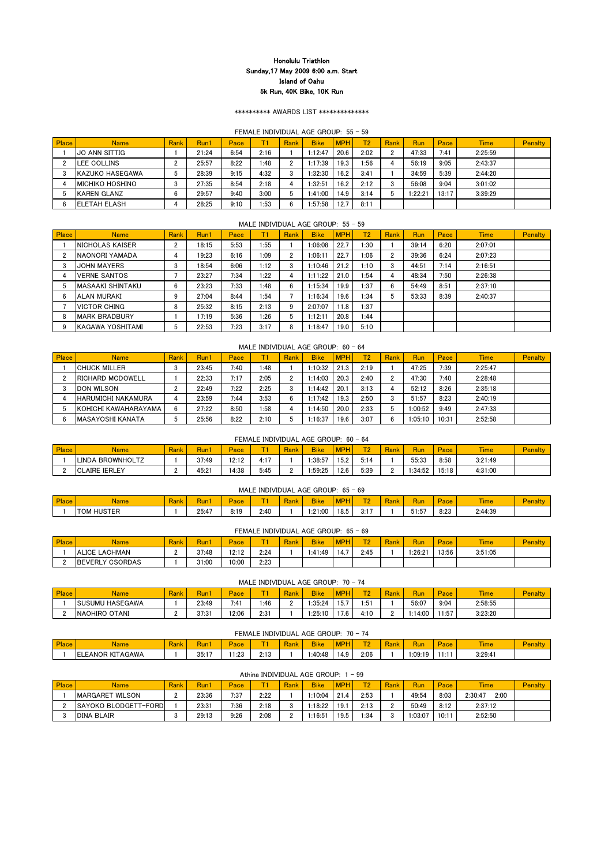#### \*\*\*\*\*\*\*\*\*\* AWARDS LIST \*\*\*\*\*\*\*\*\*\*\*\*\*\*

### FEMALE INDIVIDUAL AGE GROUP: 55 - 59

| <b>Place</b> | <b>Name</b>          | Rank | Run1  | Pace |      | Rank | <b>Bike</b> | <b>MPH</b> | T2   | <b>Rank</b> | Run    | Pace  | <b>Time</b> | <b>Penalty</b> |
|--------------|----------------------|------|-------|------|------|------|-------------|------------|------|-------------|--------|-------|-------------|----------------|
|              | IJO ANN SITTIG       |      | 21:24 | 6:54 | 2:16 |      | 1:12:47     | 20.6       | 2:02 |             | 47:33  | 7:41  | 2:25:59     |                |
|              | LEE COLLINS          |      | 25:57 | 8:22 | :48  |      | :17:39      | 19.3       | 1:56 |             | 56:19  | 9:05  | 2:43:37     |                |
|              | IKAZUKO HASEGAWA     |      | 28:39 | 9:15 | 4:32 |      | :32:30      | 16.2       | 3:41 |             | 34:59  | 5:39  | 2:44:20     |                |
|              | IMICHIKO HOSHINO     |      | 27:35 | 8:54 | 2:18 | 4    | :32:51      | 16.2       | 2:12 |             | 56:08  | 9:04  | 3:01:02     |                |
|              | IKAREN GLANZ         | 6    | 29:57 | 9:40 | 3:00 | ა    | 1:41:00     | 14.9       | 3:14 |             | 1:22:2 | 13:17 | 3:39:29     |                |
|              | <b>IELETAH ELASH</b> |      | 28:25 | 9:10 | :53  | 6    | :57:58      | 12.7       | 8:11 |             |        |       |             |                |

| <b>Place</b> | <b>Name</b>             | Rank   | Run1  | Pace |      | Rank           | <b>Bike</b> | <b>MPH</b>        | T2         | Rank | Run   | Pace | <b>Time</b> | Penalty |
|--------------|-------------------------|--------|-------|------|------|----------------|-------------|-------------------|------------|------|-------|------|-------------|---------|
|              | <b>INICHOLAS KAISER</b> | ∩      | 18:15 | 5:53 | 1:55 |                | 1:06:08     | 22.7              | $\cdot 30$ |      | 39:14 | 6:20 | 2:07:01     |         |
|              | INAONORI YAMADA         | 4      | 19:23 | 6:16 | 1:09 | ŋ              | 1:06:11     | 22.7              | 1:06       |      | 39:36 | 6:24 | 2:07:23     |         |
| 3            | <b>JOHN MAYERS</b>      | ∩<br>ۍ | 18:54 | 6:06 | 1:12 | 3              | 10:46       | 21.2              | 1:10       |      | 44:51 | 7:14 | 2:16:51     |         |
|              | <b>VERNE SANTOS</b>     |        | 23:27 | 7:34 | 1:22 | 4              | 1:11:22     | 21.0              | l:54       |      | 48:34 | 7:50 | 2:26:38     |         |
| 5            | IMASAAKI SHINTAKU       | 6      | 23:23 | 7:33 | 1:48 | 6              | 1:15:34     | 19.9 <sub>1</sub> | 1:37       |      | 54:49 | 8:51 | 2:37:10     |         |
| 6            | <b>ALAN MURAKI</b>      |        | 27:04 | 8:44 | 1:54 |                | 1:16:34     | 19.6              | 1:34       |      | 53:33 | 8:39 | 2:40:37     |         |
|              | <b>VICTOR CHING</b>     | 8      | 25:32 | 8:15 | 2:13 | 9              | 2:07:07     | 11.8              | 1:37       |      |       |      |             |         |
| -8           | IMARK BRADBURY          |        | 17:19 | 5:36 | 1:26 | $\mathfrak{p}$ | 1:12:11     | 20.8              | 1:44       |      |       |      |             |         |
| 9            | KAGAWA YOSHITAMI        | 5      | 22:53 | 7:23 | 3:17 | 8              | 1:18:47     | 19.0              | 5:10       |      |       |      |             |         |

### MALE INDIVIDUAL AGE GROUP:  $60 - 64$

| TAGAWA<br><b>EANOF</b><br>רז ⁄ו<br>$\sim$ $\sim$ $\sim$ | りに<br>ັບບ. . | .1.00<br>ں ے. ا | $-1.1$ $^{\circ}$<br>. . | 40:48∶ا | $\mathbf{1} \Delta \mathbf{U}$<br>т. о | 2:06 | 09:19:، | 3:29:4 |  |
|---------------------------------------------------------|--------------|-----------------|--------------------------|---------|----------------------------------------|------|---------|--------|--|

Athina INDIVIDUAL AGE GROUP: 1 - 99

| <b>Place</b> | Name                       | <b>Rank</b> | Run1  | Pace |      | Rank | <b>Bike</b> | <b>MPH</b> | T2   | Rank | Run     | Pace  | <b>Time</b> | <b>Penalty</b> |
|--------------|----------------------------|-------------|-------|------|------|------|-------------|------------|------|------|---------|-------|-------------|----------------|
|              | <b>ICHUCK MILLER</b>       |             | 23:45 | 7:40 | l:48 |      | 1:10:32     | 21.3       | 2:19 |      | 47:25   | 7:39  | 2:25:47     |                |
|              | <b>IRICHARD MCDOWELL</b>   |             | 22:33 | 7:17 | 2:05 |      | l:14:03     | 20.3       | 2:40 |      | 47:30   | 7:40  | 2:28:48     |                |
|              | <b>IDON WILSON</b>         |             | 22:49 | 7:22 | 2:25 |      | 1:14:42     | 20.7       | 3:13 |      | 52:12   | 8:26  | 2:35:18     |                |
|              | <b>IHARUMICHI NAKAMURA</b> |             | 23:59 | 7:44 | 3:53 | 6    | 1:17:42     | 19.3       | 2:50 |      | 51:57   | 8:23  | 2:40:19     |                |
|              | IKOHICHI KAWAHARAYAMA      | 6           | 27:22 | 8:50 | 1:58 | 4    | 1:14:50     | 20.0       | 2:33 |      | 1:00:52 | 9:49  | 2:47:33     |                |
|              | IMASAYOSHI KANATA          |             | 25:56 | 8:22 | 2:10 |      | :16:37      | 19.6       | 3:07 |      | 1:05:10 | 10:31 | 2:52:58     |                |

### FEMALE INDIVIDUAL AGE GROUP: 60 - 64

| Place | <b>Name</b>                | <b>Rank</b> | Kun   | Pace  | $-$  | <b>Rank</b> | <b>Bike</b> | <b>APH</b> | $T^{\alpha}$ | Rank | Run     | Pace  | <b>The Company's Service</b><br><i>ime</i> | Penalt |
|-------|----------------------------|-------------|-------|-------|------|-------------|-------------|------------|--------------|------|---------|-------|--------------------------------------------|--------|
|       | LINDA<br><b>BROWNHOLTZ</b> |             | 37:49 | 12:12 | 4:17 |             | :38:57      | 15.2       | 5:14         |      | 55:33   | 8:58  | 3:21:49                                    |        |
|       | <b>ICLAIRE IERLEY</b>      |             | 45:21 | 4:38  | 5:45 |             | 59:25:،     | 12.6       | 5:39         |      | l:34:52 | 15:18 | 4:31:00                                    |        |

## MALE INDIVIDUAL AGE GROUP: 65 - 69

| Place | <b>Name</b>    | $\sim$<br><b>Rank</b> | $\overline{\phantom{a}}$<br>Kun | $\sim$<br>Pace | <b>Service</b> | Rank | <b>Bike</b> | $\sqrt{10}$<br><b>SHOPP</b> | <b>TEAM</b><br>. .    | $\overline{\phantom{a}}$<br><b>Rank</b> | Run        | Pace <sup>®</sup> | <b><i><u>Contract Contract Contract Contract Contract Contract Contract Contract Contract Contract Contract Contract Contract Contract Contract Contract Contract Contract Contract Contract Contract Contract Contract Contract Con</u></i></b><br>l ime | <b>Penalu</b> |
|-------|----------------|-----------------------|---------------------------------|----------------|----------------|------|-------------|-----------------------------|-----------------------|-----------------------------------------|------------|-------------------|-----------------------------------------------------------------------------------------------------------------------------------------------------------------------------------------------------------------------------------------------------------|---------------|
|       | HUSTER<br>ITOM |                       | 25:47                           | 9.10           | 2:40           |      | . 21:00∶،   | 18.5                        | $\rightarrow$<br>∪. ∟ |                                         | .<br>51:57 | 8:23              | 2:44:39                                                                                                                                                                                                                                                   |               |

| Place | Name                     | Rank | Run.            | Pace  | <b>Contract Contract Contract</b> | <b>Rank</b> | <b>Bike</b> | <b>MPH</b>    | $T^{\alpha}$<br>- - | $\sim$<br><b>Ra</b> | <b>Run</b> | $\sim$<br>Pace | <b>The Company's</b><br>l ime | <b>Penalt</b> |
|-------|--------------------------|------|-----------------|-------|-----------------------------------|-------------|-------------|---------------|---------------------|---------------------|------------|----------------|-------------------------------|---------------|
|       | <b>ISUSUMU HASEGAWA</b>  |      | 23:49           | 7:41  | :46                               | C           | :35:24      | 157<br>I J. 1 | 1:51                |                     | 56:07      | 9:04           | 2:58:55                       |               |
|       | OTANI<br><b>INAOHIRO</b> |      | 27.21<br>ა / .ა | 12:06 | 2:31                              |             | 25:10:      | 17.6          | 4:10                |                     | 4:00       | .1:57          | 3:23:20                       |               |

#### FEMALE INDIVIDUAL AGE GROUP: 70 - 74

| Place | Name | Rank | .<br>Run l | <b>MAGE</b><br>$-$ ace | <b>Rank</b> | <b>Bike</b> | <b>MPH</b> | $\mathbf{L}$ | $\sim$<br>/ Rank | Run | <b>Pace</b> | <b>Ime</b> | <b>Penalty</b> |
|-------|------|------|------------|------------------------|-------------|-------------|------------|--------------|------------------|-----|-------------|------------|----------------|
|       |      |      |            |                        |             |             |            |              |                  |     |             |            |                |

|              |                        |      |       |       |      |      | FEMALE INDIVIDUAL AGE GROUP: 65 - 69 |            |              |      |         |       |             |                |
|--------------|------------------------|------|-------|-------|------|------|--------------------------------------|------------|--------------|------|---------|-------|-------------|----------------|
| <b>Place</b> | <b>Name</b>            | Rank | Run1  | Pace  |      | Rank | <b>Bike</b>                          | <b>MPH</b> | $\mathbf{D}$ | Rank | Run     | Pace  | <b>Time</b> | <b>Penalty</b> |
|              | <b>ALICE LACHMAN</b>   |      | 37:48 | 12:12 | 2:24 |      | 1:41:49                              | 14.7       | 2:45         |      | 1:26:21 | 13:56 | 3:51:05     |                |
|              | <b>BEVERLY CSORDAS</b> |      | 31:00 | 10:00 | 2:23 |      |                                      |            |              |      |         |       |             |                |

### MALE INDIVIDUAL AGE GROUP: 70 - 74

| Place | <b>Name</b>             | Rank | Run1  | Pace | <b>The Company</b> | Rank | <b>Bike</b> | <b>MPH</b> | <b>TO</b>   | Rank | Run    | Pace  | <b>Time</b>     | <b>Penalty</b> |
|-------|-------------------------|------|-------|------|--------------------|------|-------------|------------|-------------|------|--------|-------|-----------------|----------------|
|       | <b>IMARGARET WILSON</b> |      | 23:36 | 7:37 | 2:22               |      | 1:10:04     | 21.4       | 2:53        |      | 49:54  | 8:03  | 2:00<br>2:30:47 |                |
|       | SAYOKO BLODGETT-FORD    |      | 23:31 | 7:36 | 2:18               |      | 1:18:22     | 19.1       | 2:13        |      | 50:49  | 8:12  | 2:37:12         |                |
|       | <b>DINA BLAIR</b>       | .    | 29:13 | 9:26 | 2:08               | C    | 1:16:51     | 19.5       | $\cdot$ :34 |      | :03:07 | 10:11 | 2:52:50         |                |

#### MALE INDIVIDUAL AGE GROUP: 55 - 59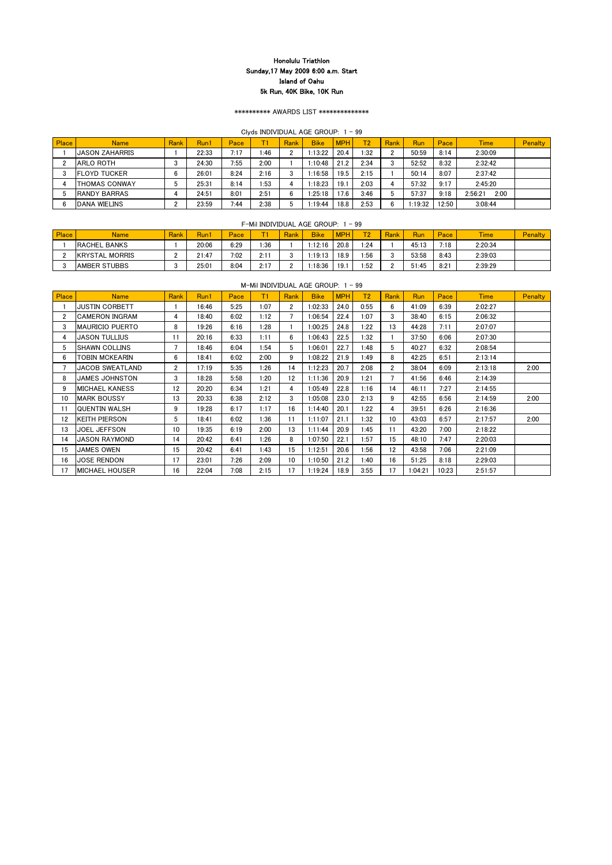## \*\*\*\*\*\*\*\*\*\* AWARDS LIST \*\*\*\*\*\*\*\*\*\*\*\*\*\*

## Clyds INDIVIDUAL AGE GROUP: 1 - 99

| <b>Place</b> | Name                  | <b>Rank</b> | Run1  | Pace |      | Rank | <b>Bike</b> | <b>MPH</b> | T2   | Rank | Run     | Pace  | <b>Time</b>     | Penalty |
|--------------|-----------------------|-------------|-------|------|------|------|-------------|------------|------|------|---------|-------|-----------------|---------|
|              | <b>JASON ZAHARRIS</b> |             | 22:33 | 7:17 | l:46 |      | 1:13:22     | 20.4       | 1:32 | n.   | 50:59   | 8:14  | 2:30:09         |         |
|              | ARLO ROTH             |             | 24:30 | 7:55 | 2:00 |      | 1:10:48     | 21.2       | 2:34 |      | 52:52   | 8:32  | 2:32:42         |         |
|              | <b>IFLOYD TUCKER</b>  |             | 26:01 | 8:24 | 2:16 |      | 1:16:58     | 19.5       | 2:15 |      | 50:14   | 8:07  | 2:37:42         |         |
|              | ITHOMAS CONWAY        |             | 25:31 | 8:14 | 1:53 | 4    | :18:23      | 19.1       | 2:03 |      | 57:32   | 9:17  | 2:45:20         |         |
|              | IRANDY BARRAS         |             | 24:51 | 8:01 | 2:51 | 6    | 1:25:18     | 17.6       | 3:46 |      | 57:37   | 9:18  | 2:00<br>2:56:21 |         |
|              | <b>IDANA WIELINS</b>  |             | 23:59 | 7:44 | 2:38 |      | :19:44      | 18.8       | 2:53 |      | 1:19:32 | 12:50 | 3:08:44         |         |

### F-Mil INDIVIDUAL AGE GROUP:  $1 - 99$

| Place | <b>Name</b>            | <b>Rank</b> | <b>Run</b> i | Pace | -    | Rank | <b>Bike</b> | <b>MPH</b> | $\overline{\mathbf{a}}$ | Rank | Run   | Pace | <b>Time</b> | Penalty |
|-------|------------------------|-------------|--------------|------|------|------|-------------|------------|-------------------------|------|-------|------|-------------|---------|
|       | <b>RACHEL BANKS</b>    |             | 20:06        | 6:29 | .36  |      | :12:16      | 20.8       | :24                     |      | 45:13 | 7:18 | 2:20:34     |         |
|       | <b>IKRYSTAL MORRIS</b> |             | 21:47        | 7:02 | 2:11 |      | :19:13      | 18.9       | :56                     |      | 53:58 | 8:43 | 2:39:03     |         |
|       | <b>IAMBER STUBBS</b>   |             | 25:01        | 8:04 | 2:17 |      | :18:36      | 19.1       | :52                     |      | 51:45 | 8:21 | 2:39:29     |         |

|              |                        |      |       |      |      |                      | $\frac{1}{2}$ |            |                |             |            |       |             |                |
|--------------|------------------------|------|-------|------|------|----------------------|---------------|------------|----------------|-------------|------------|-------|-------------|----------------|
| Place        | <b>Name</b>            | Rank | Run1  | Pace | T1   | Rank                 | <b>Bike</b>   | <b>MPH</b> | T <sub>2</sub> | Rank        | <b>Run</b> | Pace  | <b>Time</b> | <b>Penalty</b> |
|              | <b>JUSTIN CORBETT</b>  |      | 16:46 | 5:25 | 1:07 | $\mathbf{2}^{\circ}$ | 1:02:33       | 24.0       | 0:55           | 6           | 41:09      | 6:39  | 2:02:27     |                |
| $\mathbf{2}$ | <b>CAMERON INGRAM</b>  | 4    | 18:40 | 6:02 | 1:12 |                      | 1:06:54       | 22.4       | 1:07           | 3           | 38:40      | 6:15  | 2:06:32     |                |
| 3            | <b>MAURICIO PUERTO</b> | 8    | 19:26 | 6:16 | 1:28 |                      | 1:00:25       | 24.8       | 1:22           | 13          | 44:28      | 7:11  | 2:07:07     |                |
| 4            | <b>JASON TULLIUS</b>   | 11   | 20:16 | 6:33 | 1:11 | 6                    | 1:06:43       | 22.5       | 1:32           |             | 37:50      | 6:06  | 2:07:30     |                |
| 5            | <b>SHAWN COLLINS</b>   | 7    | 18:46 | 6:04 | 1:54 | 5                    | 1:06:01       | 22.7       | 1:48           | 5           | 40:27      | 6:32  | 2:08:54     |                |
| 6            | <b>TOBIN MCKEARIN</b>  | 6    | 18:41 | 6:02 | 2:00 | 9                    | 1:08:22       | 21.9       | 1:49           | 8           | 42:25      | 6:51  | 2:13:14     |                |
|              | <b>JACOB SWEATLAND</b> | 2    | 17:19 | 5:35 | 1:26 | 14                   | 1:12:23       | 20.7       | 2:08           | $2^{\circ}$ | 38:04      | 6:09  | 2:13:18     | 2:00           |
| 8            | <b>JAMES JOHNSTON</b>  | 3    | 18:28 | 5:58 | 1:20 | 12                   | 1:11:36       | 20.9       | 1:21           |             | 41:56      | 6:46  | 2:14:39     |                |
| 9            | <b>MICHAEL KANESS</b>  | 12   | 20:20 | 6:34 | 1:21 | 4                    | 1:05:49       | 22.8       | 1:16           | 14          | 46:11      | 7:27  | 2:14:55     |                |
| 10           | <b>MARK BOUSSY</b>     | 13   | 20:33 | 6:38 | 2:12 | 3                    | 1:05:08       | 23.0       | 2:13           | 9           | 42:55      | 6:56  | 2:14:59     | 2:00           |
| 11           | <b>QUENTIN WALSH</b>   | 9    | 19:28 | 6:17 | 1:17 | 16                   | 1:14:40       | 20.1       | 1:22           | 4           | 39:51      | 6:26  | 2:16:36     |                |
| 12           | IKEITH PIERSON         | 5    | 18:41 | 6:02 | 1:36 | 11                   | 1:11:07       | 21.1       | 1:32           | 10          | 43:03      | 6:57  | 2:17:57     | 2:00           |
| 13           | <b>JOEL JEFFSON</b>    | 10   | 19:35 | 6:19 | 2:00 | 13                   | 1:11:44       | 20.9       | 1:45           | 11          | 43:20      | 7:00  | 2:18:22     |                |
| 14           | <b>JASON RAYMOND</b>   | 14   | 20:42 | 6:41 | 1:26 | 8                    | 1:07:50       | 22.1       | 1:57           | 15          | 48:10      | 7:47  | 2:20:03     |                |
| 15           | <b>JAMES OWEN</b>      | 15   | 20:42 | 6:41 | 1:43 | 15                   | 1:12:51       | 20.6       | 1:56           | 12          | 43:58      | 7:06  | 2:21:09     |                |
| 16           | <b>JOSE RENDON</b>     | 17   | 23:01 | 7:26 | 2:09 | 10                   | 1:10:50       | 21.2       | 1:40           | 16          | 51:25      | 8:18  | 2:29:03     |                |
| 17           | IMICHAEL HOUSER        | 16   | 22:04 | 7:08 | 2:15 | 17                   | 1:19:24       | 18.9       | 3:55           | 17          | 1:04:21    | 10:23 | 2:51:57     |                |

## M-Mil INDIVIDUAL AGE GROUP: 1 - 99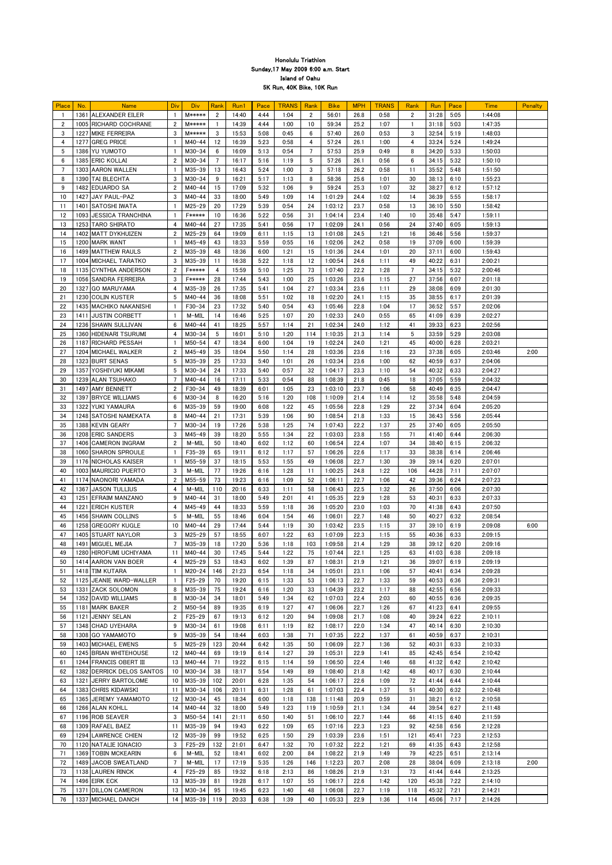| Place          | No.  | <b>Name</b>                | Div            | <b>Div</b>    | Rank           | Run1  | Pace | <b>TRANS</b> | Rank           | <b>Bike</b> | <b>MPH</b> | <b>TRANS</b> | Rank           | Run   | Pace       | <b>Time</b> | Penalty |
|----------------|------|----------------------------|----------------|---------------|----------------|-------|------|--------------|----------------|-------------|------------|--------------|----------------|-------|------------|-------------|---------|
|                |      | 1361 ALEXANDER EILER       |                | <b>M*****</b> | $\mathbf{2}$   | 14:40 | 4:44 | 1:04         | $\mathbf{2}$   | 56:01       | 26.8       | 0:58         | $\overline{2}$ | 31:28 | 5:05       | 1:44:08     |         |
| $\overline{2}$ |      | 1005 RICHARD COCHRANE      | $\overline{2}$ | <b>M*****</b> |                | 14:39 | 4:44 | 1:00         | 10             | 59:34       | 25.2       | 1:07         |                | 31:18 | 5:03       | 1:47:35     |         |
| 3              |      | 1227 MIKE FERREIRA         | 3              | <b>M*****</b> | 3              | 15:53 | 5:08 | 0:45         | 6              | 57:40       | 26.0       | 0:53         | 3              | 32:54 | 5:19       | 1:48:03     |         |
|                |      |                            |                |               |                |       |      |              |                |             |            |              |                |       |            |             |         |
| 4              |      | 1277 GREG PRICE            |                | $M40 - 44$    | 12             | 16:39 | 5:23 | 0:58         | 4              | 57:24       | 26.1       | 1:00         | 4              | 33:24 | 5:24       | 1:49:24     |         |
| 5              |      | 1386 YU YUMOTO             |                | $M30 - 34$    | 6              | 16:09 | 5:13 | 0:54         | $\overline{7}$ | 57:53       | 25.9       | 0:49         | 8              | 34:20 | 5:33       | 1:50:03     |         |
| 6              |      | 1385 ERIC KOLLAI           | $\overline{2}$ | $M30 - 34$    | $\overline{7}$ | 16:17 | 5:16 | 1:19         | 5              | 57:26       | 26.1       | 0:56         | 6              | 34:15 | 5:32       | 1:50:10     |         |
| 7              |      | 1303 AARON WALLEN          |                | M35-39        | 13             | 16:43 | 5:24 | 1:00         | 3              | 57:18       | 26.2       | 0:58         | 11             | 35:52 | 5:48       | 1:51:50     |         |
| 8              |      | 1390 TAI BLECHTA           | 3              | $M30 - 34$    | 9              | 16:21 | 5:17 | 1:13         | 8              | 58:36       | 25.6       | 1:01         | 30             | 38:13 | 6:10       | 1:55:23     |         |
|                |      |                            |                |               |                |       |      |              |                |             |            |              |                |       |            |             |         |
| 9              |      | 1482 EDUARDO SA            | $\overline{2}$ | $M40 - 44$    | 15             | 17:09 | 5:32 | 1:06         | 9              | 59:24       | 25.3       | 1:07         | 32             | 38:27 | 6:12       | 1:57:12     |         |
| 10             | 1427 | JAY PAUL-PAZ               | 3              | $M40 - 44$    | 33             | 18:00 | 5:49 | 1:09         | 14             | 1:01:29     | 24.4       | 1:02         | 14             | 36:39 | 5:55       | 1:58:17     |         |
| 11             | 1401 | <b>SATOSHI IWATA</b>       |                | $M25 - 29$    | 20             | 17:29 | 5:39 | 0:54         | 24             | 1:03:12     | 23.7       | 0:58         | 13             | 36:10 | 5:50       | 1:58:42     |         |
| 12             |      | 1093 JJESSICA TRANCHINA    |                | <b>F*****</b> | 10             | 16:36 | 5:22 | 0:56         | 31             | 1:04:14     | 23.4       | 1:40         | 10             | 35:48 | 5:47       | 1:59:11     |         |
| 13             |      | 1253 TARO SHIRATO          | $\overline{4}$ | $M40 - 44$    | 27             | 17:35 | 5:41 | 0:56         | 17             | 1:02:09     | 24.1       | 0:56         | 24             | 37:40 | 6:05       | 1:59:13     |         |
|                |      |                            |                |               |                |       |      |              |                |             |            |              |                |       |            |             |         |
| 14             |      | 1402 MATT DYKHUIZEN        | $\overline{2}$ | $M25 - 29$    | 64             | 19:09 | 6:11 | 1:15         | 13             | 1:01:08     | 24.5       | 1:21         | 16             | 36:46 | 5:56       | 1:59:37     |         |
| 15             |      | 1200 MARK WANT             |                | $M45 - 49$    | 43             | 18:33 | 5:59 | 0:55         | 16             | 1:02:06     | 24.2       | 0:58         | 19             | 37:09 | 6:00       | 1:59:39     |         |
| 16             |      | 1499 MATTHEW RAULS         | $\overline{2}$ | M35-39        | 48             | 18:36 | 6:00 | 1:21         | 15             | 1:01:36     | 24.4       | 1:01         | 20             | 37:11 | 6:00       | 1:59:43     |         |
| -17            |      | 1004 MICHAEL TARATKO       | 3              | M35-39        | 11             | 16:38 | 5:22 | 1:18         | 12             | 1:00:54     | 24.6       | 1:11         | 49             | 40:22 | 6:31       | 2:00:21     |         |
|                |      |                            |                | <b>F*****</b> |                |       |      |              | 73             |             |            |              |                |       |            |             |         |
| 18             |      | 1135 CYNTHIA ANDERSON      | $\overline{2}$ |               | 4              | 15:59 | 5:10 | 1:25         |                | 1:07:40     | 22.2       | 1:28         | 7              | 34:15 | 5:32       | 2:00:46     |         |
| 19             |      | 1056 SANDRA FERREIRA       | 3              | <b>F*****</b> | 28             | 17:44 | 5:43 | 1:00         | 25             | 1:03:26     | 23.6       | 1:15         | 27             | 37:56 | 6:07       | 2:01:18     |         |
| 20             |      | 1327 GO MARUYAMA           | $\overline{4}$ | M35-39        | 26             | 17:35 | 5:41 | 1:04         | 27             | 1:03:34     | 23.6       | 1:11         | 29             | 38:08 | 6:09       | 2:01:30     |         |
| 2 <sub>1</sub> |      | 1230 COLIN KUSTER          | 5              | $M40 - 44$    | 36             | 18:08 | 5:51 | 1:02         | 18             | 1:02:20     | 24.1       | 1:15         | 35             | 38:55 | 6:17       | 2:01:39     |         |
| 22             |      | 1435   MACHIKO NAKANISHI   |                | $F30-34$      | 23             | 17:32 | 5:40 | 0:54         | 43             | 1:05:46     | 22.8       | 1:04         | 17             | 36:52 | 5:57       | 2:02:06     |         |
|                |      |                            |                |               |                |       |      |              |                |             |            |              |                |       |            |             |         |
| 23             | 1411 | <b>JUSTIN CORBETT</b>      |                | $M-MIL$       | 14             | 16:46 | 5:25 | 1:07         | 20             | 1:02:33     | 24.0       | 0:55         | 65             | 41:09 | 6:39       | 2:02:27     |         |
| 24             |      | 1236 SHAWN SULLIVAN        | 6              | $M40 - 44$    | 41             | 18:25 | 5:57 | 1:14         | 21             | 1:02:34     | 24.0       | 1:12         | 41             | 39:33 | 6:23       | 2:02:56     |         |
| 25             |      | 1360 HIDENARI TSURUMI      | 4              | $M30 - 34$    | 5              | 16:01 | 5:10 | 1:20         | 114            | 1:10:35     | 21.3       | 1:14         | 5              | 33:59 | 5:29       | 2:03:08     |         |
| 26             |      | 1187 RICHARD PESSAH        |                | $M50 - 54$    | 47             | 18:34 | 6:00 | 1:04         | 19             | 1:02:24     | 24.0       | 1:21         | 45             | 40:00 | 6:28       | 2:03:21     |         |
| 27             |      | 1204 MICHAEL WALKER        | $\overline{2}$ | $M45 - 49$    | 35             | 18:04 | 5:50 | 1:14         | 28             | 1:03:36     | 23.6       | 1:16         | 23             | 37:38 | 6:05       | 2:03:46     | 2:00    |
|                |      |                            |                |               |                |       |      |              |                |             |            |              |                |       |            |             |         |
| 28             |      | 1323 BURT SENAS            | 5              | M35-39        | 25             | 17:33 | 5:40 | 1:01         | 26             | 1:03:34     | 23.6       | 1:00         | 62             | 40:59 | 6:37       | 2:04:06     |         |
| 29             |      | 1357 YOSHIYUKI MIKAMI      | 5              | $M30 - 34$    | 24             | 17:33 | 5:40 | 0:57         | 32             | 1:04:17     | 23.3       | 1:10         | 54             | 40:32 | 6:33       | 2:04:27     |         |
| 30             |      | 1239 ALAN TSUHAKO          | $\overline{7}$ | M40-44        | 16             | 17:11 | 5:33 | 0:54         | 88             | 1:08:39     | 21.8       | 0:45         | 18             | 37:05 | 5:59       | 2:04:32     |         |
| 31             |      | 1497 AMY BENNETT           | $\overline{2}$ | $F30-34$      | 49             | 18:39 | 6:01 | 1:05         | 23             | 1:03:10     | 23.7       | 1:06         | 58             | 40:49 | 6:35       | 2:04:47     |         |
|                |      | 1397 BRYCE WILLIAMS        | 6              | $M30 - 34$    | 8              | 16:20 |      |              |                |             |            |              |                | 35:58 | 5:48       | 2:04:59     |         |
| 32             |      |                            |                |               |                |       | 5:16 | 1:20         | 108            | 1:10:09     | 21.4       | 1:14         | 12             |       |            |             |         |
| 33             |      | 1322 YUKI YAMAURA          | 6              | M35-39        | 59             | 19:00 | 6:08 | 1:22         | 45             | 1:05:56     | 22.8       | 1:29         | 22             | 37:34 | 6:04       | 2:05:20     |         |
| 34             |      | 1248 SATOSHI NAMEKATA      | 8              | $M40 - 44$    | 21             | 17:31 | 5:39 | 1:06         | 90             | 1:08:54     | 21.8       | 1:33         | 15             | 36:43 | 5:56       | 2:05:44     |         |
| 35             |      | 1388 KEVIN GEARY           | 7              | $M30 - 34$    | 19             | 17:26 | 5:38 | 1:25         | 74             | 1:07:43     | 22.2       | 1:37         | 25             | 37:40 | 6:05       | 2:05:50     |         |
| 36             |      | 1208 ERIC SANDERS          | 3              | $M45 - 49$    | 39             | 18:20 | 5:55 | 1:34         | 22             | 1:03:03     | 23.8       | 1:55         | 71             | 41:40 | 6:44       | 2:06:30     |         |
| 37             |      | 1406 CAMERON INGRAM        | $\overline{2}$ | M-MIL         | 50             | 18:40 | 6:02 | 1:12         | 60             | 1:06:54     | 22.4       | 1:07         | 34             | 38:40 | 6:15       | 2:06:32     |         |
|                |      |                            |                |               |                |       |      |              |                |             |            |              |                |       |            |             |         |
| 38             |      | 1060 SHARON SPROULE        |                | $F35 - 39$    | 65             | 19:11 | 6:12 | 1:17         | 57             | 1:06:26     | 22.6       | 1:17         | 33             | 38:38 | 6:14       | 2:06:46     |         |
| 39             |      | 1176 NICHOLAS KAISER       |                | $M55 - 59$    | 37             | 18:15 | 5:53 | 1:55         | 49             | 1:06:08     | 22.7       | 1:30         | 39             | 39:14 | 6:20       | 2:07:01     |         |
| 40             |      | 1003 MAURICIO PUERTO       | 3              | M-MIL         | 77             | 19:26 | 6:16 | 1:28         | 11             | 1:00:25     | 24.8       | 1:22         | 106            | 44:28 | 7:11       | 2:07:07     |         |
| 41             |      | 1174 NAONORI YAMADA        | $\overline{2}$ | M55-59        | 73             | 19:23 | 6:16 | 1:09         | 52             | 1:06:11     | 22.7       | 1:06         | 42             | 39:36 | 6:24       | 2:07:23     |         |
|                |      |                            |                |               |                |       |      |              |                |             |            |              |                |       |            |             |         |
| 42             |      | <b>1367 IJASON TULLIUS</b> | 4              | M-MIL         | 110            | 20:16 | 6:33 | 1:11         | 58             | 1:06:43     | 22.5       | 1:32         | 26             | 37:50 | 6:06       | 2:07:30     |         |
| 43             | 1251 | <b>EFRAIM MANZANO</b>      | 9              | $M40 - 44$    | 31             | 18:00 | 5:49 | 2:01         | 41             | 1:05:35     | 22.9       | 1:28         | 53             | 40:31 | 6:33       | 2:07:33     |         |
| 44             | 1221 | <b>ERICH KUSTER</b>        | 4              | $M45 - 49$    | 44             | 18:33 | 5:59 | 1:18         | 36             | 1:05:20     | 23.0       | 1:03         | 70             | 41:38 | 6:43       | 2:07:50     |         |
| 45             |      | 1456 SHAWN COLLINS         | 5              | M-MIL         | 55             | 18:46 | 6:04 | 1:54         | 46             | 1:06:01     | 22.7       | 1:48         | 50             | 40:27 | 6:32       | 2:08:54     |         |
| 46             |      | 1258 GREGORY KUGLE         | 10             | $M40 - 44$    | 29             | 17:44 | 5:44 | 1:19         | 30             | 1:03:42     | 23.5       | 1:15         | 37             | 39:10 | 6:19       | 2:09:08     | 6:00    |
|                |      |                            |                |               |                |       |      |              |                |             |            |              |                |       |            |             |         |
| 47             |      | 1405 STUART NAYLOR         | 3              | $M25 - 29$    | 57             | 18:55 | 6:07 | 1:22         | 63             | 1:07:09     | 22.3       | 1:15         | 55             | 40:36 | 6:33       | 2:09:15     |         |
| 48             | 1491 | <b>MIGUEL MEJIA</b>        | 7              | M35-39        | 18             | 17:20 | 5:36 | 1:18         | 103            | 1:09:58     | 21.4       | 1:29         | 38             | 39:12 | 6:20       | 2:09:16     |         |
| 49             |      | 1280 HIROFUMI UCHIYAMA     | 11             | $M40 - 44$    | 30             | 17:45 | 5:44 | 1:22         | 75             | 1:07:44     | 22.1       | 1:25         | 63             | 41:03 | 6:38       | 2:09:18     |         |
| 50             |      | 1414 AARON VAN BOER        | 4              | $M25 - 29$    | 53             | 18:43 | 6:02 | 1:39         | 87             | 1:08:31     | 21.9       | 1:21         | 36             | 39:07 | 6:19       | 2:09:19     |         |
| 51             |      | 1418 TIM KUTARA            |                | $M20 - 24$    | 146            | 21:23 | 6:54 | 1:18         | 34             | 1:05:01     | 23.1       | 1:06         | 57             | 40:41 | 6:34       | 2:09:28     |         |
|                |      |                            |                |               |                |       |      |              |                |             |            |              |                |       |            |             |         |
| 52             |      | 1125 JEANIE WARD-WALLER    |                | $F25 - 29$    | 70             | 19:20 | 6:15 | 1:33         | 53             | 1:06:13     | 22.7       | 1:33         | 59             | 40:53 | 6:36       | 2:09:31     |         |
| 53             |      | 1331 ZACK SOLOMON          | 8              | M35-39        | 75             | 19:24 | 6:16 | 1:20         | 33             | 1:04:39     | 23.2       | 1:17         | 88             | 42:55 | 6:56       | 2:09:33     |         |
| 54             |      | 1352 DAVID WILLIAMS        | 8              | $M30 - 34$    | 34             | 18:01 | 5:49 | 1:34         | 62             | 1:07:03     | 22.4       | 2:03         | 60             | 40:55 | 6:36       | 2:09:35     |         |
| 55             | 1181 | MARK BAKER                 | $\overline{2}$ | $M50 - 54$    | 89             | 19:35 | 6:19 | 1:27         | 47             | 1:06:06     | 22.7       | 1:26         | 67             | 41:23 | 6:41       | 2:09:55     |         |
| 56             | 1121 | <b>JENNY SELAN</b>         | 2              | $F25 - 29$    | 67             | 19:13 | 6:12 | 1:20         | 94             | 1:09:08     | 21.7       | 1:08         | 40             | 39:24 | 6:22       | 2:10:11     |         |
|                |      |                            |                |               |                |       |      |              |                |             |            |              |                |       |            |             |         |
| 57             |      | 1348 CHAD UYEHARA          | 9              | $M30 - 34$    | 61             | 19:08 | 6:11 | 1:19         | 82             | 1:08:17     | 22.0       | 1:34         | 47             | 40:14 | 6:30       | 2:10:30     |         |
| 58             |      | 1308 GO YAMAMOTO           | 9              | M35-39        | 54             | 18:44 | 6:03 | 1:38         | 71             | 1:07:35     | 22.2       | 1:37         | 61             | 40:59 | 6:37       | 2:10:31     |         |
| 59             |      | 1403 MICHAEL EWENS         | 5              | $M25 - 29$    | 123            | 20:44 | 6:42 | 1:35         | 50             | 1:06:09     | 22.7       | 1:36         | 52             | 40:31 | 6:33       | 2:10:33     |         |
| 60             |      | 1245 BRIAN WHITEHOUSE      | 12             | $M40 - 44$    | 69             | 19:19 | 6:14 | 1:27         | 39             | 1:05:31     | 22.9       | 1:41         | 85             | 42:45 | 6:54       | 2:10:42     |         |
| 61             |      | 1244 FRANCIS OBERT III     | 13             | M40-44        | 71             | 19:22 | 6:15 | 1:14         | 59             | 1:06:50     | 22.4       | 1:46         | 68             | 41:32 | 6:42       | 2:10:42     |         |
|                |      |                            |                |               |                |       |      |              |                |             |            |              |                |       |            |             |         |
| 62             |      | 1382 DERRICK DELOS SANTOS  | 10             | $M30 - 34$    | 38             | 18:17 | 5:54 | 1:49         | 89             | 1:08:40     | 21.8       | 1:42         | 48             | 40:17 | 6:30       | 2:10:44     |         |
| 63             | 1321 | <b>JERRY BARTOLOME</b>     | 10             | $M35 - 39$    | 102            | 20:01 | 6:28 | 1:35         | 54             | 1:06:17     | 22.6       | 1:09         | 72             | 41:44 | 6:44       | 2:10:44     |         |
| 64             |      | 1383 CHRIS KIDAWSKI        | 11             | $M30 - 34$    | 106            | 20:11 | 6:31 | 1:28         | 61             | 1:07:03     | 22.4       | 1:37         | 51             | 40:30 | 6:32       | 2:10:48     |         |
| 65             |      | 1365 JEREMY YAMAMOTO       | 12             | $M30 - 34$    | 45             | 18:34 | 6:00 | 1:18         | 138            | 1:11:48     | 20.9       | 0:59         | 31             | 38:21 | 6:12       | 2:10:58     |         |
|                |      |                            |                |               |                |       |      |              |                |             |            |              |                |       |            |             |         |
| 66             |      | 1266 ALAN KOHLL            | 14             | M40-44        | 32             | 18:00 | 5:49 | 1:23         | 119            | 1:10:59     | 21.1       | 1:34         | 44             | 39:54 | 6:27       | 2:11:48     |         |
| 67             |      | 1196 ROB SEAVER            | 3              | $M50 - 54$    | 141            | 21:11 | 6:50 | 1:40         | 51             | 1:06:10     | 22.7       | 1:44         | 66             | 41:15 | 6:40       | 2:11:59     |         |
| 68             |      | 1309 RAFAEL BAEZ           | 11             | $M35 - 39$    | 94             | 19:43 | 6:22 | 1:09         | 65             | 1:07:16     | 22.3       | 1:23         | 92             | 42:58 | 6:56       | 2:12:28     |         |
| 69             |      | 1294 LAWRENCE CHIEN        | 12             | $M35 - 39$    | 99             | 19:52 | 6:25 | 1:50         | 29             | 1:03:39     | 23.6       | 1:51         | 121            | 45:41 | 7:23       | 2:12:53     |         |
| 70             |      | 1120 NATALIE IGNACIO       | 3              | $F25 - 29$    | 132            | 21:01 | 6:47 | 1:32         | 70             | 1:07:32     | 22.2       | 1:21         | 69             | 41:35 | 6:43       | 2:12:58     |         |
|                |      | 1369 TOBIN MCKEARIN        |                |               |                |       |      |              |                |             |            |              |                |       |            |             |         |
| -71            |      |                            | 6              | M-MIL         | 52             | 18:41 | 6:02 | 2:00         | 84             | 1:08:22     | 21.9       | 1:49         | 79             | 42:25 | 6:51       | 2:13:14     |         |
| 72             |      | 1489 JACOB SWEATLAND       | 7              | M-MIL         | 17             | 17:19 | 5:35 | 1:26         | 146            | 1:12:23     | 20.7       | 2:08         | 28             | 38:04 | 6:09       | 2:13:18     | 2:00    |
| 73             |      | 1138 LAUREN RINCK          | 4              | $F25 - 29$    | 85             | 19:32 | 6:18 | 2:13         | 86             | 1:08:26     | 21.9       | 1:31         | 73             | 41:44 | 6:44       | 2:13:25     |         |
| 74             |      | 1496 EIRK ECK              | 13             | M35-39        | 81             | 19:28 | 6:17 | 1:07         | 55             | 1:06:17     | 22.6       | 1:42         | 120            | 45:38 | 7:22       | 2:14:10     |         |
| 75             |      | 1371 DILLON CAMERON        | 13             | M30-34        | 95             | 19:45 | 6:23 | 1:40         | 48             | 1:06:08     | 22.7       | 1:19         | 118            | 45:32 | 7:21       | 2:14:21     |         |
|                |      |                            |                |               |                |       |      |              |                |             |            |              |                |       |            |             |         |
| 76             |      | 1337 MICHAEL DANCH         | 14             | $M35-39$      | 119            | 20:33 | 6:38 | 1:39         | 40             | 1:05:33     | 22.9       | 1:36         | 114            |       | 45:06 7:17 | 2:14:26     |         |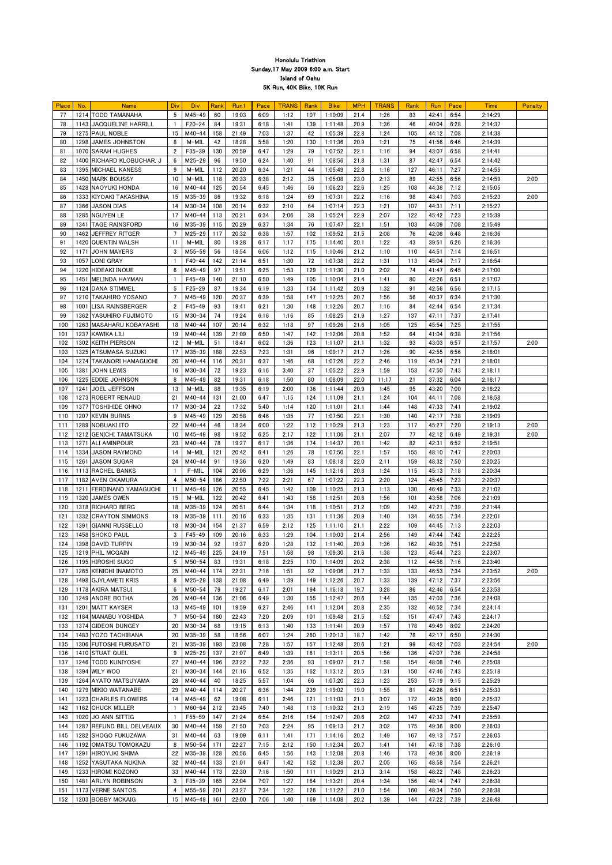| Place | No.  | <b>Name</b>               | Div            | <b>Div</b> | Rank | Run1  | Pace | <b>TRANS</b> | Rank | <b>Bike</b> | <b>MPH</b> | <b>TRANS</b> | Rank | <b>Run</b> | Pace | <b>Time</b> | Penalty |
|-------|------|---------------------------|----------------|------------|------|-------|------|--------------|------|-------------|------------|--------------|------|------------|------|-------------|---------|
| 77    |      | 1214 TODD TAMANAHA        | -5             | $M45 - 49$ | 60   | 19:03 | 6:09 | 1:12         | 107  | 1:10:09     | 21.4       | 1:26         | 83   | 42:41      | 6:54 | 2:14:29     |         |
| 78    |      | 1143 JACQUELINE HARRILL   |                | $F20 - 24$ | 84   | 19:31 | 6:18 | 1:41         | 139  | 1:11:48     | 20.9       | 1:36         | 46   | 40:04      | 6:28 | 2:14:37     |         |
|       |      |                           |                |            |      |       |      |              |      |             |            |              |      |            |      |             |         |
| 79    |      | 1275 PAUL NOBLE           | 15             | $M40 - 44$ | 158  | 21:49 | 7:03 | 1:37         | 42   | 1:05:39     | 22.8       | 1:24         | 105  | 44:12      | 7:08 | 2:14:38     |         |
| 80    |      | 1298 JAMES JOHNSTON       | 8              | M-MIL      | 42   | 18:28 | 5:58 | 1:20         | 130  | 1:11:36     | 20.9       | 1:21         | 75   | 41:56      | 6:46 | 2:14:39     |         |
| 81    |      | 1070 SARAH HUGHES         | $\overline{2}$ | $F35 - 39$ | 130  | 20:59 | 6:47 | 1:29         | 79   | 1:07:52     | 22.1       | 1:16         | 94   | 43:07      | 6:58 | 2:14:41     |         |
|       |      |                           |                |            |      |       |      |              |      |             |            |              |      |            |      |             |         |
| 82    |      | 1400 RICHARD KLOBUCHAR, J | 6              | $M25 - 29$ | 96   | 19:50 | 6:24 | 1:40         | 91   | 1:08:56     | 21.8       | 1:31         | 87   | 42:47      | 6:54 | 2:14:42     |         |
| 83    |      | 1395 MICHAEL KANESS       | 9              | M-MIL      | 112  | 20:20 | 6:34 | 1:21         | 44   | 1:05:49     | 22.8       | 1:16         | 127  | 46:11      | 7:27 | 2:14:55     |         |
| 84    |      | 1450 MARK BOUSSY          | 10             | M-MIL      | 118  | 20:33 | 6:38 | 2:12         | 35   | 1:05:08     | 23.0       | 2:13         | 89   | 42:55      | 6:56 | 2:14:59     | 2:00    |
| 85    |      | 1428 NAOYUKI HONDA        | 16             | $M40 - 44$ | 125  | 20:54 | 6:45 | 1:46         | 56   | 1:06:23     | 22.6       | 1:25         | 108  | 44:38      | 7:12 | 2:15:05     |         |
|       |      |                           |                |            |      |       |      |              |      |             |            |              |      |            |      |             |         |
| 86    |      | 1333 KIYOAKI TAKASHINA    | 15             | M35-39     | 86   | 19:32 | 6:18 | 1:24         | 69   | 1:07:31     | 22.2       | 1:16         | 98   | 43:41      | 7:03 | 2:15:23     | 2:00    |
| 87    |      | 1366 JASON DIAS           | 14             | $M30 - 34$ | 108  | 20:14 | 6:32 | 2:10         | 64   | 1:07:14     | 22.3       | 1:21         | 107  | 44:31      | 7:11 | 2:15:27     |         |
| 88    |      | 1285 NGUYEN LE            | -17            | M40-44     | 113  | 20:21 | 6:34 | 2:06         | 38   | 1:05:24     | 22.9       | 2:07         | 122  | 45:42      | 7:23 | 2:15:39     |         |
|       |      |                           |                |            |      |       |      |              |      |             |            |              |      |            |      |             |         |
| 89    | 1341 | <b>TAGE RAINSFORD</b>     | 16             | M35-39     | 115  | 20:29 | 6:37 | 1:34         | 76   | 1:07:47     | 22.1       | 1:51         | 103  | 44:09      | 7:08 | 2:15:49     |         |
| 90    |      | 1462 JEFFREY RITGER       |                | $M25 - 29$ | 117  | 20:32 | 6:38 | 1:57         | 102  | 1:09:52     | 21.5       | 2:08         | 76   | 42:08      | 6:48 | 2:16:36     |         |
| 91    |      | 1420 QUENTIN WALSH        | -11            | M-MIL      | 80   | 19:28 | 6:17 | 1:17         | 175  | 1:14:40     | 20.1       | 1:22         | 43   | 39:51      | 6:26 | 2:16:36     |         |
| 92    | 1171 | <b>JOHN MAYERS</b>        | 3              | $M55 - 59$ | 56   | 18:54 | 6:06 | 1:12         | 115  | 1:10:46     | 21.2       | 1:10         | 110  | 44:51      | 7:14 | 2:16:51     |         |
|       |      |                           |                |            |      |       |      |              |      |             |            |              |      |            |      |             |         |
| 93    | 1057 | <b>LONI GRAY</b>          |                | $F40 - 44$ | 142  | 21:14 | 6:51 | 1:30         | 72   | 1:07:38     | 22.2       | 1:31         | 113  | 45:04      | 7:17 | 2:16:54     |         |
| 94    |      | 1220 HIDEAKI INOUE        | 6              | $M45 - 49$ | 97   | 19:51 | 6:25 | 1:53         | 129  | 1:11:30     | 21.0       | 2:02         | 74   | 41:47      | 6:45 | 2:17:00     |         |
| 95    |      | 1451 MELINDA HAYMAN       |                | $F45 - 49$ | 140  | 21:10 | 6:50 | 1:49         | 105  | 1:10:04     | 21.4       | 1:41         | 80   | 42:26      | 6:51 | 2:17:07     |         |
| 96    |      | 1124 DANA STIMMEL         | -5             | $F25 - 29$ | 87   | 19:34 | 6:19 | 1:33         | 134  | 1:11:42     | 20.9       | 1:32         | 91   | 42:56      | 6:56 | 2:17:15     |         |
|       |      |                           |                |            |      |       |      |              |      |             |            |              |      |            |      |             |         |
| 97    |      | 1210 TAKAHIRO YOSANO      |                | M45-49     | 120  | 20:37 | 6:39 | 1:58         | 147  | 1:12:25     | 20.7       | 1:56         | 56   | 40:37      | 6:34 | 2:17:30     |         |
| 98    | 1001 | <b>LISA RAINSBERGER</b>   | $\overline{2}$ | $F45 - 49$ | 93   | 19:41 | 6:21 | 1:30         | 148  | 1:12:26     | 20.7       | 1:16         | 84   | 42:44      | 6:54 | 2:17:34     |         |
| 99    |      | 1362 YASUHIRO FUJIMOTO    | 15             | $M30 - 34$ | 74   | 19:24 | 6:16 | 1:16         | 85   | 1:08:25     | 21.9       | 1:27         | 137  | 47:11      | 7:37 | 2:17:41     |         |
| 100   |      | 1263 MASAHARU KOBAYASHI   | 18             | M40-44     | 107  | 20:14 | 6:32 | 1:18         | 97   | 1:09:26     | 21.6       | 1:05         | 125  | 45:54      | 7:25 | 2:17:55     |         |
|       |      |                           |                |            |      |       |      |              |      |             |            |              |      |            |      |             |         |
| 101   |      | 1237 KAWIKA LIU           | 19             | $M40 - 44$ | 139  | 21:09 | 6:50 | 1:47         | 142  | 1:12:06     | 20.8       | 1:52         | 64   | 41:04      | 6:38 | 2:17:56     |         |
| 102   |      | 1302 KEITH PIERSON        | 12             | M-MIL      | 51   | 18:41 | 6:02 | 1:36         | 123  | 1:11:07     | 21.1       | 1:32         | 93   | 43:03      | 6:57 | 2:17:57     | 2:00    |
| 103   |      | 1325 ATSUMASA SUZUKI      | -17            | M35-39     | 188  | 22:53 | 7:23 | 1:31         | 96   | 1:09:17     | 21.7       | 1:26         | 90   | 42:55      | 6:56 | 2:18:01     |         |
| 104   |      | 1274 TAKANORI HAMAGUCHI   | 20             | M40-44     | 116  | 20:31 | 6:37 | 1:46         | 68   | 1:07:26     | 22.2       | 2:46         | 119  | 45:34      | 7:21 | 2:18:01     |         |
|       |      |                           |                |            |      |       |      |              |      |             |            |              |      |            |      |             |         |
| 105   | 1381 | <b>JOHN LEWIS</b>         | 16             | $M30 - 34$ | 72   | 19:23 | 6:16 | 3:40         | 37   | 1:05:22     | 22.9       | 1:59         | 153  | 47:50      | 7:43 | 2:18:11     |         |
| 106   |      | 1225 EDDIE JOHNSON        | 8              | M45-49     | 82   | 19:31 | 6:18 | 1:50         | 80   | 1:08:09     | 22.0       | 11:17        | 21   | 37:32      | 6:04 | 2:18:17     |         |
| 107   |      | 1241 JOEL JEFFSON         | 13             | M-MIL      | 88   | 19:35 | 6:19 | 2:00         | 136  | 1:11:44     | 20.9       | 1:45         | 95   | 43:20      | 7:00 | 2:18:22     |         |
|       |      |                           |                |            |      |       |      |              |      |             |            |              |      |            |      |             |         |
| 108   |      | 1273 ROBERT RENAUD        | 21             | $M40 - 44$ | 131  | 21:00 | 6:47 | 1:15         | 124  | 1:11:09     | 21.1       | 1:24         | 104  | 44:11      | 7:08 | 2:18:58     |         |
| 109   |      | 1377 TOSHIHIDE OHNO       | -17            | $M30 - 34$ | 22   | 17:32 | 5:40 | 1:14         | 120  | 1:11:01     | 21.1       | 1:44         | 148  | 47:33      | 7:41 | 2:19:02     |         |
| 110   |      | 1207 KEVIN BURNS          | -9             | M45-49     | 129  | 20:58 | 6:46 | 1:35         | 77   | 1:07:50     | 22.1       | 1:30         | 140  | 47:17      | 7:38 | 2:19:09     |         |
| 111   |      | 1289 NOBUAKI ITO          | 22             | M40-44     | 46   | 18:34 | 6:00 | 1:22         | 112  | 1:10:29     | 21.3       | 1:23         | 117  | 45:27      | 7:20 | 2:19:13     | 2:00    |
|       |      |                           |                |            |      |       |      |              |      |             |            |              |      |            |      |             |         |
| 112   |      | 1212 GENICHI TAMATSUKA    | 10             | M45-49     | 98   | 19:52 | 6:25 | 2:17         | 122  | 1:11:06     | 21.1       | 2:07         | 77   | 42:12      | 6:49 | 2:19:31     | 2:00    |
| 113   | 1271 | <b>ALI AMINPOUR</b>       | 23             | $M40 - 44$ | 78   | 19:27 | 6:17 | 1:36         | 174  | 1:14:37     | 20.1       | 1:42         | 82   | 42:31      | 6:52 | 2:19:51     |         |
| 114   |      | 1334 JASON RAYMOND        | 14             | M-MIL      | 121  | 20:42 | 6:41 | 1:26         | 78   | 1:07:50     | 22.1       | 1:57         | 155  | 48:10      | 7:47 | 2:20:03     |         |
| 115   | 1261 | <b>JASON SUGAR</b>        | 24             | $M40 - 44$ | 91   | 19:36 | 6:20 | 1:49         | 83   | 1:08:18     | 22.0       | 2:11         | 159  | 48:32      | 7:50 | 2:20:25     |         |
|       |      |                           |                |            |      |       |      |              |      |             |            |              |      |            |      |             |         |
| 116   |      | 1113 RACHEL BANKS         |                | F-MIL      | 104  | 20:06 | 6:29 | 1:36         | 145  | 1:12:16     | 20.8       | 1:24         | 115  | 45:13      | 7:18 | 2:20:34     |         |
| 117   |      | 1182 AVEN OKAMURA         | 4              | $M50 - 54$ | 186  | 22:50 | 7:22 | 2:21         | 67   | 1:07:22     | 22.3       | 2:20         | 124  | 45:45      | 7:23 | 2:20:37     |         |
| 118   |      | 1211 FERDINAND YAMAGUCHI  | 11             | M45-49     | 126  | 20:55 | 6:45 | 1:42         | 109  | 1:10:25     | 21.3       | 1:13         | 130  | 46:49      | 7:33 | 2:21:02     |         |
| 119   |      | 1320 JAMES OWEN           | 15             | M-MIL      | 122  | 20:42 | 6:41 | 1:43         | 158  | 1:12:51     | 20.6       | 1:56         | 101  | 43:58      | 7:06 | 2:21:09     |         |
|       |      |                           |                |            |      |       |      |              |      |             |            |              |      |            |      |             |         |
| 120   |      | 1318 RICHARD BERG         | 18             | M35-39     | 124  | 20:51 | 6:44 | 1:34         | 118  | 1:10:51     | 21.2       | 1:09         | 142  | 47:21      | 7:39 | 2:21:44     |         |
| 121   | 1332 | <b>CRAYTON SIMMONS</b>    | 19             | M35-39     | 111  | 20:16 | 6:33 | 1:35         | 131  | 1:11:36     | 20.9       | 1:40         | 134  | 46:55      | 7:34 | 2:22:01     |         |
| 122   |      | 1391 GIANNI RUSSELLO      | 18             | $M30-34$   | 154  | 21:37 | 6:59 | 2:12         | 125  | 1:11:10     | 21.1       | 2:22         | 109  | 44:45      | 7:13 | 2:22:03     |         |
| 123   |      | 1458 ISHOKO PAUL          | -3             | $F45 - 49$ | 109  | 20:16 | 6:33 | 1:29         | 104  | 1:10:03     | 21.4       | 2:56         | 149  | 47:44      | 7:42 | 2:22:25     |         |
|       |      |                           |                |            |      |       |      |              |      |             |            |              |      |            |      |             |         |
| 124   |      | 1398 DAVID TURPIN         | 19             | $M30 - 34$ | 92   | 19:37 | 6:20 | 1:28         | 132  | 1:11:40     | 20.9       | 1:36         | 162  | 48:39      | 7:51 | 2:22:58     |         |
| 125   |      | 1219 PHIL MCGAIN          | 12             | $M45-49$   | 225  | 24:19 | 7:51 | 1:58         | 98   | 1:09:30     | 21.6       | 1:38         | 123  | 45:44      | 7:23 | 2:23:07     |         |
| 126   |      | 1195 HIROSHI SUGO         | -5             | $M50 - 54$ | 83   | 19:31 | 6:18 | 2:25         | 170  | 1:14:09     | 20.2       | 2:38         | 112  | 44:58      | 7:16 | 2:23:40     |         |
|       |      |                           |                |            | 174  |       |      |              | 92   |             |            | 1:33         |      |            |      |             | 2:00    |
| 127   |      | 1265 KENICHI INAMOTO      | 25             | $M40 - 44$ |      | 22:31 | 7:16 | 1:51         |      | 1:09:06     | 21.7       |              | 133  | 46:53      | 7:34 | 2:23:52     |         |
| 128   |      | 1498 GJYLAMETI KRIS       | 8              | $M25 - 29$ | 138  | 21:08 | 6:49 | 1:39         | 149  | 1:12:26     | 20.7       | 1:33         | 139  | 47:12      | 7:37 | 2:23:56     |         |
| 129   |      | 1178 AKIRA MATSUI         | 6              | $M50 - 54$ | 79   | 19:27 | 6:17 | 2:01         | 194  | 1:16:18     | 19.7       | 3:28         | 86   | 42:46      | 6:54 | 2:23:58     |         |
| 130   |      | 1249 ANDRE BOTHA          | 26             | M40-44     | 136  | 21:06 | 6:49 | 1:30         | 155  | 1:12:47     | 20.6       | 1:44         | 135  | 47:03      | 7:36 | 2:24:08     |         |
| 131   | 1201 | <b>MATT KAYSER</b>        | 13             | M45-49     | 101  | 19:59 | 6:27 | 2:46         | 141  | 1:12:04     | 20.8       | 2:35         | 132  | 46:52      | 7:34 | 2:24:14     |         |
|       |      |                           |                |            |      |       |      |              |      |             |            |              |      |            |      |             |         |
| 132   |      | 1184 MANABU YOSHIDA       |                | M50-54     | 180  | 22:43 | 7:20 | 2:09         | 101  | 1:09:48     | 21.5       | 1:52         | 151  | 47:47      | 7:43 | 2:24:17     |         |
| 133   |      | 1374 GIDEON DUNGEY        | 20             | $M30 - 34$ | 68   | 19:15 | 6:13 | 1:40         | 133  | 1:11:41     | 20.9       | 1:57         | 178  | 49:49      | 8:02 | 2:24:20     |         |
| 134   |      | 1483 YOZO TACHIBANA       | 20             | M35-39     | 58   | 18:56 | 6:07 | 1:24         | 260  | 1:20:13     | 18.7       | 1:42         | 78   | 42:17      | 6:50 | 2:24:30     |         |
| 135   |      | 1306 FUTOSHI FURUSATO     | 2 <sup>1</sup> | $M35-39$   | 193  | 23:08 | 7:28 | 1:57         | 157  | 1:12:48     | 20.6       | 1:21         | 99   | 43:42      | 7:03 | 2:24:54     | 2:00    |
|       |      |                           |                |            |      |       |      |              |      |             |            |              |      |            |      |             |         |
| 136   |      | 1410 STUAT QUEL           | 9              | $M25 - 29$ | 137  | 21:07 | 6:49 | 1:39         | 161  | 1:13:11     | 20.5       | 1:56         | 136  | 47:07      | 7:36 | 2:24:58     |         |
| 137   |      | 1246 TODD KUNIYOSHI       | 27             | $M40-44$   | 196  | 23:22 | 7:32 | 2:36         | 93   | 1:09:07     | 21.7       | 1:58         | 154  | 48:08      | 7:46 | 2:25:08     |         |
| 138   |      | 1394 WILY WOO             | 2 <sup>1</sup> | $M30-34$   | 144  | 21:16 | 6:52 | 1:35         | 162  | 1:13:12     | 20.5       | 1:31         | 150  | 47:46      | 7:43 | 2:25:18     |         |
| 139   |      | 1264 AYATO MATSUYAMA      | 28             | $M40-44$   | 40   | 18:25 | 5:57 | 1:04         | 66   | 1:07:20     | 22.3       | 1:23         | 253  | 57:19      | 9:15 | 2:25:29     |         |
|       |      |                           |                |            |      |       |      |              |      |             |            |              |      |            |      |             |         |
| 140   |      | 1279 MIKIO WATANABE       | 29             | $M40-44$   | 114  | 20:27 | 6:36 | 1:44         | 239  | 1:19:02     | 19.0       | 1:55         | 81   | 42:26      | 6:51 | 2:25:33     |         |
| 141   |      | 1223 CHARLES FLOWERS      | 14             | M45-49     | 62   | 19:08 | 6:11 | 2:46         | 121  | 1:11:03     | 21.1       | 3:07         | 172  | 49:35      | 8:00 | 2:25:37     |         |
| 142   |      | 1162 CHUCK MILLER         |                | $M60-64$   | 212  | 23:45 | 7:40 | 1:48         | 113  | 1:10:32     | 21.3       | 2:19         | 145  | 47:25      | 7:39 | 2:25:47     |         |
|       |      |                           | - 1            |            |      |       |      |              |      |             |            |              |      |            |      |             |         |
| 143   |      | 1020 JO ANN SITTIG        |                | $F55 - 59$ | 147  | 21:24 | 6:54 | 2:16         | 154  | 1:12:47     | 20.6       | 2:02         | 147  | 47:33      | 7:41 | 2:25:59     |         |
| 144   |      | 1287 REFUND BILL DELVEAUX | 30             | $M40-44$   | 159  | 21:50 | 7:03 | 2:24         | 95   | 1:09:13     | 21.7       | 3:02         | 175  | 49:36      | 8:00 | 2:26:03     |         |
| 145   |      | 1282 ISHOGO FUKUZAWA      | -31            | $M40-44$   | 63   | 19:09 | 6:11 | 1:41         | 171  | 1:14:16     | 20.2       | 1:49         | 167  | 49:13      | 7:57 | 2:26:05     |         |
| 146   |      | 1192 OMATSU TOMOKAZU      | 8              | $M50-54$   | 171  | 22:27 | 7:15 | 2:12         | 150  | 1:12:34     | 20.7       | 1:41         | 141  | 47:18      | 7:38 | 2:26:10     |         |
|       |      |                           |                |            |      |       |      |              |      |             |            |              |      |            |      |             |         |
| 147   |      | 1291 HIROYUKI SHIMA       | 22             | $M35-39$   | 128  | 20:56 | 6:45 | 1:56         | 143  | 1:12:08     | 20.8       | 1:46         | 173  | 49:36      | 8:00 | 2:26:19     |         |
| 148   |      | 1252 YASUTAKA NUKINA      | 32             | $M40 - 44$ | 133  | 21:01 | 6:47 | 1:42         | 152  | 1:12:38     | 20.7       | 2:05         | 165  | 48:58      | 7:54 | 2:26:21     |         |
| 149   |      | 1233 HIROMI KOZONO        | 33             | $M40-44$   | 173  | 22:30 | 7:16 | 1:50         | 111  | 1:10:29     | 21.3       | 3:14         | 158  | 48:22      | 7:48 | 2:26:23     |         |
| 150   |      | 1481 ARLYN ROBINSON       | 3              | $F35 - 39$ | 165  | 22:04 | 7:07 | 1:27         | 164  | 1:13:21     | 20.4       | 1:34         | 156  | 48:14      | 7:47 | 2:26:38     |         |
|       |      |                           |                |            |      |       |      |              |      |             |            |              |      |            |      |             |         |
| 151   |      | 1173 VERNE SANTOS         | 4              | $M55 - 59$ | 201  | 23:27 | 7:34 | 1:22         | 126  | 1:11:22     | 21.0       | 1:54         | 160  | 48:34      | 7:50 | 2:26:38     |         |
| 152   |      | 1203 BOBBY MCKAIG         | 15             | $M45-49$   | 161  | 22:00 | 7:06 | 1:40         | 169  | 1:14:08     | 20.2       | 1:39         | 144  | 47:22      | 7:39 | 2:26:48     |         |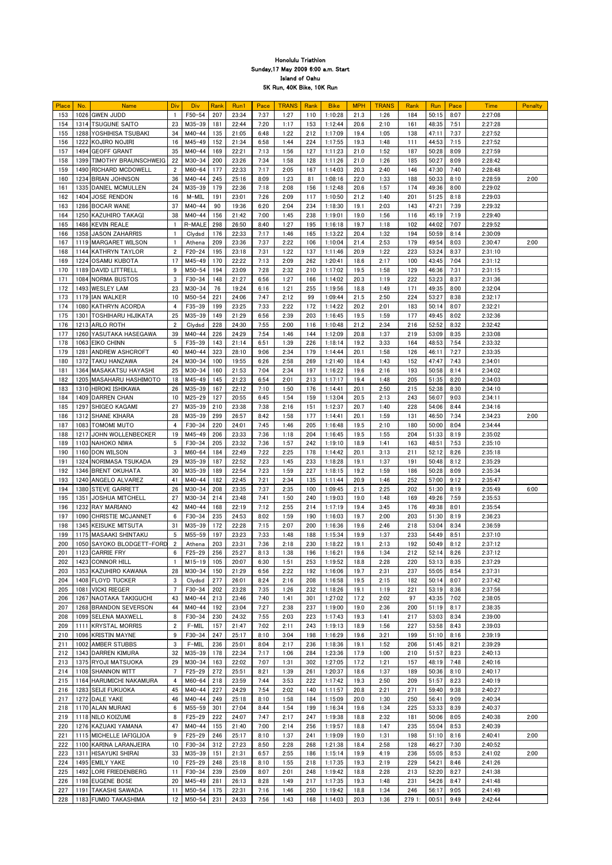| Place | No. | <b>Name</b>               | Div            | Div        | Rank | Run1  | Pace | <b>TRANS</b> | Rank | <b>Bike</b> | <b>MPH</b> | <b>TRANS</b> | Rank   | Run   | Pace | <b>Time</b> | Penalty |
|-------|-----|---------------------------|----------------|------------|------|-------|------|--------------|------|-------------|------------|--------------|--------|-------|------|-------------|---------|
| 153   |     | 1026 GWEN JUDD            |                | $F50 - 54$ | 207  | 23:34 | 7:37 | 1:27         | 110  | 1:10:28     | 21.3       | 1:26         | 184    | 50:15 | 8:07 | 2:27:08     |         |
| 154   |     | 1314 TSUGUNE SAITO        | 23             | $M35 - 39$ | 181  | 22:44 | 7:20 | 1:17         | 153  | 1:12:44     | 20.6       | 2:10         | 161    | 48:35 | 7:51 | 2:27:28     |         |
|       |     |                           |                |            |      |       |      |              |      |             |            |              |        |       |      |             |         |
| 155   |     | 1288 YOSHIHISA TSUBAKI    | 34             | $M40 - 44$ | 135  | 21:05 | 6:48 | 1:22         | 212  | 1:17:09     | 19.4       | 1:05         | 138    | 47:11 | 7:37 | 2:27:52     |         |
| 156   |     | 1222 KOJIRO NOJIRI        | 16             | $M45 - 49$ | 152  | 21:34 | 6:58 | 1:44         | 224  | 1:17:55     | 19.3       | 1:48         | 111    | 44:53 | 7:15 | 2:27:52     |         |
| 157   |     | 1494 GEOFF GRANT          | 35             | $M40 - 44$ | 169  | 22:21 | 7:13 | 1:56         | 127  | 1:11:23     | 21.0       | 1:52         | 187    | 50:28 | 8:09 | 2:27:59     |         |
| 158   |     | 1399 TIMOTHY BRAUNSCHWEIG | 22             | $M30 - 34$ | 200  | 23:26 | 7:34 | 1:58         | 128  | 1:11:26     | 21.0       | 1:26         | 185    | 50:27 | 8:09 | 2:28:42     |         |
|       |     |                           |                |            |      |       |      |              |      |             |            |              |        |       |      |             |         |
| 159   |     | 1490 RICHARD MCDOWELL     | 2              | $M60 - 64$ | 177  | 22:33 | 7:17 | 2:05         | 167  | 1:14:03     | 20.3       | 2:40         | 146    | 47:30 | 7:40 | 2:28:48     |         |
| 160   |     | 1234 BRIAN JOHNSON        | 36             | $M40 - 44$ | 245  | 25:16 | 8:09 | 1:23         | 81   | 1:08:16     | 22.0       | 1:33         | 188    | 50:33 | 8:10 | 2:28:59     | 2:00    |
| 161   |     | 1335 DANIEL MCMULLEN      | 24             | M35-39     | 179  | 22:36 | 7:18 | 2:08         | 156  | 1:12:48     | 20.6       | 1:57         | 174    | 49:36 | 8:00 | 2:29:02     |         |
|       |     |                           |                |            |      |       |      |              |      |             |            |              |        |       |      |             |         |
| 162   |     | 1404 JOSE RENDON          | 16             | M-MIL      | 191  | 23:01 | 7:26 | 2:09         | 117  | 1:10:50     | 21.2       | 1:40         | 201    | 51:25 | 8:18 | 2:29:03     |         |
| 163   |     | 1286 BOCAR WANE           | 37             | $M40 - 44$ | 90   | 19:36 | 6:20 | 2:04         | 234  | 1:18:30     | 19.1       | 2:03         | 143    | 47:21 | 7:39 | 2:29:32     |         |
| 164   |     | 1250  KAZUHIRO TAKAGI     | 38             | $M40 - 44$ | 156  | 21:42 | 7:00 | 1:45         | 238  | 1:19:01     | 19.0       | 1:56         | 116    | 45:19 | 7:19 | 2:29:40     |         |
| 165   |     | 1486 KEVIN REALE          |                | R-MALE     | 298  | 26:50 | 8:40 | 1:27         | 195  | 1:16:18     | 19.7       | 1:18         | 102    | 44:02 | 7:07 | 2:29:52     |         |
| 166   |     | 1358 JJASON ZAHARRIS      |                | Clydsd     | 176  | 22:33 | 7:17 | 1:46         | 165  | 1:13:22     | 20.4       | 1:32         | 194    | 50:59 | 8:14 | 2:30:09     |         |
|       |     |                           |                |            |      |       |      |              |      |             |            |              |        |       |      |             |         |
| 167   |     | 1119 MARGARET WILSON      |                | Athena     | 209  | 23:36 | 7:37 | 2:22         | 106  | 1:10:04     | 21.4       | 2:53         | 179    | 49:54 | 8:03 | 2:30:47     | 2:00    |
| 168   |     | 1144 KATHRYN TAYLOR       | 2              | $F20 - 24$ | 195  | 23:18 | 7:31 | 1:22         | 137  | 1:11:46     | 20.9       | 1:22         | 223    | 53:24 | 8:37 | 2:31:10     |         |
| 169   |     | 1224 OSAMU KUBOTA         | -17            | $M45 - 49$ | 170  | 22:22 | 7:13 | 2:09         | 262  | 1:20:41     | 18.6       | 2:17         | 100    | 43:45 | 7:04 | 2:31:12     |         |
| 170   |     | 1189 DAVID LITTRELL       | 9              | $M50 - 54$ | 194  | 23:09 | 7:28 | 2:32         | 210  | 1:17:02     | 19.5       | 1:58         | 129    | 46:36 | 7:31 | 2:31:15     |         |
|       |     |                           |                |            |      |       |      |              |      |             |            |              |        |       |      |             |         |
| 171   |     | 1084 NORMA BUSTOS         | 3              | $F30 - 34$ | 148  | 21:27 | 6:56 | 1:27         | 166  | 1:14:02     | 20.3       | 1:19         | 222    | 53:23 | 8:37 | 2:31:36     |         |
| 172   |     | 1493 WESLEY LAM           | 23             | $M30 - 34$ | 76   | 19:24 | 6:16 | 1:21         | 255  | 1:19:56     | 18.8       | 1:49         | 171    | 49:35 | 8:00 | 2:32:04     |         |
| 173   |     | 1179 IAN WALKER           | 10             | $M50 - 54$ | 221  | 24:06 | 7:47 | 2:12         | 99   | 1:09:44     | 21.5       | 2:50         | 224    | 53:27 | 8:38 | 2:32:17     |         |
| 174   |     | 1080 KATHRYN ACORDA       |                | $F35 - 39$ | 199  | 23:25 | 7:33 | 2:22         | 172  | 1:14:22     | 20.2       | 2:01         | 183    | 50:14 | 8:07 | 2:32:21     |         |
|       |     |                           |                |            |      |       |      |              |      |             |            |              |        |       |      |             |         |
| 175   |     | 1301 TOSHIHARU HIJIKATA   | 25             | M35-39     | 149  | 21:29 | 6:56 | 2:39         | 203  | 1:16:45     | 19.5       | 1:59         | 177    | 49:45 | 8:02 | 2:32:36     |         |
| 176   |     | 1213 ARLO ROTH            | $\overline{2}$ | Clydsd     | 228  | 24:30 | 7:55 | 2:00         | 116  | 1:10:48     | 21.2       | 2:34         | 216    | 52:52 | 8:32 | 2:32:42     |         |
| 177   |     | 1260 YASUTAKA HASEGAWA    | 39             | $M40 - 44$ | 226  | 24:29 | 7:54 | 1:46         | 144  | 1:12:09     | 20.8       | 1:37         | 219    | 53:09 | 8:35 | 2:33:08     |         |
| 178   |     | 1063 EIKO CHINN           | 5              | $F35 - 39$ | 143  | 21:14 | 6:51 | 1:39         | 226  | 1:18:14     | 19.2       | 3:33         | 164    | 48:53 | 7:54 | 2:33:32     |         |
|       |     |                           |                |            |      |       |      |              |      |             |            |              |        |       |      |             |         |
| 179   |     | 1281 ANDREW ASHCROFT      | 40             | $M40 - 44$ | 323  | 28:10 | 9:06 | 2:34         | 179  | 1:14:44     | 20.1       | 1:58         | 126    | 46:11 | 7:27 | 2:33:35     |         |
| 180   |     | 1372 TAKU HANZAWA         | 24             | $M30 - 34$ | 100  | 19:55 | 6:26 | 2:58         | 269  | 1:21:40     | 18.4       | 1:43         | 152    | 47:47 | 7:43 | 2:34:01     |         |
| 181   |     | 1364 MASAKATSU HAYASHI    | 25             | $M30 - 34$ | 160  | 21:53 | 7:04 | 2:34         | 197  | 1:16:22     | 19.6       | 2:16         | 193    | 50:58 | 8:14 | 2:34:02     |         |
| 182   |     | 1205 MASAHARU HASHIMOTO   | 18             | M45-49     | 145  | 21:23 | 6:54 | 2:01         | 213  | 1:17:17     | 19.4       | 1:48         | 205    | 51:35 | 8:20 | 2:34:03     |         |
| 183   |     | 1310 HIROKI ISHIKAWA      | 26             | $M35-39$   |      | 22:12 | 7:10 | 1:50         | 176  |             |            |              | 215    | 52:38 | 8:30 | 2:34:10     |         |
|       |     |                           |                |            | 167  |       |      |              |      | 1:14:41     | 20.1       | 2:50         |        |       |      |             |         |
| 184   |     | 1409 DARREN CHAN          | 10             | $M25 - 29$ | 127  | 20:55 | 6:45 | 1:54         | 159  | 1:13:04     | 20.5       | 2:13         | 243    | 56:07 | 9:03 | 2:34:11     |         |
| 185   |     | 1297 SHIGEO KAGAMI        | 27             | $M35 - 39$ | 210  | 23:38 | 7:38 | 2:16         | 151  | 1:12:37     | 20.7       | 1:40         | 228    | 54:06 | 8:44 | 2:34:16     |         |
| 186   |     | 1312 SHANE KIHARA         | 28             | $M35 - 39$ | 299  | 26:57 | 8:42 | 1:58         | 177  | 1:14:41     | 20.1       | 1:59         | 131    | 46:50 | 7:34 | 2:34:23     | 2:00    |
| 187   |     | <b>1083   TOMOMI MUTO</b> | 4              | $F30 - 34$ | 220  | 24:01 | 7:45 | 1:46         | 205  | 1:16:48     | 19.5       | 2:10         | 180    | 50:00 | 8:04 | 2:34:44     |         |
|       |     |                           |                |            |      |       |      |              |      |             |            |              |        |       |      |             |         |
| 188   |     | 1217 JOHN WOLLENBECKER    | 19             | $M45 - 49$ | 206  | 23:33 | 7:36 | 1:18         | 204  | 1:16:45     | 19.5       | 1:55         | 204    | 51:33 | 8:19 | 2:35:02     |         |
| 189   |     | 1103 NAHOKO NIWA          | 5              | $F30 - 34$ | 205  | 23:32 | 7:36 | 1:57         | 242  | 1:19:10     | 18.9       | 1:41         | 163    | 48:51 | 7:53 | 2:35:10     |         |
| 190   |     | 1160 DON WILSON           | 3              | $M60 - 64$ | 184  | 22:49 | 7:22 | 2:25         | 178  | 1:14:42     | 20.1       | 3:13         | 211    | 52:12 | 8:26 | 2:35:18     |         |
| 191   |     | 1324 NORIMASA TSUKADA     | 29             | $M35 - 39$ | 187  | 22:52 | 7:23 | 1:45         | 233  | 1:18:28     | 19.1       | 1:37         | 191    | 50:48 | 8:12 | 2:35:29     |         |
|       |     |                           |                |            |      |       |      |              |      |             |            |              |        |       |      |             |         |
| 192   |     | 1346 BRENT OKUHATA        | 30             | $M35 - 39$ | 189  | 22:54 | 7:23 | 1:59         | 227  | 1:18:15     | 19.2       | 1:59         | 186    | 50:28 | 8:09 | 2:35:34     |         |
| 193   |     | 1240 ANGELO ALVAREZ       | 41             | $M40 - 44$ | 182  | 22:45 | 7:21 | 2:34         | 135  | 1:11:44     | 20.9       | 1:46         | 252    | 57:00 | 9:12 | 2:35:47     |         |
| 194   |     | 1380 STEVE GARRETT        | 26             | $M30 - 34$ | 208  | 23:35 | 7:37 | 2:35         | 100  | 1:09:45     | 21.5       | 2:25         | 202    | 51:30 | 8:19 | 2:35:49     | 6:00    |
| 195   |     | 1351 JOSHUA MITCHELL      | 27             | M30-34     | 214  | 23:48 | 7:41 | 1:50         | 240  | 1:19:03     | 19.0       | 1:48         | 169    | 49:26 | 7:59 | 2:35:53     |         |
|       |     |                           |                |            |      |       |      |              |      |             |            |              |        |       |      |             |         |
| 196   |     | 1232 RAY MARIANO          | 42             | $M40 - 44$ | 168  | 22:19 | 7:12 | 2:55         | 214  | 1:17:19     | 19.4       | 3:45         | 176    | 49:38 | 8:01 | 2:35:54     |         |
| 197   |     | 1090 CHRISTIE MCJANNET    | 6              | $F30 - 34$ | 235  | 24:53 | 8:02 | 1:59         | 190  | 1:16:03     | 19.7       | 2:00         | 203    | 51:30 | 8:19 | 2:36:23     |         |
| 198   |     | 1345 KEISUKE MITSUTA      | 31             | M35-39     | 172  | 22:28 | 7:15 | 2:07         | 200  | 1:16:36     | 19.6       | 2:46         | 218    | 53:04 | 8:34 | 2:36:59     |         |
| 199   |     | 1175   MASAAKI SHINTAKU   | -5             | $M55 - 59$ | 197  | 23:23 | 7:33 | 1:48         | 188  | 1:15:34     | 19.9       | 1:37         | 233    | 54:49 | 8:51 | 2:37:10     |         |
| 200   |     |                           |                |            | 203  | 23:31 | 7:36 | 2:18         | 230  | 1:18:22     | 19.1       | 2:13         | 192    | 50:49 | 8:12 | 2:37:12     |         |
|       |     | 1050 SAYOKO BLODGETT-FORD |                | Athena     |      |       |      |              |      |             |            |              |        |       |      |             |         |
| 201   |     | 1123 CARRIE FRY           | -6             | $F25 - 29$ | 256  | 25:27 | 8:13 | 1:38         | 196  | 1:16:21     | 19.6       | 1:34         | 212    | 52:14 | 8:26 | 2:37:12     |         |
| 202   |     | 1423 CONNOR HILL          |                | $M15 - 19$ | 105  | 20:07 | 6:30 | 1:51         | 253  | 1:19:52     | 18.8       | 2:28         | 220    | 53:13 | 8:35 | 2:37:29     |         |
| 203   |     | 1353 KAZUHIRO KAWANA      | 28             | M30-34     | 150  | 21:29 | 6:56 | 2:22         | 192  | 1:16:06     | 19.7       | 2:31         | 237    | 55:05 | 8:54 | 2:37:31     |         |
| 204   |     | 1408 FLOYD TUCKER         | 3              | Clydsd     | 277  | 26:01 | 8:24 | 2:16         | 208  | 1:16:58     | 19.5       | 2:15         | 182    | 50:14 | 8:07 | 2:37:42     |         |
|       |     |                           | -7             |            |      |       |      |              |      |             |            |              |        |       |      |             |         |
| 205   |     | 1081 VICKI RIEGER         |                | $F30 - 34$ | 202  | 23:28 | 7:35 | 1:26         | 232  | 1:18:26     | 19.1       | 1:19         | 221    | 53:19 | 8:36 | 2:37:56     |         |
| 206   |     | 1267 NAOTAKA TAKIGUCHI    | 43             | $M40 - 44$ | 213  | 23:46 | 7:40 | 1:41         | 301  | 1:27:02     | 17.2       | 2:02         | 97     | 43:35 | 7:02 | 2:38:05     |         |
| 207   |     | 1268 BRANDON SEVERSON     | 44             | $M40 - 44$ | 192  | 23:04 | 7:27 | 2:38         | 237  | 1:19:00     | 19.0       | 2:36         | 200    | 51:19 | 8:17 | 2:38:35     |         |
| 208   |     | 1099 SELENA MAXWELL       | 8              | $F30 - 34$ | 230  | 24:32 | 7:55 | 2:03         | 223  | 1:17:43     | 19.3       | 1:41         | 217    | 53:03 | 8:34 | 2:39:00     |         |
| 209   |     | 1111 KRYSTAL MORRIS       | $\overline{2}$ | F-MIL      | 157  | 21:47 | 7:02 | 2:11         | 243  | 1:19:13     | 18.9       | 1:56         | 227    | 53:58 | 8:43 | 2:39:03     |         |
|       |     |                           |                |            |      |       |      |              |      |             |            |              |        |       |      |             |         |
| 210   |     | 1096 KRISTIN MAYNE        | 9              | $F30 - 34$ | 247  | 25:17 | 8:10 | 3:04         | 198  | 1:16:29     | 19.6       | 3:21         | 199    | 51:10 | 8:16 | 2:39:19     |         |
| 211   |     | 1002 AMBER STUBBS         | 3              | $F-MIL$    | 236  | 25:01 | 8:04 | 2:17         | 236  | 1:18:36     | 19.1       | 1:52         | 206    | 51:45 | 8:21 | 2:39:29     |         |
| 212   |     | 1343 DARREN KIMURA        | 32             | M35-39     | 178  | 22:34 | 7:17 | 1:06         | 284  | 1:23:36     | 17.9       | 1:00         | 210    | 51:57 | 8:23 | 2:40:13     |         |
| 213   |     | 1375 RYOJI MATSUOKA       | 29             | $M30-34$   | 163  | 22:02 | 7:07 | 1:31         | 302  | 1:27:05     | 17.2       | 1:21         | 157    | 48:19 | 7:48 | 2:40:16     |         |
|       |     |                           |                | $F25 - 29$ | 272  |       |      | 1:39         |      |             |            |              | 189    | 50:36 |      |             |         |
| 214   |     | 1108 SHANNON WITT         |                |            |      | 25:51 | 8:21 |              | 261  | 1:20:37     | 18.6       | 1:37         |        |       | 8:10 | 2:40:17     |         |
| 215   |     | 1164 HARUMICHI NAKAMURA   | 4              | M60-64     | 218  | 23:59 | 7:44 | 3:53         | 222  | 1:17:42     | 19.3       | 2:50         | 209    | 51:57 | 8:23 | 2:40:19     |         |
| 216   |     | 1283 SEIJI FUKUOKA        | 45             | $M40 - 44$ | 227  | 24:29 | 7:54 | 2:02         | 140  | 1:11:57     | 20.8       | 2:21         | 271    | 59:40 | 9:38 | 2:40:27     |         |
| 217   |     | 1272 DALE YAKE            | 46             | $M40 - 44$ | 249  | 25:18 | 8:10 | 1:58         | 184  | 1:15:09     | 20.0       | 1:30         | 250    | 56:41 | 9:09 | 2:40:34     |         |
| 218   |     | 1170 ALAN MURAKI          | 6              | $M55-59$   | 301  | 27:04 | 8:44 | 1:54         | 199  | 1:16:34     | 19.6       | 1:34         | 225    | 53:33 | 8:39 | 2:40:37     |         |
|       |     |                           |                |            |      |       |      |              |      |             |            |              |        |       |      |             |         |
| 219   |     | 1118 NILO KOIZUMI         | 8              | $F25 - 29$ | 222  | 24:07 | 7:47 | 2:17         | 247  | 1:19:38     | 18.8       | 2:32         | 181    | 50:06 | 8:05 | 2:40:38     | 2:00    |
| 220   |     | 1276 KAZUAKI YAMANA       | 47             | M40-44     | 155  | 21:40 | 7:00 | 2:14         | 256  | 1:19:57     | 18.8       | 1:47         | 235    | 55:04 | 8:53 | 2:40:39     |         |
| 221   |     | 1115 MICHELLE IAFIGLIOA   | -9             | $F25 - 29$ | 246  | 25:17 | 8:10 | 1:37         | 241  | 1:19:09     | 19.0       | 1:31         | 198    | 51:10 | 8:16 | 2:40:41     | 2:00    |
| 222   |     | 1100 KARINA LARANJEIRA    | 10             | $F30 - 34$ | 312  | 27:23 | 8:50 | 2:28         | 268  | 1:21:38     | 18.4       | 2:58         | 128    | 46:27 | 7:30 | 2:40:52     |         |
| 223   |     | 1311 HISAYUKI SHIRAI      | 33             | M35-39     | 151  | 21:31 | 6:57 | 2:55         | 186  | 1:15:14     | 19.9       | 4:19         | 236    | 55:05 | 8:53 | 2:41:02     | 2:00    |
|       |     |                           |                |            |      |       |      |              |      |             |            |              |        |       |      |             |         |
| 224   |     | 1495 EMILY YAKE           | 10             | $F25 - 29$ | 248  | 25:18 | 8:10 | 1:55         | 218  | 1:17:35     | 19.3       | 2:19         | 229    | 54:21 | 8:46 | 2:41:26     |         |
| 225   |     | 1492 LORI FRIEDENBERG     | 11             | $F30 - 34$ | 239  | 25:09 | 8:07 | 2:01         | 248  | 1:19:42     | 18.8       | 2:28         | 213    | 52:20 | 8:27 | 2:41:38     |         |
| 226   |     | 1198 EUGENE BOSE          | 20             | $M45 - 49$ | 281  | 26:13 | 8:28 | 1:49         | 217  | 1:17:35     | 19.3       | 1:48         | 231    | 54:26 | 8:47 | 2:41:48     |         |
| 227   |     | 1191 TAKASHI SAWADA       | 11             | $M50-54$   | 175  | 22:31 | 7:16 | 1:46         | 250  | 1:19:42     | 18.8       | 1:34         | 246    | 56:17 | 9:05 | 2:41:49     |         |
| 228   |     | 1183 FUMIO TAKASHIMA      | 12             | $M50 - 54$ | 231  | 24:33 | 7:56 | 1:43         | 168  | 1:14:03     | 20.3       | 1:36         | 279 1: | 00:51 | 9:49 | 2:42:44     |         |
|       |     |                           |                |            |      |       |      |              |      |             |            |              |        |       |      |             |         |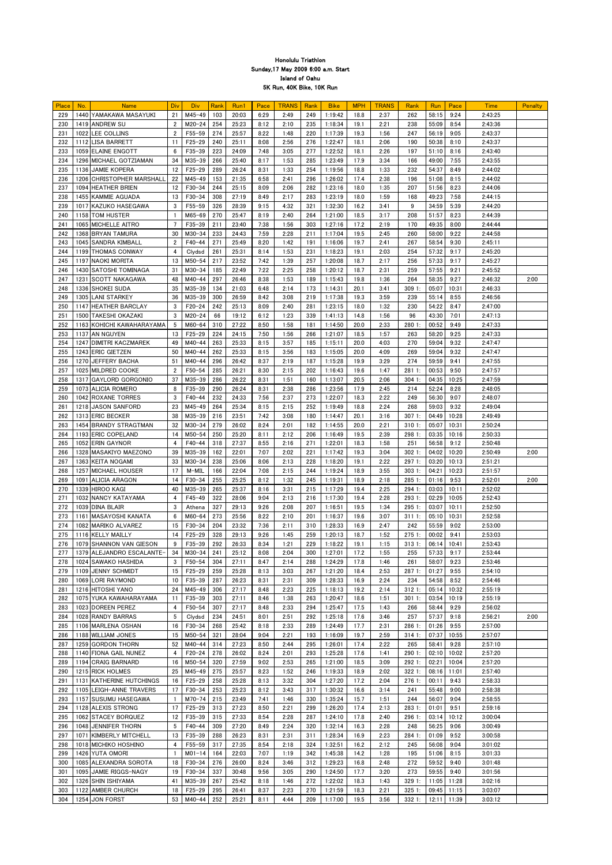| Place | No. | <b>Name</b>               | Div            | Div        | Rank | Run1  | Pace | <b>TRANS</b> | Rank | <b>Bike</b> | <b>MPH</b> | <b>TRANS</b> | Rank     | Run   | Pace          | <b>Time</b> | Penalty |
|-------|-----|---------------------------|----------------|------------|------|-------|------|--------------|------|-------------|------------|--------------|----------|-------|---------------|-------------|---------|
| 229   |     | 1440 YAMAKAWA MASAYUKI    | 21             | $M45 - 49$ | 103  | 20:03 | 6:29 | 2:49         | 249  | 1:19:42     | 18.8       | 2:37         | 262      | 58:15 | 9:24          | 2:43:25     |         |
| 230   |     | 1419 ANDREW SU            | $\overline{2}$ | $M20 - 24$ | 254  | 25:23 | 8:12 | 2:10         | 235  | 1:18:34     | 19.1       | 2:21         | 238      | 55:09 | 8:54          | 2:43:36     |         |
| 231   |     | 1022 LEE COLLINS          | $\overline{2}$ | $F55 - 59$ | 274  | 25:57 | 8:22 | 1:48         | 220  | 1:17:39     | 19.3       | 1:56         | 247      | 56:19 | 9:05          | 2:43:37     |         |
|       |     |                           |                |            |      |       |      |              |      |             |            |              |          |       |               |             |         |
| 232   |     | 1112 LISA BARRETT         | 11             | $F25 - 29$ | 240  | 25:11 | 8:08 | 2:56         | 276  | 1:22:47     | 18.1       | 2:06         | 190      | 50:38 | 8:10          | 2:43:37     |         |
| 233   |     | 1059 ELAINE ENGOTT        | 6              | $F35 - 39$ | 223  | 24:09 | 7:48 | 3:05         | 277  | 1:22:52     | 18.1       | 2:26         | 197      | 51:10 | 8:16          | 2:43:40     |         |
| 234   |     | 1296 MICHAEL GOTZIAMAN    | 34             | M35-39     | 266  | 25:40 | 8:17 | 1:53         | 285  | 1:23:49     | 17.9       | 3:34         | 166      | 49:00 | 7:55          | 2:43:55     |         |
| 235   |     | 1136 JAMIE KOPERA         | 12             | $F25 - 29$ | 289  | 26:24 | 8:31 | 1:33         | 254  | 1:19:56     | 18.8       | 1:33         | 232      | 54:37 | 8:49          | 2:44:02     |         |
| 236   |     | 1206 CHRISTOPHER MARSHALL | 22             | $M45 - 49$ | 153  | 21:35 | 6:58 | 2:41         | 296  | 1:26:02     | 17.4       | 2:38         | 196      | 51:08 | 8:15          | 2:44:02     |         |
|       |     |                           |                |            |      |       |      |              |      |             |            |              |          |       |               |             |         |
| 237   |     | 1094 HEATHER BRIEN        | 12             | $F30 - 34$ | 244  | 25:15 | 8:09 | 2:06         | 282  | 1:23:16     | 18.0       | 1:35         | 207      | 51:56 | 8:23          | 2:44:06     |         |
| 238   |     | 1455 KAMMIE AGUADA        | 13             | $F30 - 34$ | 308  | 27:19 | 8:49 | 2:17         | 283  | 1:23:19     | 18.0       | 1:59         | 168      | 49:23 | 7:58          | 2:44:15     |         |
| 239   |     | 1017 KAZUKO HASEGAWA      | 3              | $F55 - 59$ | 326  | 28:39 | 9:15 | 4:32         | 321  | 1:32:30     | 16.2       | 3:41         | 9        | 34:59 | 5:39          | 2:44:20     |         |
| 240   |     | 1158   TOM HUSTER         |                | M65-69     | 270  | 25:47 | 8:19 | 2:40         | 264  | 1:21:00     | 18.5       | 3:17         | 208      | 51:57 | 8:23          | 2:44:39     |         |
| 241   |     | 1065 MICHELLE AITRO       |                | $F35 - 39$ | 211  | 23:40 | 7:38 | 1:56         | 303  | 1:27:16     | 17.2       | 2:19         | 170      | 49:35 | 8:00          | 2:44:44     |         |
| 242   |     |                           | 30             | $M30 - 34$ | 233  | 24:43 | 7:59 | 2:28         | 211  | 1:17:04     | 19.5       | 2:45         | 260      | 58:00 | 9:22          | 2:44:58     |         |
|       |     | 1368 BRYAN TAMURA         |                |            |      |       |      |              |      |             |            |              |          |       |               |             |         |
| 243   |     | 1045 SANDRA KIMBALL       | 2              | $F40 - 44$ | 271  | 25:49 | 8:20 | 1:42         | 191  | 1:16:06     | 19.7       | 2:41         | 267      | 58:54 | 9:30          | 2:45:11     |         |
| 244   |     | 1199 THOMAS CONWAY        |                | Clydsd     | 261  | 25:31 | 8:14 | 1:53         | 231  | 1:18:23     | 19.1       | 2:03         | 254      | 57:32 | 9:17          | 2:45:20     |         |
| 245   |     | 1197 NAOKI MORITA         | 13             | $M50 - 54$ | 217  | 23:52 | 7:42 | 1:39         | 257  | 1:20:08     | 18.7       | 2:17         | 256      | 57:33 | 9:17          | 2:45:27     |         |
| 246   |     | 1430 SATOSHI TOMINAGA     | 31             | $M30 - 34$ | 185  | 22:49 | 7:22 | 2:25         | 258  | 1:20:12     | 18.7       | 2:31         | 259      | 57:55 | 9:21          | 2:45:52     |         |
| 247   |     | 1231 SCOTT NAKAGAWA       | 48             | $M40 - 44$ | 297  | 26:46 | 8:38 | 1:53         | 189  | 1:15:43     | 19.8       | 1:36         | 264      | 58:35 | 9:27          | 2:46:32     | 2:00    |
|       |     |                           |                |            |      |       |      |              |      |             |            |              |          |       |               |             |         |
| 248   |     | 1336 SHOKEI SUDA          | 35             | M35-39     | 134  | 21:03 | 6:48 | 2:14         | 173  | 1:14:31     | 20.1       | 3:41         | 309 1:   | 05:07 | 10:31         | 2:46:33     |         |
| 249   |     | 1305 LANI STARKEY         | 36             | M35-39     | 300  | 26:59 | 8:42 | 3:08         | 219  | 1:17:38     | 19.3       | 3:59         | 239      | 55:14 | 8:55          | 2:46:56     |         |
| 250   |     | 1147 HEATHER BARCLAY      | 3              | $F20 - 24$ | 242  | 25:13 | 8:09 | 2:40         | 281  | 1:23:15     | 18.0       | 1:32         | 230      | 54:22 | 8:47          | 2:47:00     |         |
| 251   |     | 1500 TAKESHI OKAZAKI      | 3              | $M20 - 24$ | 66   | 19:12 | 6:12 | 1:23         | 339  | 1:41:13     | 14.8       | 1:56         | 96       | 43:30 | 7:01          | 2:47:13     |         |
| 252   |     | 1163 KOHICHI KAWAHARAYAMA | 5              | M60-64     | 310  | 27:22 | 8:50 | 1:58         | 181  | 1:14:50     | 20.0       | 2:33         | 280 1:   | 00:52 | 9:49          | 2:47:33     |         |
| 253   |     | 1137 AN NGUYEN            | 13             | $F25 - 29$ | 224  | 24:15 | 7:50 | 1:56         | 266  | 1:21:07     | 18.5       | 1:57         | 263      | 58:20 | 9:25          | 2:47:33     |         |
|       |     |                           |                |            |      |       |      |              |      |             |            |              |          |       |               |             |         |
| 254   |     | 1247 DIMITRI KACZMAREK    | 49             | $M40 - 44$ | 263  | 25:33 | 8:15 | 3:57         | 185  | 1:15:11     | 20.0       | 4:03         | 270      | 59:04 | 9:32          | 2:47:47     |         |
| 255   |     | 1243 ERIC GIETZEN         | 50             | $M40 - 44$ | 262  | 25:33 | 8:15 | 3:56         | 183  | 1:15:05     | 20.0       | 4:09         | 269      | 59:04 | 9:32          | 2:47:47     |         |
| 256   |     | 1270 JEFFERY BACHA        | 51             | M40-44     | 296  | 26:42 | 8:37 | 2:19         | 187  | 1:15:28     | 19.9       | 3:29         | 274      | 59:59 | 9:41          | 2:47:55     |         |
| 257   |     | 1025 MILDRED COOKE        | $\overline{2}$ | $F50 - 54$ | 285  | 26:21 | 8:30 | 2:15         | 202  | 1:16:43     | 19.6       | 1:47         | 2811:    | 00:53 | 9:50          | 2:47:57     |         |
| 258   |     | 1317 GAYLORD GORGONIO     | 37             | $M35 - 39$ | 286  | 26:22 | 8:31 | 1:51         | 160  | 1:13:07     | 20.5       | 2:06         | 3041:    | 04:35 | 10:25         | 2:47:59     |         |
|       |     |                           |                |            |      |       |      |              |      |             |            |              |          |       |               |             |         |
| 259   |     | 1073 ALICIA ROMERO        | 8              | $F35 - 39$ | 290  | 26:24 | 8:31 | 2:38         | 286  | 1:23:56     | 17.9       | 2:45         | 214      | 52:24 | 8:28          | 2:48:05     |         |
| 260   |     | 1042 ROXANE TORRES        | 3              | $F40 - 44$ | 232  | 24:33 | 7:56 | 2:37         | 273  | 1:22:07     | 18.3       | 2:22         | 249      | 56:30 | 9:07          | 2:48:07     |         |
| 261   |     | 1218 JASON SANFORD        | 23             | $M45 - 49$ | 264  | 25:34 | 8:15 | 2:15         | 252  | 1:19:49     | 18.8       | 2:24         | 268      | 59:03 | 9:32          | 2:49:04     |         |
| 262   |     | 1313 ERIC BECKER          | 38             | $M35 - 39$ | 216  | 23:51 | 7:42 | 3:08         | 180  | 1:14:47     | 20.1       | 3:16         | 3071:    | 04:49 | 10:28         | 2:49:49     |         |
| 263   |     | 1454 BRANDY STRAGTMAN     | 32             | $M30 - 34$ | 279  | 26:02 | 8:24 | 2:01         | 182  | 1:14:55     | 20.0       | 2:21         | 3101:    | 05:07 | 10:31         | 2:50:24     |         |
| 264   |     | 1193 ERIC COPELAND        | -14            | $M50 - 54$ | 250  | 25:20 | 8:11 | 2:12         | 206  | 1:16:49     | 19.5       | 2:39         | 298 1:   | 03:35 | 10:16         | 2:50:33     |         |
|       |     |                           |                |            |      |       |      |              |      |             |            |              |          |       |               |             |         |
| 265   |     | 1052 ERIN GAYNOR          |                | $F40 - 44$ | 318  | 27:37 | 8:55 | 2:16         | 271  | 1:22:01     | 18.3       | 1:58         | 251      | 56:58 | 9:12          | 2:50:48     |         |
| 266   |     | 1328 MASAKIYO MAEZONO     | 39             | M35-39     | 162  | 22:01 | 7:07 | 2:02         | 221  | 1:17:42     | 19.3       | 3:04         | 3021:    | 04:02 | 10:20         | 2:50:49     | 2:00    |
| 267   |     | 1363 KEITA NOGAMI         | 33             | $M30 - 34$ | 238  | 25:06 | 8:06 | 2:13         | 228  | 1:18:20     | 19.1       | 2:22         | 297 1:   | 03:20 | 10:13         | 2:51:21     |         |
| 268   |     | 1257 MICHAEL HOUSER       | -17            | M-MIL      | 166  | 22:04 | 7:08 | 2:15         | 244  | 1:19:24     | 18.9       | 3:55         | 3031:    | 04:21 | 10:23         | 2:51:57     |         |
| 269   |     | 1091 ALICIA ARAGON        | 14             | $F30 - 34$ | 255  | 25:25 | 8:12 | 1:32         | 245  | 1:19:31     | 18.9       | 2:18         | 285 1:   | 01:16 | 9:53          | 2:52:01     | 2:00    |
|       |     | 1339 HIROO KAGI           | 40             | M35-39     | 265  | 25:37 | 8:16 | 3:31         | 215  | 1:17:29     | 19.4       | 2:25         | 294 1:   | 03:03 | 10:11         |             |         |
| 270   |     |                           |                |            |      |       |      |              |      |             |            |              |          |       |               | 2:52:02     |         |
| 271   |     | 1032 NANCY KATAYAMA       |                | $F45 - 49$ | 322  | 28:06 | 9:04 | 2:13         | 216  | 1:17:30     | 19.4       | 2:28         | 293 1:   | 02:29 | 10:05         | 2:52:43     |         |
| 272   |     | 1039 DINA BLAIR           | 3              | Athena     | 327  | 29:13 | 9:26 | 2:08         | 207  | 1:16:51     | 19.5       | 1:34         | 295 1:   | 03:07 | 10:11         | 2:52:50     |         |
| 273   |     | 1161 MASAYOSHI KANATA     | 6              | $M60 - 64$ | 273  | 25:56 | 8:22 | 2:10         | 201  | 1:16:37     | 19.6       | 3:07         | 3111:    | 05:10 | 10:31         | 2:52:58     |         |
| 274   |     | 1082 MARIKO ALVAREZ       | 15             | $F30 - 34$ | 204  | 23:32 | 7:36 | 2:11         | 310  | 1:28:33     | 16.9       | 2:47         | 242      | 55:59 | 9:02          | 2:53:00     |         |
| 275   |     | 1116 KELLY MAILLY         | 14             | $F25 - 29$ | 328  | 29:13 | 9:26 | 1:45         | 259  | 1:20:13     | 18.7       | 1:52         | 2751:    | 00:02 | 9:41          | 2:53:03     |         |
|       |     |                           |                |            |      |       |      |              |      |             |            |              |          |       |               |             |         |
| 276   |     | 1079 SHANNON VAN GIESON   | -9             | $F35 - 39$ | 292  | 26:33 | 8:34 | 1:21         | 229  | 1:18:22     | 19.1       | 1:15         | 3131:    | 06:14 | 10:41         | 2:53:43     |         |
| 277   |     | 1379 ALEJANDRO ESCALANTE- | 34             | $M30 - 34$ | 241  | 25:12 | 8:08 | 2:04         | 300  | 1:27:01     | 17.2       | 1:55         | 255      | 57:33 | 9:17          | 2:53:44     |         |
| 278   |     | 1024 SAWAKO HASHIDA       | 3              | $F50 - 54$ | 304  | 27:11 | 8:47 | 2:14         | 288  | 1:24:29     | 17.8       | 1:46         | 261      | 58:07 | 9:23          | 2:53:46     |         |
| 279   |     | 1109 JENNY SCHMIDT        | 15             | $F25 - 29$ | 259  | 25:28 | 8:13 | 3:03         | 267  | 1:21:20     | 18.4       | 2:53         | 287 1:   | 01:27 | 9:55          | 2:54:10     |         |
| 280   |     | 1069 LORI RAYMOND         | 10             | $F35 - 39$ | 287  | 26:23 | 8:31 | 2:31         | 309  | 1:28:33     | 16.9       | 2:24         | 234      | 54:58 | 8:52          | 2:54:46     |         |
| 281   |     | 1216 HITOSHI YANO         | 24             | $M45 - 49$ | 306  | 27:17 | 8:48 | 2:23         | 225  | 1:18:13     | 19.2       | 2:14         | 3121:    | 05:14 | 10:32         | 2:55:19     |         |
|       |     |                           |                | $F35 - 39$ | 303  | 27:11 | 8:46 | 1:38         | 263  | 1:20:47     | 18.6       | 1:51         | 3011:    | 03:54 | 10:19         | 2:55:19     |         |
| 282   |     | 1075 YUKA KAWAHARAYAMA    | 11             |            |      |       |      |              |      |             |            |              |          |       |               |             |         |
| 283   |     | 1023 DOREEN PEREZ         | 4              | $F50 - 54$ | 307  | 27:17 | 8:48 | 2:33         | 294  | 1:25:47     | 17.5       | 1:43         | 266      | 58:44 | 9:29          | 2:56:02     |         |
| 284   |     | 1028 RANDY BARRAS         | 5              | Clydsd     | 234  | 24:51 | 8:01 | 2:51         | 292  | 1:25:18     | 17.6       | 3:46         | 257      | 57:37 | 9:18          | 2:56:21     | 2:00    |
| 285   |     | 1106 MARLENA OSHAN        | 16             | $F30 - 34$ | 268  | 25:42 | 8:18 | 2:33         | 289  | 1:24:49     | 17.7       | 2:31         | 286 1:   | 01:26 | 9:55          | 2:57:00     |         |
| 286   |     | 1188 WILLIAM JONES        | 15             | $M50 - 54$ | 321  | 28:04 | 9:04 | 2:21         | 193  | 1:16:09     | 19.7       | 2:59         | 3141:    | 07:37 | 10:55         | 2:57:07     |         |
| 287   |     | 1259 GORDON THORN         | 52             | $M40 - 44$ | 314  | 27:23 | 8:50 | 2:44         | 295  | 1:26:01     | 17.4       | 2:22         | 265      | 58:41 | 9:28          | 2:57:10     |         |
| 288   |     | 1140 FIONA GAIL NUNEZ     | 4              | $F20 - 24$ | 278  | 26:02 | 8:24 | 2:01         | 293  | 1:25:28     | 17.6       | 1:41         | 290 1:   | 02:10 | 10:02         | 2:57:20     |         |
|       |     |                           |                |            |      |       |      |              |      |             |            |              |          |       |               |             |         |
| 289   |     | 1194 CRAIG BARNARD        | 16             | $M50-54$   | 320  | 27:59 | 9:02 | 2:53         | 265  | 1:21:00     | 18.5       | 3:09         | 292 1:   |       | 02:21 10:04   | 2:57:20     |         |
| 290   |     | 1215 RICK HOLMES          | 25             | $M45-49$   | 275  | 25:57 | 8:23 | 1:52         | 246  | 1:19:33     | 18.9       | 2:02         | 3221:    | 08:16 | 11:01         | 2:57:40     |         |
| 291   |     | 1131 KATHERINE HUTCHINGS  | 16             | $F25 - 29$ | 258  | 25:28 | 8:13 | 3:32         | 304  | 1:27:20     | 17.2       | 2:04         | $2761$ : | 00:11 | 9:43          | 2:58:33     |         |
| 292   |     | 1105 LEIGH-ANNE TRAVERS   | 17             | $F30-34$   | 253  | 25:23 | 8:12 | 3:43         | 317  | 1:30:32     | 16.6       | 3:14         | 241      | 55:48 | 9:00          | 2:58:38     |         |
| 293   |     | 1157 SUSUMU HASEGAWA      |                | $M70 - 74$ | 215  | 23:49 | 7:41 | 1:46         | 330  | 1:35:24     | 15.7       | 1:51         | 244      | 56:07 | 9:04          | 2:58:55     |         |
| 294   |     | 1128 ALEXIS STRONG        | -17            | $F25 - 29$ | 313  | 27:23 | 8:50 | 2:21         | 299  | 1:26:20     | 17.4       | 2:13         | 283 1:   | 01:01 | 9:51          | 2:59:16     |         |
|       |     |                           |                |            |      |       |      |              |      |             |            |              |          |       |               |             |         |
| 295   |     | 1062 STACEY BORQUEZ       | 12             | $F35 - 39$ | 315  | 27:33 | 8:54 | 2:28         | 287  | 1:24:10     | 17.8       | 2:40         | 296 1:   | 03:14 | 10:12         | 3:00:04     |         |
| 296   |     | 1048 JENNIFER THORN       | 5              | $F40 - 44$ | 309  | 27:20 | 8:49 | 2:24         | 320  | 1:32:14     | 16.3       | 2:28         | 248      | 56:25 | 9:06          | 3:00:49     |         |
| 297   |     | 1071 KIMBERLY MITCHELL    | 13             | $F35 - 39$ | 288  | 26:23 | 8:31 | 2:31         | 311  | 1:28:34     | 16.9       | 2:23         | 2841:    | 01:09 | 9:52          | 3:00:58     |         |
| 298   |     | 1018 MICHIKO HOSHINO      | 4              | $F55 - 59$ | 317  | 27:35 | 8:54 | 2:18         | 324  | 1:32:51     | 16.2       | 2:12         | 245      | 56:08 | 9:04          | 3:01:02     |         |
| 299   |     | 1426 YUTA OMORI           |                | $M01 - 14$ | 164  | 22:03 | 7:07 | 1:19         | 342  | 1:45:38     | 14.2       | 1:28         | 195      | 51:06 | 8:15          | 3:01:33     |         |
| 300   |     | 1085 ALEXANDRA SOROTA     | 18             | $F30 - 34$ | 276  | 26:00 | 8:24 | 3:46         | 312  | 1:29:23     | 16.8       | 2:48         | 272      | 59:52 | 9:40          | 3:01:48     |         |
|       |     |                           |                |            |      |       |      |              |      |             |            |              |          |       |               |             |         |
| 301   |     | 1095 JJAMIE RIGGS-NAGY    | 19             | $F30-34$   | 337  | 30:48 | 9:56 | 3:05         | 290  | 1:24:50     | 17.7       | 3:20         | 273      | 59:55 | 9:40          | 3:01:56     |         |
| 302   |     | 1326 SHIN ISHIYAMA        | 41             | M35-39     | 267  | 25:42 | 8:18 | 1:46         | 272  | 1:22:02     | 18.3       | 1:43         | 329 1:   | 11:05 | 11:28         | 3:02:16     |         |
| 303   |     | 1122 AMBER CHURCH         | 18             | $F25 - 29$ | 295  | 26:41 | 8:37 | 2:23         | 270  | 1:21:59     | 18.3       | 2:21         | 3251:    |       | 09:45 11:15   | 3:03:07     |         |
| 304   |     | 1254 JON FORST            | 53             | $M40-44$   | 252  | 25:21 | 8:11 | 4:44         | 209  | 1:17:00     | 19.5       | 3:56         | 3321:    |       | $12:11$ 11:39 | 3:03:12     |         |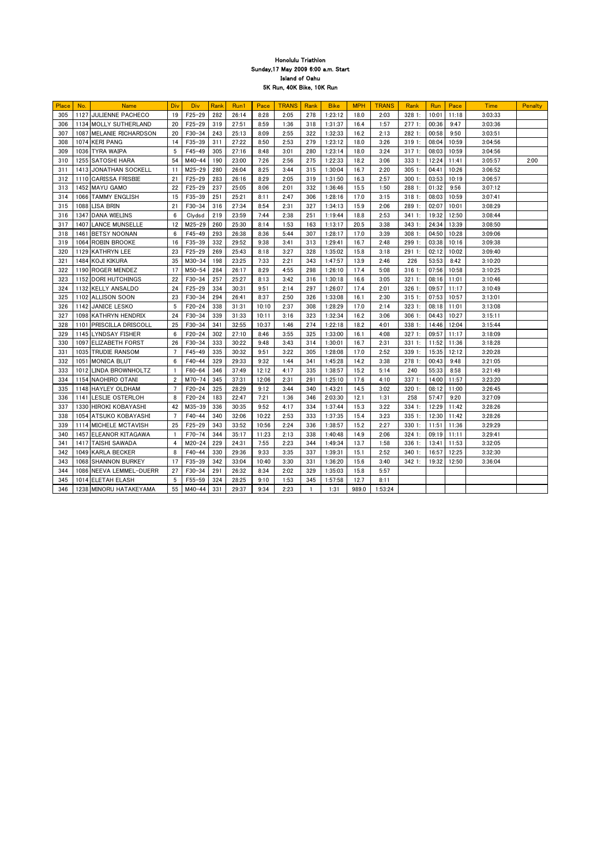| Place | No.  | <b>Name</b>              | Div            | <b>Div</b> | Rank | Run1  | Pace  | <b>TRANS</b> | Rank | <b>Bike</b> | <b>MPH</b> | <b>TRANS</b> | <b>Rank</b> | Run         | Pace        | <b>Time</b> | <b>Penalty</b> |
|-------|------|--------------------------|----------------|------------|------|-------|-------|--------------|------|-------------|------------|--------------|-------------|-------------|-------------|-------------|----------------|
| 305   |      | 1127 JULIENNE PACHECO    | 19             | $F25 - 29$ | 282  | 26:14 | 8:28  | 2:05         | 278  | 1:23:12     | 18.0       | 2:03         | 328 1:      | 10:01       | 11:18       | 3:03:33     |                |
| 306   |      | 1134 MOLLY SUTHERLAND    | 20             | $F25 - 29$ | 319  | 27:51 | 8:59  | 1:36         | 318  | 1:31:37     | 16.4       | 1:57         | 2771:       | 00:36       | 9:47        | 3:03:36     |                |
| 307   |      | 1087 IMELANIE RICHARDSON | 20             | $F30-34$   | 243  | 25:13 | 8:09  | 2:55         | 322  | 1:32:33     | 16.2       | 2:13         | 2821:       | 00:58       | 9:50        | 3:03:51     |                |
| 308   |      | 1074 KERI PANG           | 14             | $F35 - 39$ | 311  | 27:22 | 8:50  | 2:53         | 279  | 1:23:12     | 18.0       | 3:26         | 3191:       | 08:04       | 10:59       | 3:04:56     |                |
| 309   |      | 1036 TYRA WAIPA          | -5             | $F45 - 49$ | 305  | 27:16 | 8:48  | 3:01         | 280  | 1:23:14     | 18.0       | 3:24         | 3171:       | 08:03       | 10:59       | 3:04:56     |                |
| 310   |      | 1255 SATOSHI HARA        | 54             | $M40 - 44$ | 190  | 23:00 | 7:26  | 2:56         | 275  | 1:22:33     | 18.2       | 3:06         | 333 1:      | 12:24       | 11:41       | 3:05:57     | 2:00           |
| 311   |      | 1413 JONATHAN SOCKELL    | 11             | $M25 - 29$ | 280  | 26:04 | 8:25  | 3:44         | 315  | 1:30:04     | 16.7       | 2:20         | 3051:       | 04:41       | 10:26       | 3:06:52     |                |
| 312   |      | 1110 CARISSA FRISBIE     | 21             | $F25 - 29$ | 283  | 26:16 | 8:29  | 2:05         | 319  | 1:31:50     | 16.3       | 2:57         | 3001:       | 03:53       | 10:19       | 3:06:57     |                |
| 313   |      | 1452 MAYU GAMO           | 22             | $F25 - 29$ | 237  | 25:05 | 8:06  | 2:01         | 332  | 1:36:46     | 15.5       | 1:50         | 288 1:      | 01:32       | 9:56        | 3:07:12     |                |
| 314   |      | 1066 TAMMY ENGLISH       | 15             | $F35 - 39$ | 251  | 25:21 | 8:11  | 2:47         | 306  | 1:28:16     | 17.0       | 3:15         | 3181:       | 08:03       | 10:59       | 3:07:41     |                |
| 315   |      | 1088 LISA BRIN           | 21             | $F30 - 34$ | 316  | 27:34 | 8:54  | 2:31         | 327  | 1:34:13     | 15.9       | 2:06         | 289 1:      | 02:07       | 10:01       | 3:08:29     |                |
| 316   |      | 1347 DANA WIELINS        | 6              | Clydsd     | 219  | 23:59 | 7:44  | 2:38         | 251  | 1:19:44     | 18.8       | 2:53         | 3411:       | 19:32       | 12:50       | 3:08:44     |                |
| 317   |      | 1407 LANCE MUNSELLE      | 12             | $M25 - 29$ | 260  | 25:30 | 8:14  | 1:53         | 163  | 1:13:17     | 20.5       | 3:38         | 343 1:      | 24:34       | 13:39       | 3:08:50     |                |
| 318   |      | 1461 BETSY NOONAN        | 6              | $F45 - 49$ | 293  | 26:38 | 8:36  | 5:44         | 307  | 1:28:17     | 17.0       | 3:39         | 3081:       | 04:50       | 10:28       | 3:09:06     |                |
| 319   |      | 1064 ROBIN BROOKE        | 16             | $F35 - 39$ | 332  | 29:52 | 9:38  | 3:41         | 313  | 1:29:41     | 16.7       | 2:48         | 299 1:      | 03:38       | 10:16       | 3:09:38     |                |
| 320   |      | 1129 KATHRYN LEE         | 23             | $F25 - 29$ | 269  | 25:43 | 8:18  | 3:27         | 328  | 1:35:02     | 15.8       | 3:18         | 2911:       | 02:12       | 10:02       | 3:09:40     |                |
| 321   |      | 1484 KOJI KIKURA         | 35             | $M30 - 34$ | 198  | 23:25 | 7:33  | 2:21         | 343  | 1:47:57     | 13.9       | 2:46         | 226         | 53:53       | 8:42        | 3:10:20     |                |
| 322   |      | 1190 ROGER MENDEZ        | 17             | $M50 - 54$ | 284  | 26:17 | 8:29  | 4:55         | 298  | 1:26:10     | 17.4       | 5:08         | 3161:       | 07:56       | 10:58       | 3:10:25     |                |
| 323   |      | 1152 DORI HUTCHINGS      | 22             | $F30-34$   | 257  | 25:27 | 8:13  | 3:42         | 316  | 1:30:18     | 16.6       | 3:05         | 3211:       | 08:16       | 11:01       | 3:10:46     |                |
| 324   |      | 1132 KELLY ANSALDO       | 24             | $F25 - 29$ | 334  | 30:31 | 9:51  | 2:14         | 297  | 1:26:07     | 17.4       | 2:01         | 326 1:      | 09:57       | 11:17       | 3:10:49     |                |
| 325   |      | 1102 ALLISON SOON        | 23             | $F30-34$   | 294  | 26:41 | 8:37  | 2:50         | 326  | 1:33:08     | 16.1       | 2:30         | 3151:       | 07:53       | 10:57       | 3:13:01     |                |
| 326   |      | 1142 JANICE LESKO        | 5              | $F20 - 24$ | 338  | 31:31 | 10:10 | 2:37         | 308  | 1:28:29     | 17.0       | 2:14         | 3231:       | 08:18       | 11:01       | 3:13:08     |                |
| 327   |      | 1098 KATHRYN HENDRIX     | 24             | $F30 - 34$ | 339  | 31:33 | 10:11 | 3:16         | 323  | 1:32:34     | 16.2       | 3:06         | 3061:       | 04:43       | 10:27       | 3:15:11     |                |
| 328   |      | 1101 PRISCILLA DRISCOLL  | 25             | $F30-34$   | 341  | 32:55 | 10:37 | 1:46         | 274  | 1:22:18     | 18.2       | 4:01         | 338 1:      | 14:46       | 12:04       | 3:15:44     |                |
| 329   |      | 1145 LYNDSAY FISHER      | 6              | $F20 - 24$ | 302  | 27:10 | 8:46  | 3:55         | 325  | 1:33:00     | 16.1       | 4:08         | 3271:       | 09:57       | 11:17       | 3:18:09     |                |
| 330   | 1097 | <b>ELIZABETH FORST</b>   | 26             | $F30-34$   | 333  | 30:22 | 9:48  | 3:43         | 314  | 1:30:01     | 16.7       | 2:31         | 3311:       | 11:52       | 11:36       | 3:18:28     |                |
| 331   |      | 1035 TRUDIE RANSOM       | $\overline{7}$ | $F45 - 49$ | 335  | 30:32 | 9:51  | 3:22         | 305  | 1:28:08     | 17.0       | 2:52         | 339 1:      | 15:35       | 12:12       | 3:20:28     |                |
| 332   |      | 1051 MONICA BLUT         | 6              | $F40 - 44$ | 329  | 29:33 | 9:32  | 1:44         | 341  | 1:45:28     | 14.2       | 3:38         | 2781:       | 00:43       | 9:48        | 3:21:05     |                |
| 333   |      | 1012 LINDA BROWNHOLTZ    |                | $F60 - 64$ | 346  | 37:49 | 12:12 | 4:17         | 335  | 1:38:57     | 15.2       | 5:14         | 240         | 55:33       | 8:58        | 3:21:49     |                |
| 334   |      | 1154 NAOHIRO OTANI       | $\overline{2}$ | $M70-74$   | 345  | 37:31 | 12:06 | 2:31         | 291  | 1:25:10     | 17.6       | 4:10         | 3371:       | 14:00       | 11:57       | 3:23:20     |                |
| 335   |      | 1148 HAYLEY OLDHAM       | 7              | $F20 - 24$ | 325  | 28:29 | 9:12  | 3:44         | 340  | 1:43:21     | 14.5       | 3:02         | 3201:       |             | 08:12 11:00 | 3:26:45     |                |
| 336   |      | 1141 LESLIE OSTERLOH     | 8              | $F20 - 24$ | 183  | 22:47 | 7:21  | 1:36         | 346  | 2:03:30     | 12.1       | 1:31         | 258         | 57:47       | 9:20        | 3:27:09     |                |
| 337   |      | 1330 HIROKI KOBAYASHI    | 42             | M35-39     | 336  | 30:35 | 9:52  | 4:17         | 334  | 1:37:44     | 15.3       | 3:22         | 334 1:      |             | 12:29 11:42 | 3:28:26     |                |
| 338   |      | 1054 ATSUKO KOBAYASHI    | 7              | $F40 - 44$ | 340  | 32:06 | 10:22 | 2:53         | 333  | 1:37:35     | 15.4       | 3:23         | 3351:       | 12:30       | 11:42       | 3:28:26     |                |
| 339   |      | 1114 MICHELE MCTAVISH    | 25             | $F25 - 29$ | 343  | 33:52 | 10:56 | 2:24         | 336  | 1:38:57     | 15.2       | 2:27         | 3301:       |             | 11:51 11:36 | 3:29:29     |                |
| 340   |      | 1457 ELEANOR KITAGAWA    |                | $F70-74$   | 344  | 35:17 | 11:23 | 2:13         | 338  | 1:40:48     | 14.9       | 2:06         | 3241:       | 09:19 11:11 |             | 3:29:41     |                |
| 341   | 1417 | <b>TAISHI SAWADA</b>     | 4              | $M20 - 24$ | 229  | 24:31 | 7:55  | 2:23         | 344  | 1:49:34     | 13.7       | 1:58         | 3361:       | 13:41       | 11:53       | 3:32:05     |                |
| 342   |      | 1049 KARLA BECKER        | 8              | $F40 - 44$ | 330  | 29:36 | 9:33  | 3:35         | 337  | 1:39:31     | 15.1       | 2:52         | 340 1:      | 16:57       | 12:25       | 3:32:30     |                |
| 343   |      | 1068 SHANNON BURKEY      | 17             | $F35 - 39$ | 342  | 33:04 | 10:40 | 3:30         | 331  | 1:36:20     | 15.6       | 3:40         | 3421:       | 19:32       | 12:50       | 3:36:04     |                |
| 344   |      | 1086 NEEVA LEMMEL-DUERR  | 27             | $F30 - 34$ | 291  | 26:32 | 8:34  | 2:02         | 329  | 1:35:03     | 15.8       | 5:57         |             |             |             |             |                |
| 345   |      | 1014 ELETAH ELASH        | 5              | F55-59     | 324  | 28:25 | 9:10  | 1:53         | 345  | 1:57:58     | 12.7       | 8:11         |             |             |             |             |                |
| 346   |      | 1238 MINORU HATAKEYAMA   | 55             | $M40 - 44$ | 331  | 29:37 | 9:34  | 2:23         |      | 1:31        | 989.0      | 1:53:24      |             |             |             |             |                |